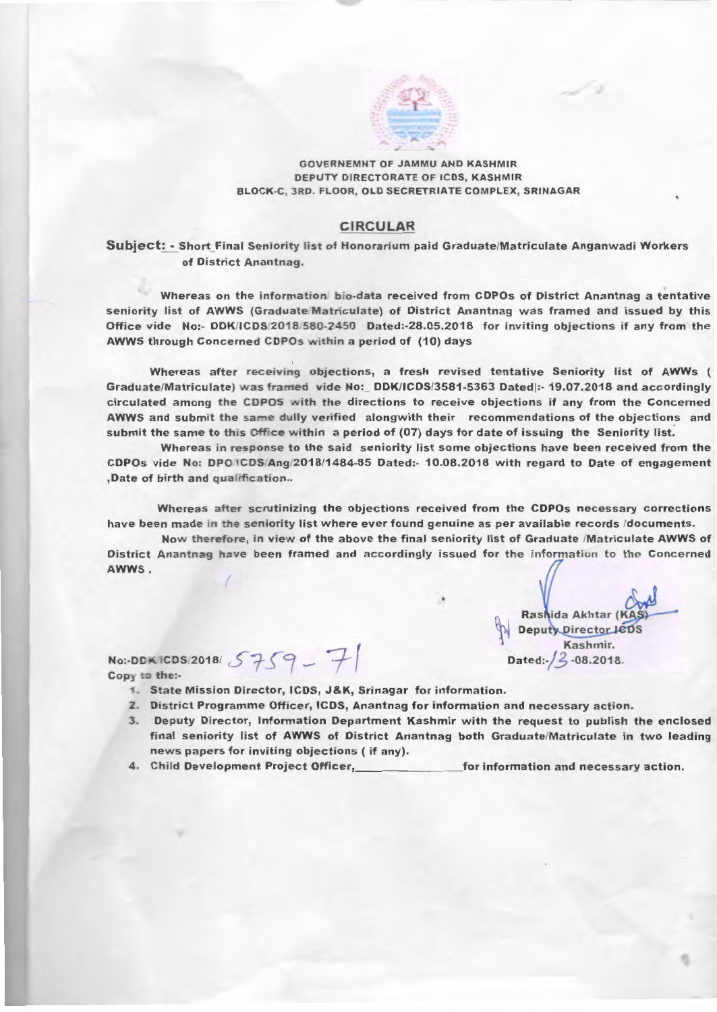

## **GOVERNEMNT OF JAMMU AND KASHMIR** DEPUTY DIRECTORATE OF ICDS, KASHMIR BLOCK-C, 3RD. FLOOR, OLD SECRETRIATE COMPLEX, SRINAGAR

## **CIRCULAR**

Subject: - Short Final Seniority list of Honorarium paid Graduate/Matriculate Anganwadi Workers of District Anantnag.

Whereas on the information bio-data received from CDPOs of District Anantnag a tentative seniority list of AWWS (Graduate Matriculate) of District Anantnag was framed and issued by this Office vide No:- DDK/ICDS/2018/580-2450 Dated:-28.05.2018 for inviting objections if any from the AWWS through Concerned CDPOs within a period of (10) days

Whereas after receiving objections, a fresh revised tentative Seniority list of AWWs ( Graduate/Matriculate) was framed vide No: DDK/ICDS/3581-5363 Dated|:- 19.07.2018 and accordingly circulated among the CDPOS with the directions to receive objections if any from the Concerned AWWS and submit the same dully verified alongwith their recommendations of the objections and submit the same to this Office within a period of (07) days for date of issuing the Seniority list.

Whereas in response to the said seniority list some objections have been received from the CDPOs vide No: DPOICDS/Ang/2018/1484-85 Dated:- 10.08.2018 with regard to Date of engagement ,Date of birth and qualification..

Whereas after scrutinizing the objections received from the CDPOs necessary corrections have been made in the seniority list where ever found genuine as per available records /documents.

Now therefore, in view of the above the final seniority list of Graduate /Matriculate AWWS of District Anantnag have been framed and accordingly issued for the information to the Concerned AWWS.

> Rashida Akhtar (KA Deputy Director JeDS Kashmir. Dated:  $/2$  -08.2018.

NO:-DDKICDS/2018/5759-7 Copy to the:-

- 1. State Mission Director, ICDS, J&K, Srinagar for information.
- 2. District Programme Officer, ICDS, Anantnag for information and necessary action.
- 3. Deputy Director, Information Department Kashmir with the request to publish the enclosed final seniority list of AWWS of District Anantnag both Graduate/Matriculate in two leading news papers for inviting objections (if any).
- 4. Child Development Project Officer, for information and necessary action.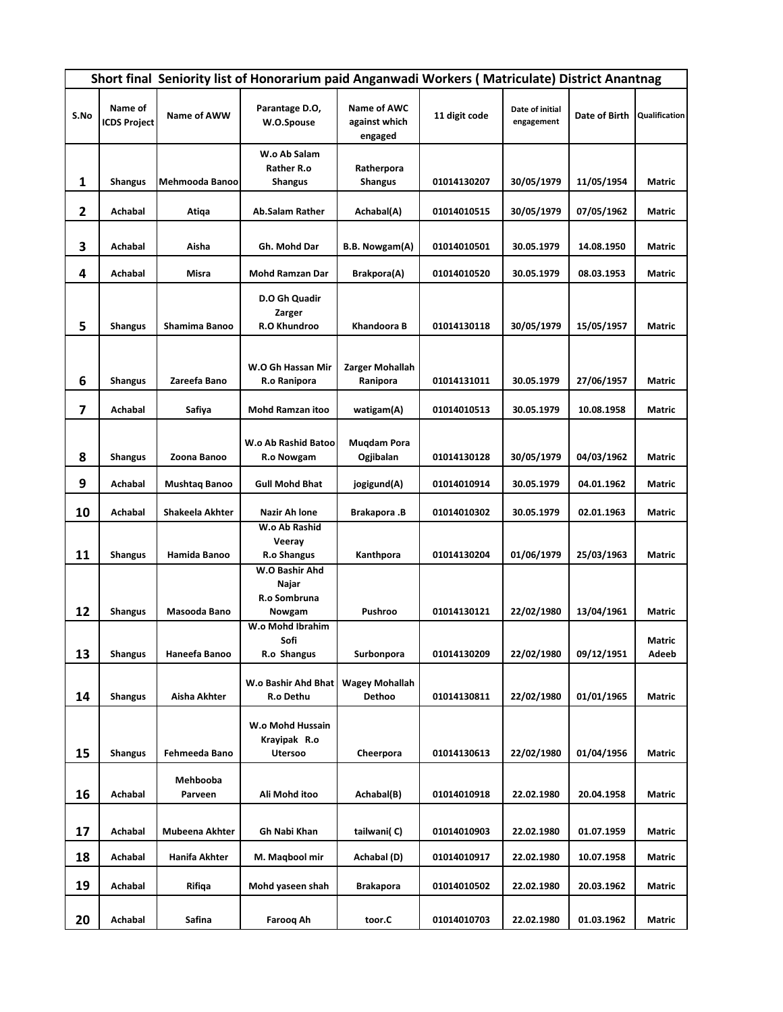|              | Short final Seniority list of Honorarium paid Anganwadi Workers (Matriculate) District Anantnag |                 |                                                                 |                                         |               |                               |               |               |  |
|--------------|-------------------------------------------------------------------------------------------------|-----------------|-----------------------------------------------------------------|-----------------------------------------|---------------|-------------------------------|---------------|---------------|--|
| S.No         | Name of<br><b>ICDS Project</b>                                                                  | Name of AWW     | Parantage D.O,<br>W.O.Spouse                                    | Name of AWC<br>against which<br>engaged | 11 digit code | Date of initial<br>engagement | Date of Birth | Qualification |  |
|              |                                                                                                 |                 | W.o Ab Salam                                                    |                                         |               |                               |               |               |  |
| 1            | <b>Shangus</b>                                                                                  | Mehmooda Banoo  | Rather R.o<br><b>Shangus</b>                                    | Ratherpora<br><b>Shangus</b>            | 01014130207   | 30/05/1979                    | 11/05/1954    | Matric        |  |
|              |                                                                                                 |                 |                                                                 |                                         |               |                               |               |               |  |
| $\mathbf{2}$ | Achabal                                                                                         | Atiqa           | <b>Ab.Salam Rather</b>                                          | Achabal(A)                              | 01014010515   | 30/05/1979                    | 07/05/1962    | Matric        |  |
| 3            | Achabal                                                                                         | Aisha           | Gh. Mohd Dar                                                    | B.B. Nowgam(A)                          | 01014010501   | 30.05.1979                    | 14.08.1950    | Matric        |  |
| 4            | Achabal                                                                                         | Misra           | <b>Mohd Ramzan Dar</b>                                          | Brakpora(A)                             | 01014010520   | 30.05.1979                    | 08.03.1953    | Matric        |  |
| 5            | <b>Shangus</b>                                                                                  | Shamima Banoo   | D.O Gh Quadir<br>Zarger<br>R.O Khundroo                         | Khandoora B                             | 01014130118   | 30/05/1979                    | 15/05/1957    | <b>Matric</b> |  |
|              |                                                                                                 |                 | W.O Gh Hassan Mir                                               | Zarger Mohallah                         |               |                               |               |               |  |
| 6            | <b>Shangus</b>                                                                                  | Zareefa Bano    | R.o Ranipora                                                    | Ranipora                                | 01014131011   | 30.05.1979                    | 27/06/1957    | Matric        |  |
| 7            | Achabal                                                                                         | Safiya          | <b>Mohd Ramzan itoo</b>                                         | watigam(A)                              | 01014010513   | 30.05.1979                    | 10.08.1958    | Matric        |  |
| 8            | <b>Shangus</b>                                                                                  | Zoona Banoo     | W.o Ab Rashid Batoo<br>R.o Nowgam                               | <b>Muqdam Pora</b><br>Ogjibalan         | 01014130128   | 30/05/1979                    | 04/03/1962    | Matric        |  |
| 9            | Achabal                                                                                         | Mushtaq Banoo   | <b>Gull Mohd Bhat</b>                                           | jogigund(A)                             | 01014010914   | 30.05.1979                    | 04.01.1962    | Matric        |  |
| 10           | Achabal                                                                                         | Shakeela Akhter | Nazir Ah lone                                                   | <b>Brakapora</b> .B                     | 01014010302   | 30.05.1979                    | 02.01.1963    | Matric        |  |
| 11           | <b>Shangus</b>                                                                                  | Hamida Banoo    | W.o Ab Rashid<br>Veeray<br><b>R.o Shangus</b><br>W.O Bashir Ahd | Kanthpora                               | 01014130204   | 01/06/1979                    | 25/03/1963    | Matric        |  |
|              |                                                                                                 |                 | Najar<br>R.o Sombruna                                           |                                         |               |                               |               |               |  |
| 12           | <b>Shangus</b>                                                                                  | Masooda Bano    | Nowgam                                                          | Pushroo                                 | 01014130121   | 22/02/1980                    | 13/04/1961    | Matric        |  |
|              |                                                                                                 |                 | W.o Mohd Ibrahim<br>Sofi                                        |                                         |               |                               |               | Matric        |  |
| 13           | <b>Shangus</b>                                                                                  | Haneefa Banoo   | R.o Shangus                                                     | Surbonpora                              | 01014130209   | 22/02/1980                    | 09/12/1951    | Adeeb         |  |
| 14           | <b>Shangus</b>                                                                                  | Aisha Akhter    | W.o Bashir Ahd Bhat<br>R.o Dethu                                | <b>Wagey Mohallah</b><br><b>Dethoo</b>  | 01014130811   | 22/02/1980                    | 01/01/1965    | Matric        |  |
| 15           | <b>Shangus</b>                                                                                  | Fehmeeda Bano   | W.o Mohd Hussain<br>Krayipak R.o<br>Utersoo                     | Cheerpora                               | 01014130613   | 22/02/1980                    | 01/04/1956    | Matric        |  |
|              |                                                                                                 | Mehbooba        |                                                                 |                                         |               |                               |               |               |  |
| 16           | Achabal                                                                                         | Parveen         | Ali Mohd itoo                                                   | Achabal(B)                              | 01014010918   | 22.02.1980                    | 20.04.1958    | Matric        |  |
| 17           | Achabal                                                                                         | Mubeena Akhter  | Gh Nabi Khan                                                    | tailwani(C)                             | 01014010903   | 22.02.1980                    | 01.07.1959    | Matric        |  |
| 18           | Achabal                                                                                         | Hanifa Akhter   | M. Maqbool mir                                                  | Achabal (D)                             | 01014010917   | 22.02.1980                    | 10.07.1958    | Matric        |  |
| 19           | Achabal                                                                                         | Rifiqa          | Mohd yaseen shah                                                | <b>Brakapora</b>                        | 01014010502   | 22.02.1980                    | 20.03.1962    | Matric        |  |
| 20           | Achabal                                                                                         | Safina          | Farooq Ah                                                       | toor.C                                  | 01014010703   | 22.02.1980                    | 01.03.1962    | Matric        |  |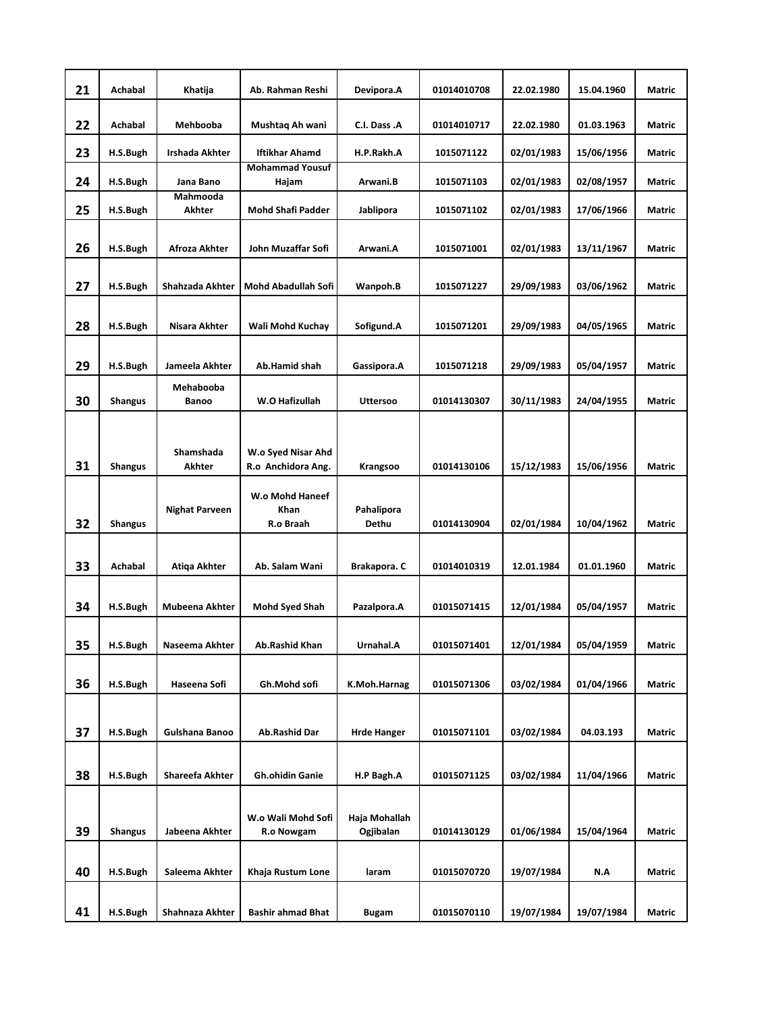| 21 | Achabal        | Khatija                | Ab. Rahman Reshi                | Devipora.A         | 01014010708 | 22.02.1980 | 15.04.1960 | Matric        |
|----|----------------|------------------------|---------------------------------|--------------------|-------------|------------|------------|---------------|
| 22 | Achabal        | Mehbooba               | Mushtaq Ah wani                 | C.I. Dass .A       | 01014010717 | 22.02.1980 | 01.03.1963 | <b>Matric</b> |
| 23 | H.S.Bugh       | <b>Irshada Akhter</b>  | <b>Iftikhar Ahamd</b>           | H.P.Rakh.A         | 1015071122  | 02/01/1983 | 15/06/1956 | Matric        |
| 24 | H.S.Bugh       | Jana Bano              | <b>Mohammad Yousuf</b><br>Hajam | Arwani.B           | 1015071103  | 02/01/1983 | 02/08/1957 | Matric        |
|    |                | Mahmooda               |                                 |                    |             |            |            |               |
| 25 | H.S.Bugh       | Akhter                 | <b>Mohd Shafi Padder</b>        | Jablipora          | 1015071102  | 02/01/1983 | 17/06/1966 | Matric        |
|    |                |                        |                                 |                    |             |            |            |               |
| 26 | H.S.Bugh       | Afroza Akhter          | John Muzaffar Sofi              | Arwani.A           | 1015071001  | 02/01/1983 | 13/11/1967 | <b>Matric</b> |
| 27 | H.S.Bugh       | Shahzada Akhter        | Mohd Abadullah Sofi             | Wanpoh.B           | 1015071227  | 29/09/1983 | 03/06/1962 | <b>Matric</b> |
|    |                |                        |                                 |                    |             |            |            |               |
| 28 | H.S.Bugh       | Nisara Akhter          | Wali Mohd Kuchay                | Sofigund.A         | 1015071201  | 29/09/1983 | 04/05/1965 | Matric        |
|    |                |                        |                                 |                    |             |            |            |               |
| 29 | H.S.Bugh       | Jameela Akhter         | Ab.Hamid shah                   | Gassipora.A        | 1015071218  | 29/09/1983 | 05/04/1957 | Matric        |
|    |                | Mehabooba              |                                 |                    |             |            |            |               |
| 30 | <b>Shangus</b> | <b>Banoo</b>           | W.O Hafizullah                  | <b>Uttersoo</b>    | 01014130307 | 30/11/1983 | 24/04/1955 | <b>Matric</b> |
|    |                |                        |                                 |                    |             |            |            |               |
|    |                | Shamshada              | W.o Syed Nisar Ahd              |                    |             |            |            |               |
| 31 | <b>Shangus</b> | Akhter                 | R.o Anchidora Ang.              | Krangsoo           | 01014130106 | 15/12/1983 | 15/06/1956 | <b>Matric</b> |
|    |                |                        | W.o Mohd Haneef                 |                    |             |            |            |               |
|    |                | <b>Nighat Parveen</b>  | <b>Khan</b>                     | Pahalipora         |             |            |            |               |
| 32 | <b>Shangus</b> |                        | R.o Braah                       | <b>Dethu</b>       | 01014130904 | 02/01/1984 | 10/04/1962 | <b>Matric</b> |
|    |                |                        |                                 |                    |             |            |            |               |
| 33 | Achabal        | Atiqa Akhter           | Ab. Salam Wani                  | Brakapora. C       | 01014010319 | 12.01.1984 | 01.01.1960 | <b>Matric</b> |
|    |                |                        |                                 |                    |             |            |            |               |
| 34 | H.S.Bugh       | Mubeena Akhter         | Mohd Syed Shah                  | Pazalpora.A        | 01015071415 | 12/01/1984 | 05/04/1957 | Matric        |
|    |                |                        |                                 |                    |             |            |            |               |
| 35 | H.S.Bugh       | Naseema Akhter         | Ab.Rashid Khan                  | Urnahal.A          | 01015071401 | 12/01/1984 | 05/04/1959 | Matric        |
|    |                |                        |                                 |                    |             |            |            |               |
| 36 | H.S.Bugh       | Haseena Sofi           | Gh.Mohd sofi                    | K.Moh.Harnag       | 01015071306 | 03/02/1984 | 01/04/1966 | Matric        |
|    |                |                        |                                 |                    |             |            |            |               |
|    |                |                        |                                 |                    |             |            | 04.03.193  |               |
| 37 | H.S.Bugh       | Gulshana Banoo         | Ab.Rashid Dar                   | <b>Hrde Hanger</b> | 01015071101 | 03/02/1984 |            | Matric        |
|    |                |                        |                                 |                    |             |            |            |               |
| 38 | H.S.Bugh       | <b>Shareefa Akhter</b> | <b>Gh.ohidin Ganie</b>          | H.P Bagh.A         | 01015071125 | 03/02/1984 | 11/04/1966 | Matric        |
|    |                |                        |                                 |                    |             |            |            |               |
|    |                |                        | W.o Wali Mohd Sofi              | Haja Mohallah      |             |            |            |               |
| 39 | <b>Shangus</b> | Jabeena Akhter         | R.o Nowgam                      | Ogjibalan          | 01014130129 | 01/06/1984 | 15/04/1964 | Matric        |
|    |                |                        |                                 |                    |             |            |            |               |
| 40 | H.S.Bugh       | Saleema Akhter         | Khaja Rustum Lone               | laram              | 01015070720 | 19/07/1984 | N.A        | Matric        |
|    |                |                        |                                 |                    |             |            |            |               |
| 41 | H.S.Bugh       | Shahnaza Akhter        | <b>Bashir ahmad Bhat</b>        | <b>Bugam</b>       | 01015070110 | 19/07/1984 | 19/07/1984 | Matric        |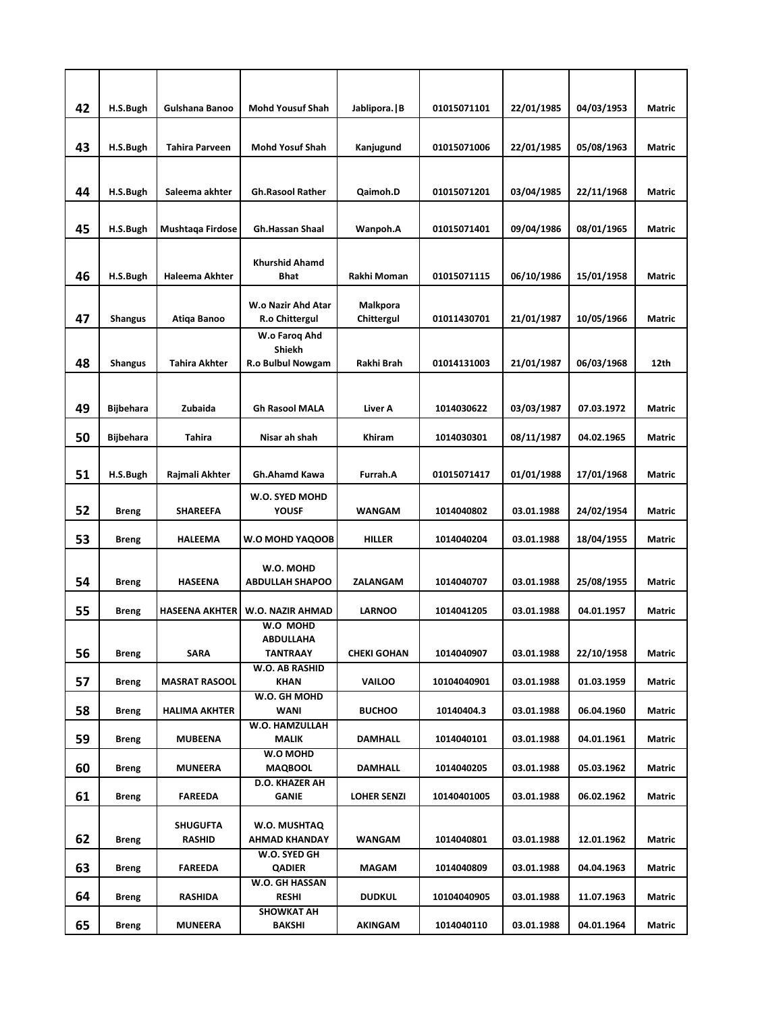| 42 | H.S.Bugh         | Gulshana Banoo        | <b>Mohd Yousuf Shah</b>              | Jablipora.   B     | 01015071101 | 22/01/1985 | 04/03/1953 | <b>Matric</b> |
|----|------------------|-----------------------|--------------------------------------|--------------------|-------------|------------|------------|---------------|
|    |                  |                       |                                      |                    |             |            |            |               |
| 43 | H.S.Bugh         | <b>Tahira Parveen</b> | <b>Mohd Yosuf Shah</b>               | Kanjugund          | 01015071006 | 22/01/1985 | 05/08/1963 | <b>Matric</b> |
|    |                  |                       |                                      |                    |             |            |            |               |
| 44 | H.S.Bugh         | Saleema akhter        | <b>Gh.Rasool Rather</b>              | Qaimoh.D           | 01015071201 | 03/04/1985 | 22/11/1968 | <b>Matric</b> |
|    |                  |                       |                                      |                    |             |            |            |               |
| 45 | H.S.Bugh         | Mushtaga Firdose      | <b>Gh.Hassan Shaal</b>               | Wanpoh.A           | 01015071401 | 09/04/1986 | 08/01/1965 | Matric        |
|    |                  |                       |                                      |                    |             |            |            |               |
| 46 | H.S.Bugh         | <b>Haleema Akhter</b> | <b>Khurshid Ahamd</b><br><b>Bhat</b> | Rakhi Moman        | 01015071115 | 06/10/1986 | 15/01/1958 | <b>Matric</b> |
|    |                  |                       |                                      |                    |             |            |            |               |
|    |                  |                       | W.o Nazir Ahd Atar                   | Malkpora           |             |            |            |               |
| 47 | <b>Shangus</b>   | Atiqa Banoo           | R.o Chittergul                       | Chittergul         | 01011430701 | 21/01/1987 | 10/05/1966 | <b>Matric</b> |
|    |                  |                       | W.o Faroq Ahd                        |                    |             |            |            |               |
| 48 | <b>Shangus</b>   | <b>Tahira Akhter</b>  | Shiekh<br>R.o Bulbul Nowgam          | Rakhi Brah         | 01014131003 | 21/01/1987 | 06/03/1968 | 12th          |
|    |                  |                       |                                      |                    |             |            |            |               |
|    |                  |                       |                                      |                    |             |            |            |               |
| 49 | <b>Bijbehara</b> | Zubaida               | <b>Gh Rasool MALA</b>                | Liver A            | 1014030622  | 03/03/1987 | 07.03.1972 | <b>Matric</b> |
| 50 | <b>Bijbehara</b> | Tahira                | Nisar ah shah                        | Khiram             | 1014030301  | 08/11/1987 | 04.02.1965 | <b>Matric</b> |
|    |                  |                       |                                      |                    |             |            |            |               |
| 51 | H.S.Bugh         | Rajmali Akhter        | Gh.Ahamd Kawa                        | Furrah.A           | 01015071417 | 01/01/1988 | 17/01/1968 | Matric        |
|    |                  |                       |                                      |                    |             |            |            |               |
| 52 | <b>Breng</b>     | <b>SHAREEFA</b>       | W.O. SYED MOHD<br><b>YOUSF</b>       | <b>WANGAM</b>      | 1014040802  | 03.01.1988 | 24/02/1954 | <b>Matric</b> |
|    |                  |                       |                                      |                    |             |            |            |               |
| 53 | <b>Breng</b>     | <b>HALEEMA</b>        | W.O MOHD YAQOOB                      | <b>HILLER</b>      | 1014040204  | 03.01.1988 | 18/04/1955 | <b>Matric</b> |
|    |                  |                       |                                      |                    |             |            |            |               |
| 54 | <b>Breng</b>     | <b>HASEENA</b>        | W.O. MOHD<br><b>ABDULLAH SHAPOO</b>  | ZALANGAM           | 1014040707  | 03.01.1988 | 25/08/1955 | Matric        |
|    |                  |                       |                                      |                    |             |            |            |               |
| 55 | <b>Breng</b>     | <b>HASEENA AKHTER</b> | W.O. NAZIR AHMAD                     | <b>LARNOO</b>      | 1014041205  | 03.01.1988 | 04.01.1957 | Matric        |
|    |                  |                       | W.O MOHD<br><b>ABDULLAHA</b>         |                    |             |            |            |               |
| 56 | <b>Breng</b>     | <b>SARA</b>           | <b>TANTRAAY</b>                      | <b>CHEKI GOHAN</b> | 1014040907  | 03.01.1988 | 22/10/1958 | Matric        |
|    |                  |                       | W.O. AB RASHID                       |                    |             |            |            |               |
| 57 | <b>Breng</b>     | <b>MASRAT RASOOL</b>  | <b>KHAN</b>                          | <b>VAILOO</b>      | 10104040901 | 03.01.1988 | 01.03.1959 | Matric        |
| 58 | Breng            | <b>HALIMA AKHTER</b>  | W.O. GH MOHD<br>WANI                 | <b>BUCHOO</b>      | 10140404.3  | 03.01.1988 | 06.04.1960 | <b>Matric</b> |
|    |                  |                       | W.O. HAMZULLAH                       |                    |             |            |            |               |
| 59 | <b>Breng</b>     | <b>MUBEENA</b>        | <b>MALIK</b>                         | DAMHALL            | 1014040101  | 03.01.1988 | 04.01.1961 | Matric        |
| 60 | <b>Breng</b>     | MUNEERA               | W.O MOHD<br><b>MAQBOOL</b>           | <b>DAMHALL</b>     | 1014040205  | 03.01.1988 | 05.03.1962 | Matric        |
|    |                  |                       | D.O. KHAZER AH                       |                    |             |            |            |               |
| 61 | <b>Breng</b>     | <b>FAREEDA</b>        | GANIE                                | <b>LOHER SENZI</b> | 10140401005 | 03.01.1988 | 06.02.1962 | Matric        |
|    |                  | <b>SHUGUFTA</b>       | W.O. MUSHTAQ                         |                    |             |            |            |               |
| 62 | <b>Breng</b>     | <b>RASHID</b>         | AHMAD KHANDAY                        | WANGAM             | 1014040801  | 03.01.1988 | 12.01.1962 | Matric        |
|    |                  |                       | W.O. SYED GH                         |                    |             |            |            |               |
| 63 | <b>Breng</b>     | <b>FAREEDA</b>        | <b>QADIER</b>                        | MAGAM              | 1014040809  | 03.01.1988 | 04.04.1963 | Matric        |
| 64 | <b>Breng</b>     | RASHIDA               | W.O. GH HASSAN<br><b>RESHI</b>       | <b>DUDKUL</b>      | 10104040905 | 03.01.1988 | 11.07.1963 | Matric        |
|    |                  |                       | <b>SHOWKAT AH</b>                    |                    |             |            |            |               |
| 65 | Breng            | <b>MUNEERA</b>        | BAKSHI                               | AKINGAM            | 1014040110  | 03.01.1988 | 04.01.1964 | Matric        |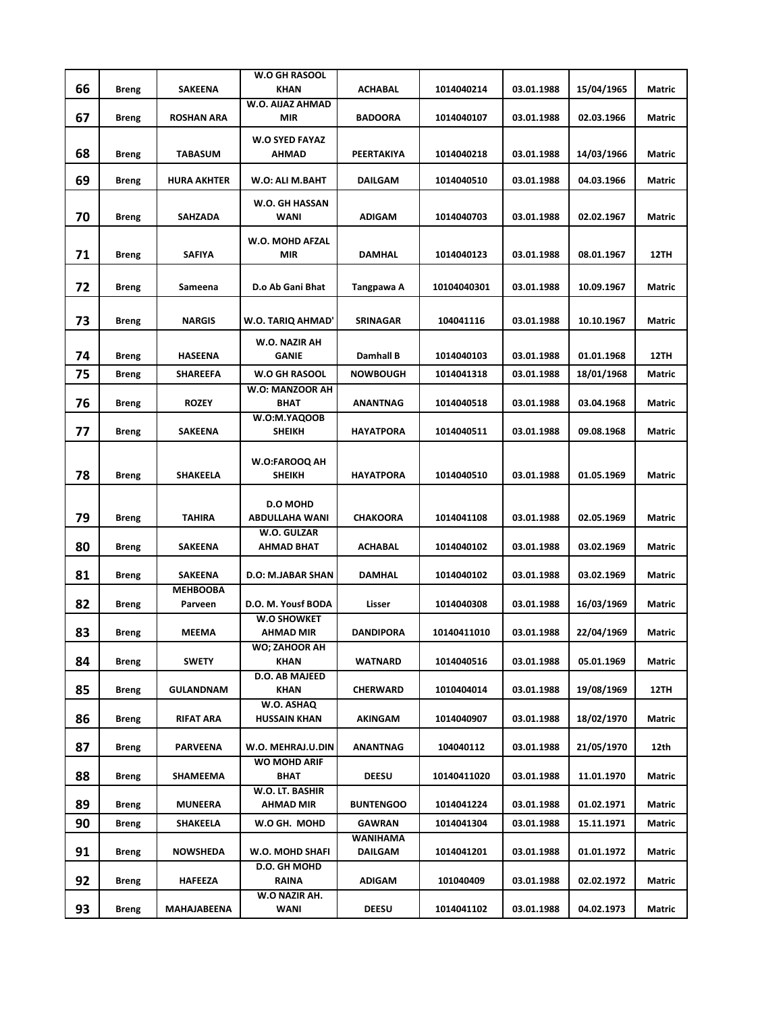| 66 |              | SAKEENA                    | <b>W.O GH RASOOL</b><br><b>KHAN</b> | <b>ACHABAL</b>             | 1014040214  | 03.01.1988 | 15/04/1965 | Matric      |
|----|--------------|----------------------------|-------------------------------------|----------------------------|-------------|------------|------------|-------------|
|    | <b>Breng</b> |                            | W.O. AIJAZ AHMAD                    |                            |             |            |            |             |
| 67 | Breng        | <b>ROSHAN ARA</b>          | <b>MIR</b>                          | <b>BADOORA</b>             | 1014040107  | 03.01.1988 | 02.03.1966 | Matric      |
| 68 | <b>Breng</b> | <b>TABASUM</b>             | <b>W.O SYED FAYAZ</b><br>AHMAD      | PEERTAKIYA                 | 1014040218  | 03.01.1988 | 14/03/1966 | Matric      |
| 69 | <b>Breng</b> | <b>HURA AKHTER</b>         | W.O: ALI M.BAHT                     | <b>DAILGAM</b>             | 1014040510  | 03.01.1988 | 04.03.1966 | Matric      |
|    |              |                            | W.O. GH HASSAN                      |                            |             |            |            |             |
| 70 | <b>Breng</b> | <b>SAHZADA</b>             | <b>WANI</b>                         | <b>ADIGAM</b>              | 1014040703  | 03.01.1988 | 02.02.1967 | Matric      |
| 71 | <b>Breng</b> | <b>SAFIYA</b>              | W.O. MOHD AFZAL<br>MIR              | DAMHAL                     | 1014040123  | 03.01.1988 | 08.01.1967 | <b>12TH</b> |
| 72 | Breng        | Sameena                    | D.o Ab Gani Bhat                    | Tangpawa A                 | 10104040301 | 03.01.1988 | 10.09.1967 | Matric      |
|    |              |                            |                                     |                            |             |            |            |             |
| 73 | <b>Breng</b> | <b>NARGIS</b>              | W.O. TARIQ AHMAD'                   | <b>SRINAGAR</b>            | 104041116   | 03.01.1988 | 10.10.1967 | Matric      |
| 74 | <b>Breng</b> | <b>HASEENA</b>             | W.O. NAZIR AH<br><b>GANIE</b>       | Damhall B                  | 1014040103  | 03.01.1988 | 01.01.1968 | <b>12TH</b> |
| 75 | <b>Breng</b> | <b>SHAREEFA</b>            | <b>W.O GH RASOOL</b>                | <b>NOWBOUGH</b>            | 1014041318  | 03.01.1988 | 18/01/1968 | Matric      |
| 76 | <b>Breng</b> | <b>ROZEY</b>               | W.O: MANZOOR AH<br><b>BHAT</b>      | ANANTNAG                   | 1014040518  | 03.01.1988 | 03.04.1968 | Matric      |
| 77 | Breng        | <b>SAKEENA</b>             | W.O:M.YAQOOB<br><b>SHEIKH</b>       | <b>HAYATPORA</b>           | 1014040511  | 03.01.1988 | 09.08.1968 | Matric      |
|    |              |                            |                                     |                            |             |            |            |             |
| 78 | <b>Breng</b> | <b>SHAKEELA</b>            | <b>W.O:FAROOQ AH</b><br>SHEIKH      | <b>HAYATPORA</b>           | 1014040510  | 03.01.1988 | 01.05.1969 | Matric      |
|    |              |                            | <b>D.O MOHD</b>                     |                            |             |            |            |             |
| 79 | <b>Breng</b> | <b>TAHIRA</b>              | <b>ABDULLAHA WANI</b>               | <b>CHAKOORA</b>            | 1014041108  | 03.01.1988 | 02.05.1969 | Matric      |
| 80 | <b>Breng</b> | <b>SAKEENA</b>             | W.O. GULZAR<br>AHMAD BHAT           | <b>ACHABAL</b>             | 1014040102  | 03.01.1988 | 03.02.1969 | Matric      |
| 81 | <b>Breng</b> | SAKEENA                    | D.O: M.JABAR SHAN                   | DAMHAL                     | 1014040102  | 03.01.1988 | 03.02.1969 | Matric      |
| 82 | <b>Breng</b> | <b>MEHBOOBA</b><br>Parveen | D.O. M. Yousf BODA                  | Lisser                     | 1014040308  | 03.01.1988 | 16/03/1969 | Matric      |
|    |              |                            | W.O SHOWKET                         |                            |             |            |            |             |
| 83 | <b>Breng</b> | <b>MEEMA</b>               | AHMAD MIR<br>WO; ZAHOOR AH          | DANDIPORA                  | 10140411010 | 03.01.1988 | 22/04/1969 | Matric      |
| 84 | <b>Breng</b> | SWETY                      | KHAN                                | <b>WATNARD</b>             | 1014040516  | 03.01.1988 | 05.01.1969 | Matric      |
| 85 | <b>Breng</b> | GULANDNAM                  | D.O. AB MAJEED<br>KHAN              | <b>CHERWARD</b>            | 1010404014  | 03.01.1988 | 19/08/1969 | 12TH        |
| 86 | Breng        | <b>RIFAT ARA</b>           | W.O. ASHAQ<br><b>HUSSAIN KHAN</b>   | AKINGAM                    | 1014040907  | 03.01.1988 | 18/02/1970 | Matric      |
| 87 | Breng        | PARVEENA                   | W.O. MEHRAJ.U.DIN                   | ANANTNAG                   | 104040112   | 03.01.1988 | 21/05/1970 | 12th        |
| 88 | <b>Breng</b> | SHAMEEMA                   | <b>WO MOHD ARIF</b><br>BHAT         | DEESU                      | 10140411020 | 03.01.1988 | 11.01.1970 | Matric      |
| 89 | Breng        | <b>MUNEERA</b>             | W.O. LT. BASHIR<br><b>AHMAD MIR</b> | <b>BUNTENGOO</b>           | 1014041224  | 03.01.1988 | 01.02.1971 | Matric      |
| 90 | Breng        | SHAKEELA                   | W.O GH. MOHD                        | <b>GAWRAN</b>              | 1014041304  | 03.01.1988 | 15.11.1971 | Matric      |
| 91 | Breng        | <b>NOWSHEDA</b>            | W.O. MOHD SHAFI                     | WANIHAMA<br><b>DAILGAM</b> | 1014041201  | 03.01.1988 | 01.01.1972 | Matric      |
| 92 | <b>Breng</b> | HAFEEZA                    | D.O. GH MOHD<br>RAINA               | <b>ADIGAM</b>              | 101040409   | 03.01.1988 | 02.02.1972 | Matric      |
| 93 | <b>Breng</b> | MAHAJABEENA                | W.O NAZIR AH.<br>WANI               | <b>DEESU</b>               | 1014041102  | 03.01.1988 | 04.02.1973 | Matric      |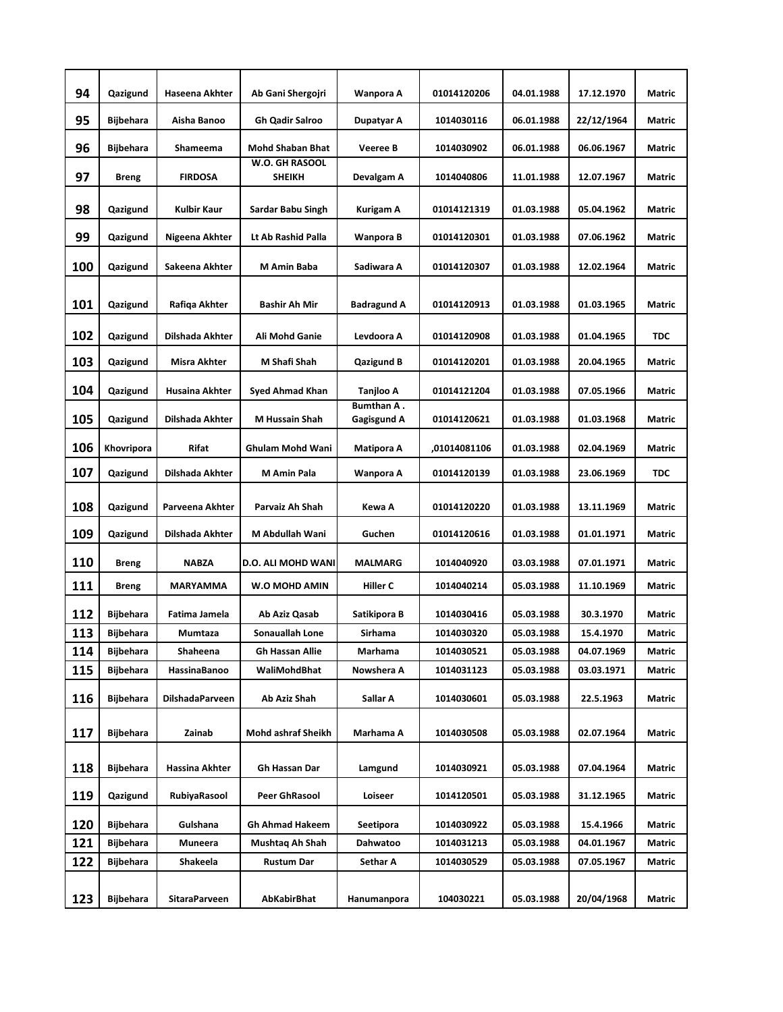| 94  | Qazigund         | Haseena Akhter         | Ab Gani Shergojri               | Wanpora A                        | 01014120206  | 04.01.1988 | 17.12.1970 | <b>Matric</b> |
|-----|------------------|------------------------|---------------------------------|----------------------------------|--------------|------------|------------|---------------|
| 95  | Bijbehara        | Aisha Banoo            | <b>Gh Qadir Salroo</b>          | Dupatyar A                       | 1014030116   | 06.01.1988 | 22/12/1964 | Matric        |
| 96  | Bijbehara        | Shameema               | <b>Mohd Shaban Bhat</b>         | <b>Veeree B</b>                  | 1014030902   | 06.01.1988 | 06.06.1967 | Matric        |
| 97  | <b>Breng</b>     | <b>FIRDOSA</b>         | W.O. GH RASOOL<br><b>SHEIKH</b> | Devalgam A                       | 1014040806   | 11.01.1988 | 12.07.1967 | Matric        |
|     |                  |                        |                                 |                                  | 01014121319  |            |            |               |
| 98  | Qazigund         | <b>Kulbir Kaur</b>     | Sardar Babu Singh               | Kurigam A                        |              | 01.03.1988 | 05.04.1962 | Matric        |
| 99  | Qazigund         | Nigeena Akhter         | Lt Ab Rashid Palla              | Wanpora B                        | 01014120301  | 01.03.1988 | 07.06.1962 | Matric        |
| 100 | Qazigund         | Sakeena Akhter         | M Amin Baba                     | Sadiwara A                       | 01014120307  | 01.03.1988 | 12.02.1964 | Matric        |
| 101 | Qazigund         | Rafiqa Akhter          | Bashir Ah Mir                   | <b>Badragund A</b>               | 01014120913  | 01.03.1988 | 01.03.1965 | Matric        |
| 102 | Qazigund         | Dilshada Akhter        | Ali Mohd Ganie                  | Levdoora A                       | 01014120908  | 01.03.1988 | 01.04.1965 | <b>TDC</b>    |
| 103 | Qazigund         | Misra Akhter           | M Shafi Shah                    | <b>Qazigund B</b>                | 01014120201  | 01.03.1988 | 20.04.1965 | Matric        |
| 104 | Qazigund         | Husaina Akhter         | Syed Ahmad Khan                 | Tanjloo A                        | 01014121204  | 01.03.1988 | 07.05.1966 | Matric        |
| 105 | Qazigund         | Dilshada Akhter        | M Hussain Shah                  | Bumthan A.<br><b>Gagisgund A</b> | 01014120621  | 01.03.1988 | 01.03.1968 | Matric        |
| 106 | Khovripora       | Rifat                  | Ghulam Mohd Wani                | Matipora A                       | ,01014081106 | 01.03.1988 | 02.04.1969 | Matric        |
| 107 | Qazigund         | Dilshada Akhter        | M Amin Pala                     | Wanpora A                        | 01014120139  | 01.03.1988 | 23.06.1969 | <b>TDC</b>    |
| 108 | Qazigund         | Parveena Akhter        | Parvaiz Ah Shah                 | Kewa A                           | 01014120220  | 01.03.1988 | 13.11.1969 | Matric        |
| 109 | Qazigund         | Dilshada Akhter        | M Abdullah Wani                 | Guchen                           | 01014120616  | 01.03.1988 | 01.01.1971 | Matric        |
| 110 | <b>Breng</b>     | <b>NABZA</b>           | D.O. ALI MOHD WANI              | <b>MALMARG</b>                   | 1014040920   | 03.03.1988 | 07.01.1971 | Matric        |
| 111 | <b>Breng</b>     | MARYAMMA               | W.O MOHD AMIN                   | Hiller C                         | 1014040214   | 05.03.1988 | 11.10.1969 | Matric        |
| 112 | <b>Bijbehara</b> | Fatima Jamela          | Ab Aziz Qasab                   | Satikipora B                     | 1014030416   | 05.03.1988 | 30.3.1970  | Matric        |
| 113 | Bijbehara        | Mumtaza                | Sonauallah Lone                 | <b>Sirhama</b>                   | 1014030320   | 05.03.1988 | 15.4.1970  | Matric        |
| 114 | <b>Bijbehara</b> | Shaheena               | <b>Gh Hassan Allie</b>          | Marhama                          | 1014030521   | 05.03.1988 | 04.07.1969 | Matric        |
| 115 | <b>Bijbehara</b> | HassinaBanoo           | WaliMohdBhat                    | Nowshera A                       | 1014031123   | 05.03.1988 | 03.03.1971 | Matric        |
| 116 | <b>Bijbehara</b> | <b>DilshadaParveen</b> | Ab Aziz Shah                    | Sallar A                         | 1014030601   | 05.03.1988 | 22.5.1963  | Matric        |
| 117 | Bijbehara        | Zainab                 | Mohd ashraf Sheikh              | Marhama A                        | 1014030508   | 05.03.1988 | 02.07.1964 | Matric        |
| 118 | <b>Bijbehara</b> | Hassina Akhter         | Gh Hassan Dar                   | Lamgund                          | 1014030921   | 05.03.1988 | 07.04.1964 | Matric        |
| 119 | Qazigund         | RubiyaRasool           | Peer GhRasool                   | Loiseer                          | 1014120501   | 05.03.1988 | 31.12.1965 | Matric        |
| 120 | Bijbehara        | Gulshana               | Gh Ahmad Hakeem                 | Seetipora                        | 1014030922   | 05.03.1988 | 15.4.1966  | Matric        |
| 121 | <b>Bijbehara</b> | Muneera                | Mushtaq Ah Shah                 | Dahwatoo                         | 1014031213   | 05.03.1988 | 04.01.1967 | Matric        |
| 122 | Bijbehara        | Shakeela               | <b>Rustum Dar</b>               | Sethar A                         | 1014030529   | 05.03.1988 | 07.05.1967 | Matric        |
| 123 | <b>Bijbehara</b> | <b>SitaraParveen</b>   | AbKabirBhat                     | Hanumanpora                      | 104030221    | 05.03.1988 | 20/04/1968 | Matric        |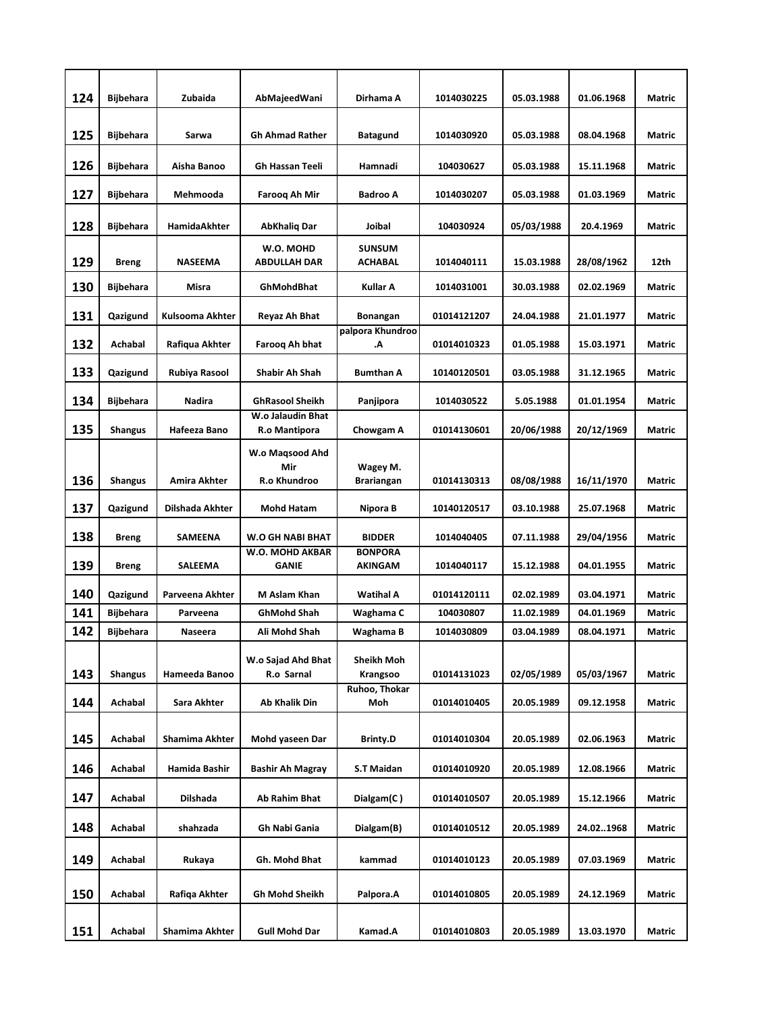| 124 |                  | Zubaida             |                                    |                                 |             |            |            |               |
|-----|------------------|---------------------|------------------------------------|---------------------------------|-------------|------------|------------|---------------|
|     | <b>Bijbehara</b> |                     | AbMajeedWani                       | Dirhama A                       | 1014030225  | 05.03.1988 | 01.06.1968 | Matric        |
| 125 | <b>Bijbehara</b> | Sarwa               | <b>Gh Ahmad Rather</b>             | <b>Batagund</b>                 | 1014030920  | 05.03.1988 | 08.04.1968 | Matric        |
| 126 | Bijbehara        | Aisha Banoo         | <b>Gh Hassan Teeli</b>             | Hamnadi                         | 104030627   | 05.03.1988 | 15.11.1968 | Matric        |
| 127 | Bijbehara        | Mehmooda            | Farooq Ah Mir                      | <b>Badroo A</b>                 | 1014030207  | 05.03.1988 | 01.03.1969 | Matric        |
| 128 | <b>Bijbehara</b> | <b>HamidaAkhter</b> | <b>AbKhalig Dar</b>                | Joibal                          | 104030924   | 05/03/1988 | 20.4.1969  | <b>Matric</b> |
| 129 | <b>Breng</b>     | <b>NASEEMA</b>      | W.O. MOHD<br><b>ABDULLAH DAR</b>   | <b>SUNSUM</b><br><b>ACHABAL</b> | 1014040111  | 15.03.1988 | 28/08/1962 | 12th          |
| 130 | Bijbehara        | Misra               | GhMohdBhat                         | <b>Kullar A</b>                 | 1014031001  | 30.03.1988 | 02.02.1969 | <b>Matric</b> |
| 131 | Qazigund         | Kulsooma Akhter     | Reyaz Ah Bhat                      | Bonangan                        | 01014121207 | 24.04.1988 | 21.01.1977 | <b>Matric</b> |
| 132 | Achabal          | Rafiqua Akhter      | Farooq Ah bhat                     | palpora Khundroo<br>А.          | 01014010323 | 01.05.1988 | 15.03.1971 | <b>Matric</b> |
| 133 | Qazigund         | Rubiya Rasool       | Shabir Ah Shah                     | <b>Bumthan A</b>                | 10140120501 | 03.05.1988 | 31.12.1965 | <b>Matric</b> |
| 134 | <b>Bijbehara</b> | Nadira              | <b>GhRasool Sheikh</b>             | Panjipora                       | 1014030522  | 5.05.1988  | 01.01.1954 | Matric        |
| 135 | Shangus          | Hafeeza Bano        | W.o Jalaudin Bhat<br>R.o Mantipora | Chowgam A                       | 01014130601 | 20/06/1988 | 20/12/1969 | <b>Matric</b> |
|     |                  |                     | W.o Magsood Ahd<br>Mir             | Wagey M.                        |             |            |            |               |
| 136 | <b>Shangus</b>   | Amira Akhter        | R.o Khundroo                       | <b>Brariangan</b>               | 01014130313 | 08/08/1988 | 16/11/1970 | <b>Matric</b> |
| 137 | Qazigund         | Dilshada Akhter     | <b>Mohd Hatam</b>                  | Nipora B                        | 10140120517 | 03.10.1988 | 25.07.1968 | Matric        |
| 138 | <b>Breng</b>     | SAMEENA             | W.O GH NABI BHAT                   | <b>BIDDER</b>                   | 1014040405  | 07.11.1988 | 29/04/1956 | Matric        |
| 139 | Breng            | <b>SALEEMA</b>      | W.O. MOHD AKBAR<br><b>GANIE</b>    | <b>BONPORA</b><br>AKINGAM       | 1014040117  | 15.12.1988 | 04.01.1955 | <b>Matric</b> |
| 140 | Qazigund         | Parveena Akhter     | M Aslam Khan                       | <b>Watihal A</b>                | 01014120111 | 02.02.1989 | 03.04.1971 | <b>Matric</b> |
| 141 | <b>Bijbehara</b> | Parveena            | <b>GhMohd Shah</b>                 | Waghama C                       | 104030807   | 11.02.1989 | 04.01.1969 | <b>Matric</b> |
| 142 | <b>Bijbehara</b> | Naseera             | Ali Mohd Shah                      | Waghama B                       | 1014030809  | 03.04.1989 | 08.04.1971 | Matric        |
| 143 | <b>Shangus</b>   | Hameeda Banoo       | W.o Sajad Ahd Bhat<br>R.o Sarnal   | Sheikh Moh<br>Krangsoo          | 01014131023 | 02/05/1989 | 05/03/1967 | Matric        |
| 144 | Achabal          | Sara Akhter         | <b>Ab Khalik Din</b>               | Ruhoo, Thokar<br>Moh            | 01014010405 | 20.05.1989 | 09.12.1958 | Matric        |
| 145 | Achabal          | Shamima Akhter      | Mohd yaseen Dar                    | <b>Brinty.D</b>                 | 01014010304 | 20.05.1989 | 02.06.1963 | Matric        |
| 146 | Achabal          | Hamida Bashir       | Bashir Ah Magray                   | S.T Maidan                      | 01014010920 | 20.05.1989 | 12.08.1966 | Matric        |
| 147 | Achabal          | Dilshada            | Ab Rahim Bhat                      | Dialgam(C)                      | 01014010507 | 20.05.1989 | 15.12.1966 | Matric        |
| 148 | Achabal          | shahzada            | Gh Nabi Gania                      | Dialgam(B)                      | 01014010512 | 20.05.1989 | 24.021968  | Matric        |
| 149 | Achabal          | Rukaya              | Gh. Mohd Bhat                      | kammad                          | 01014010123 | 20.05.1989 | 07.03.1969 | Matric        |
| 150 | Achabal          | Rafiqa Akhter       | Gh Mohd Sheikh                     | Palpora.A                       | 01014010805 | 20.05.1989 | 24.12.1969 | Matric        |
| 151 | Achabal          | Shamima Akhter      | Gull Mohd Dar                      | Kamad.A                         | 01014010803 | 20.05.1989 | 13.03.1970 | Matric        |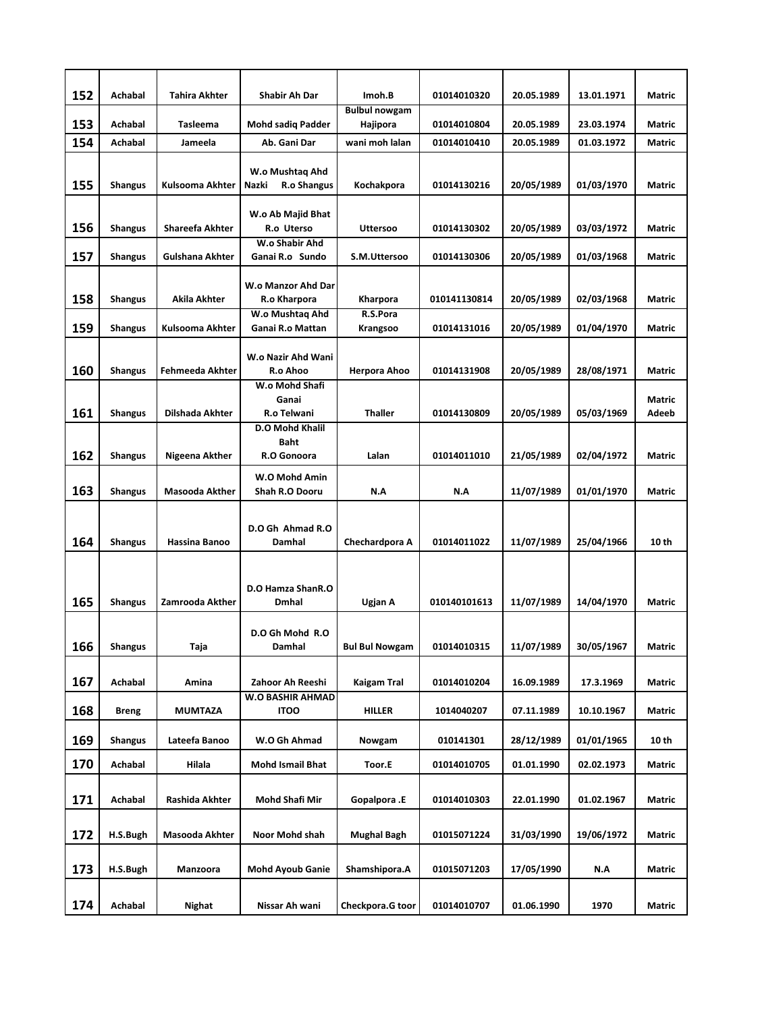| 152 | Achabal        | <b>Tahira Akhter</b>   | Shabir Ah Dar                                        | Imoh.B                           | 01014010320  | 20.05.1989 | 13.01.1971 | <b>Matric</b>          |
|-----|----------------|------------------------|------------------------------------------------------|----------------------------------|--------------|------------|------------|------------------------|
| 153 | Achabal        | <b>Tasleema</b>        | <b>Mohd sadig Padder</b>                             | <b>Bulbul nowgam</b><br>Hajipora | 01014010804  | 20.05.1989 | 23.03.1974 | Matric                 |
| 154 | Achabal        | Jameela                | Ab. Gani Dar                                         | wani moh lalan                   | 01014010410  | 20.05.1989 | 01.03.1972 | <b>Matric</b>          |
|     |                |                        |                                                      |                                  |              |            |            |                        |
| 155 | <b>Shangus</b> | Kulsooma Akhter        | W.o Mushtaq Ahd<br>Nazki<br>R.o Shangus              | Kochakpora                       | 01014130216  | 20/05/1989 | 01/03/1970 | <b>Matric</b>          |
| 156 | <b>Shangus</b> | <b>Shareefa Akhter</b> | W.o Ab Majid Bhat<br>R.o Uterso                      | <b>Uttersoo</b>                  | 01014130302  | 20/05/1989 | 03/03/1972 | <b>Matric</b>          |
| 157 | Shangus        | Gulshana Akhter        | W.o Shabir Ahd<br>Ganai R.o Sundo                    | S.M.Uttersoo                     | 01014130306  | 20/05/1989 | 01/03/1968 | Matric                 |
| 158 | <b>Shangus</b> | Akila Akhter           | W.o Manzor Ahd Dar<br>R.o Kharpora                   | Kharpora                         | 010141130814 | 20/05/1989 | 02/03/1968 | <b>Matric</b>          |
| 159 | Shangus        | Kulsooma Akhter        | W.o Mushtaq Ahd<br>Ganai R.o Mattan                  | R.S.Pora<br>Krangsoo             | 01014131016  | 20/05/1989 | 01/04/1970 | <b>Matric</b>          |
| 160 | <b>Shangus</b> | Fehmeeda Akhter        | W.o Nazir Ahd Wani<br>R.o Ahoo                       | Herpora Ahoo                     | 01014131908  | 20/05/1989 | 28/08/1971 | <b>Matric</b>          |
| 161 | <b>Shangus</b> | Dilshada Akhter        | W.o Mohd Shafi<br>Ganai<br>R.o Telwani               | <b>Thaller</b>                   | 01014130809  | 20/05/1989 | 05/03/1969 | <b>Matric</b><br>Adeeb |
| 162 | Shangus        | Nigeena Akther         | <b>D.O Mohd Khalil</b><br><b>Baht</b><br>R.O Gonoora | Lalan                            | 01014011010  | 21/05/1989 | 02/04/1972 | Matric                 |
| 163 | <b>Shangus</b> | <b>Masooda Akther</b>  | W.O Mohd Amin<br><b>Shah R.O Dooru</b>               | N.A                              | N.A          | 11/07/1989 | 01/01/1970 | <b>Matric</b>          |
| 164 | <b>Shangus</b> | <b>Hassina Banoo</b>   | D.O Gh Ahmad R.O<br>Damhal                           | Chechardpora A                   | 01014011022  | 11/07/1989 | 25/04/1966 | 10 th                  |
| 165 | Shangus        | Zamrooda Akther        | D.O Hamza ShanR.O<br><b>Dmhal</b>                    | Ugjan A                          | 010140101613 | 11/07/1989 | 14/04/1970 | <b>Matric</b>          |
| 166 | <b>Shangus</b> | Taja                   | D.O Gh Mohd R.O<br>Damhal                            | <b>Bul Bul Nowgam</b>            | 01014010315  | 11/07/1989 | 30/05/1967 | Matric                 |
| 167 | Achabal        | Amina                  | Zahoor Ah Reeshi                                     | <b>Kaigam Tral</b>               | 01014010204  | 16.09.1989 | 17.3.1969  | Matric                 |
| 168 | <b>Breng</b>   | MUMTAZA                | W.O BASHIR AHMAD<br><b>ITOO</b>                      | HILLER                           | 1014040207   | 07.11.1989 | 10.10.1967 | Matric                 |
| 169 | <b>Shangus</b> | Lateefa Banoo          | W.O Gh Ahmad                                         | Nowgam                           | 010141301    | 28/12/1989 | 01/01/1965 | 10 th                  |
| 170 | Achabal        | Hilala                 | <b>Mohd Ismail Bhat</b>                              | Toor.E                           | 01014010705  | 01.01.1990 | 02.02.1973 | Matric                 |
|     |                |                        |                                                      |                                  |              |            |            |                        |
| 171 | <b>Achabal</b> | Rashida Akhter         | Mohd Shafi Mir                                       | Gopalpora .E                     | 01014010303  | 22.01.1990 | 01.02.1967 | Matric                 |
| 172 | H.S.Bugh       | Masooda Akhter         | Noor Mohd shah                                       | Mughal Bagh                      | 01015071224  | 31/03/1990 | 19/06/1972 | Matric                 |
| 173 | H.S.Bugh       | Manzoora               | <b>Mohd Ayoub Ganie</b>                              | Shamshipora.A                    | 01015071203  | 17/05/1990 | N.A        | Matric                 |
| 174 | Achabal        | Nighat                 | Nissar Ah wani                                       | Checkpora.G toor                 | 01014010707  | 01.06.1990 | 1970       | Matric                 |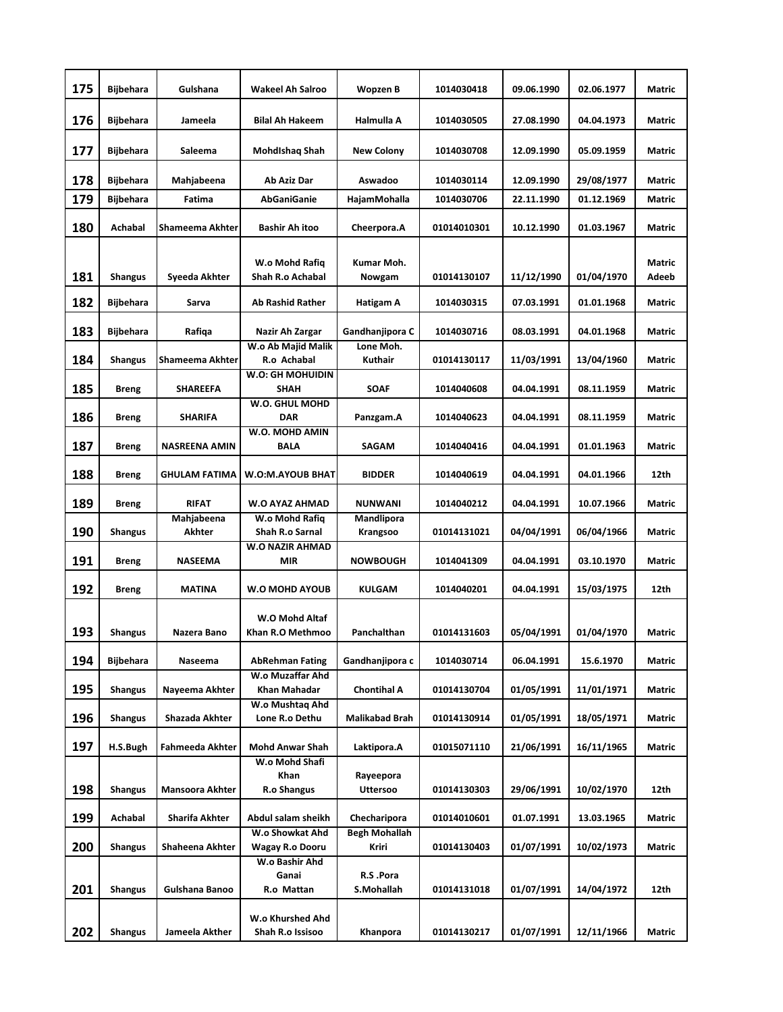| 175 | <b>Bijbehara</b> | Gulshana              | <b>Wakeel Ah Salroo</b>                   | <b>Wopzen B</b>               | 1014030418  | 09.06.1990 | 02.06.1977 | Matric          |
|-----|------------------|-----------------------|-------------------------------------------|-------------------------------|-------------|------------|------------|-----------------|
| 176 | Bijbehara        | Jameela               | Bilal Ah Hakeem                           | Halmulla A                    | 1014030505  | 27.08.1990 | 04.04.1973 | Matric          |
| 177 | Bijbehara        | Saleema               | Mohdishaq Shah                            | <b>New Colony</b>             | 1014030708  | 12.09.1990 | 05.09.1959 | Matric          |
| 178 | Bijbehara        | Mahjabeena            | Ab Aziz Dar                               | Aswadoo                       | 1014030114  | 12.09.1990 | 29/08/1977 | Matric          |
| 179 | <b>Bijbehara</b> | Fatima                | <b>AbGaniGanie</b>                        | HajamMohalla                  | 1014030706  | 22.11.1990 | 01.12.1969 | Matric          |
| 180 | <b>Achabal</b>   | Shameema Akhter       | <b>Bashir Ah itoo</b>                     | Cheerpora.A                   | 01014010301 | 10.12.1990 | 01.03.1967 | <b>Matric</b>   |
| 181 | <b>Shangus</b>   | Syeeda Akhter         | W.o Mohd Rafiq<br>Shah R.o Achabal        | Kumar Moh.<br>Nowgam          | 01014130107 | 11/12/1990 | 01/04/1970 | Matric<br>Adeeb |
| 182 | Bijbehara        | Sarva                 | <b>Ab Rashid Rather</b>                   | Hatigam A                     | 1014030315  | 07.03.1991 | 01.01.1968 | Matric          |
| 183 | <b>Bijbehara</b> | Rafiqa                | Nazir Ah Zargar                           | Gandhanjipora C               | 1014030716  | 08.03.1991 | 04.01.1968 | Matric          |
| 184 | <b>Shangus</b>   | Shameema Akhter       | W.o Ab Majid Malik<br>R.o Achabal         | Lone Moh.<br>Kuthair          | 01014130117 | 11/03/1991 | 13/04/1960 | Matric          |
|     |                  |                       | W.O: GH MOHUIDIN                          |                               |             |            |            |                 |
| 185 | <b>Breng</b>     | <b>SHAREEFA</b>       | <b>SHAH</b><br>W.O. GHUL MOHD             | <b>SOAF</b>                   | 1014040608  | 04.04.1991 | 08.11.1959 | Matric          |
| 186 | <b>Breng</b>     | <b>SHARIFA</b>        | <b>DAR</b>                                | Panzgam.A                     | 1014040623  | 04.04.1991 | 08.11.1959 | Matric          |
| 187 | <b>Breng</b>     | <b>NASREENA AMIN</b>  | W.O. MOHD AMIN<br>BALA                    | SAGAM                         | 1014040416  | 04.04.1991 | 01.01.1963 | Matric          |
| 188 | <b>Breng</b>     | <b>GHULAM FATIMA</b>  | <b>W.O:M.AYOUB BHAT</b>                   | <b>BIDDER</b>                 | 1014040619  | 04.04.1991 | 04.01.1966 | 12th            |
| 189 | <b>Breng</b>     | <b>RIFAT</b>          | <b>W.O AYAZ AHMAD</b>                     | <b>NUNWANI</b>                | 1014040212  | 04.04.1991 | 10.07.1966 | Matric          |
| 190 | Shangus          | Mahjabeena<br>Akhter  | W.o Mohd Rafiq<br>Shah R.o Sarnal         | Mandlipora<br>Krangsoo        | 01014131021 | 04/04/1991 | 06/04/1966 | Matric          |
| 191 | <b>Breng</b>     | NASEEMA               | <b>W.O NAZIR AHMAD</b><br><b>MIR</b>      | <b>NOWBOUGH</b>               | 1014041309  | 04.04.1991 | 03.10.1970 | Matric          |
| 192 | <b>Breng</b>     | <b>MATINA</b>         | <b>W.O MOHD AYOUB</b>                     | <b>KULGAM</b>                 | 1014040201  | 04.04.1991 | 15/03/1975 | 12th            |
| 193 | <b>Shangus</b>   | Nazera Bano           | W.O Mohd Altaf<br>Khan R.O Methmoo        | Panchalthan                   | 01014131603 | 05/04/1991 | 01/04/1970 | Matric          |
| 194 | Bijbehara        | Naseema               | <b>AbRehman Fating</b>                    | Gandhanjipora c               | 1014030714  | 06.04.1991 | 15.6.1970  | Matric          |
| 195 | <b>Shangus</b>   | Nayeema Akhter        | W.o Muzaffar Ahd<br>Khan Mahadar          | Chontihal A                   | 01014130704 | 01/05/1991 | 11/01/1971 | Matric          |
| 196 | <b>Shangus</b>   | Shazada Akhter        | W.o Mushtaq Ahd<br>Lone R.o Dethu         | Malikabad Brah                | 01014130914 | 01/05/1991 | 18/05/1971 | Matric          |
| 197 | H.S.Bugh         | Fahmeeda Akhter       | <b>Mohd Anwar Shah</b>                    | Laktipora.A                   | 01015071110 | 21/06/1991 | 16/11/1965 | Matric          |
|     |                  |                       | W.o Mohd Shafi                            |                               |             |            |            |                 |
| 198 | <b>Shangus</b>   | Mansoora Akhter       | Khan<br><b>R.o Shangus</b>                | Rayeepora<br><b>Uttersoo</b>  | 01014130303 | 29/06/1991 | 10/02/1970 | 12th            |
| 199 | Achabal          | <b>Sharifa Akhter</b> | Abdul salam sheikh                        | Checharipora                  | 01014010601 | 01.07.1991 | 13.03.1965 | Matric          |
| 200 | <b>Shangus</b>   | Shaheena Akhter       | W.o Showkat Ahd<br><b>Wagay R.o Dooru</b> | <b>Begh Mohallah</b><br>Kriri | 01014130403 | 01/07/1991 | 10/02/1973 | Matric          |
|     |                  |                       | W.o Bashir Ahd                            |                               |             |            |            |                 |
| 201 | <b>Shangus</b>   | Gulshana Banoo        | Ganai<br>R.o Mattan                       | R.S.Pora<br>S.Mohallah        | 01014131018 | 01/07/1991 | 14/04/1972 | 12th            |
| 202 | <b>Shangus</b>   | Jameela Akther        | W.o Khurshed Ahd<br>Shah R.o Issisoo      | Khanpora                      | 01014130217 | 01/07/1991 | 12/11/1966 | Matric          |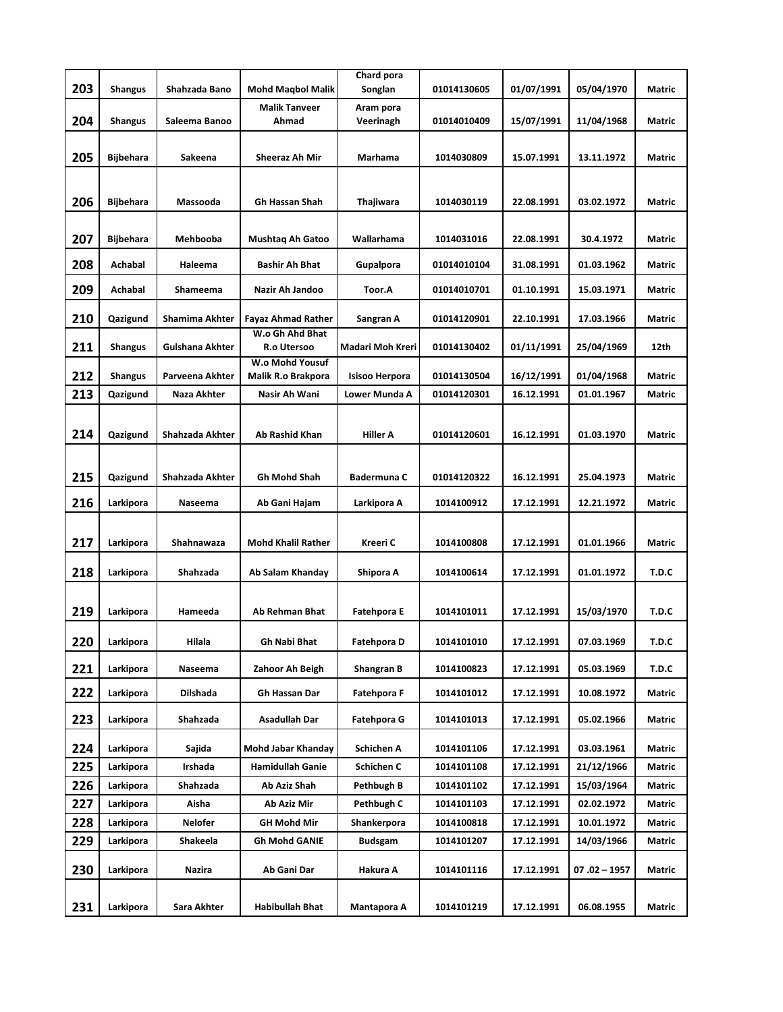|     |                  |                        |                                       | Chard pora              |             |            |                |               |
|-----|------------------|------------------------|---------------------------------------|-------------------------|-------------|------------|----------------|---------------|
| 203 | <b>Shangus</b>   | Shahzada Bano          | <b>Mohd Magbol Malik</b>              | Songlan                 | 01014130605 | 01/07/1991 | 05/04/1970     | Matric        |
| 204 | <b>Shangus</b>   | Saleema Banoo          | Malik Tanveer<br>Ahmad                | Aram pora<br>Veerinagh  | 01014010409 | 15/07/1991 | 11/04/1968     | Matric        |
| 205 | Bijbehara        | Sakeena                | Sheeraz Ah Mir                        | Marhama                 | 1014030809  | 15.07.1991 | 13.11.1972     | Matric        |
|     |                  |                        |                                       |                         |             |            |                |               |
| 206 | <b>Bijbehara</b> | Massooda               | <b>Gh Hassan Shah</b>                 | Thajiwara               | 1014030119  | 22.08.1991 | 03.02.1972     | Matric        |
|     |                  |                        |                                       |                         |             |            |                |               |
| 207 | <b>Bijbehara</b> | Mehbooba               | <b>Mushtag Ah Gatoo</b>               | Wallarhama              | 1014031016  | 22.08.1991 | 30.4.1972      | <b>Matric</b> |
| 208 | Achabal          | Haleema                | <b>Bashir Ah Bhat</b>                 | Gupalpora               | 01014010104 | 31.08.1991 | 01.03.1962     | Matric        |
| 209 | Achabal          | Shameema               | Nazir Ah Jandoo                       | Toor.A                  | 01014010701 | 01.10.1991 | 15.03.1971     | Matric        |
| 210 | Qazigund         | Shamima Akhter         | <b>Fayaz Ahmad Rather</b>             | Sangran A               | 01014120901 | 22.10.1991 | 17.03.1966     | Matric        |
| 211 | <b>Shangus</b>   | <b>Gulshana Akhter</b> | W.o Gh Ahd Bhat<br>R.o Utersoo        | <b>Madari Moh Kreri</b> | 01014130402 | 01/11/1991 | 25/04/1969     | 12th          |
| 212 | <b>Shangus</b>   | Parveena Akhter        | W.o Mohd Yousuf<br>Malik R.o Brakpora | <b>Isisoo Herpora</b>   | 01014130504 | 16/12/1991 | 01/04/1968     | Matric        |
| 213 | Qazigund         | Naza Akhter            | Nasir Ah Wani                         | Lower Munda A           | 01014120301 | 16.12.1991 | 01.01.1967     | Matric        |
|     |                  |                        |                                       |                         |             |            |                |               |
| 214 | Qazigund         | Shahzada Akhter        | Ab Rashid Khan                        | Hiller A                | 01014120601 | 16.12.1991 | 01.03.1970     | Matric        |
|     |                  |                        |                                       |                         |             |            |                |               |
| 215 | Qazigund         | Shahzada Akhter        | <b>Gh Mohd Shah</b>                   | Badermuna C             | 01014120322 | 16.12.1991 | 25.04.1973     | Matric        |
| 216 | Larkipora        | Naseema                | Ab Gani Hajam                         | Larkipora A             | 1014100912  | 17.12.1991 | 12.21.1972     | Matric        |
|     |                  |                        |                                       |                         |             |            |                |               |
| 217 | Larkipora        | Shahnawaza             | <b>Mohd Khalil Rather</b>             | Kreeri C                | 1014100808  | 17.12.1991 | 01.01.1966     | Matric        |
| 218 | Larkipora        | Shahzada               | Ab Salam Khanday                      | Shipora A               | 1014100614  | 17.12.1991 | 01.01.1972     | T.D.C         |
|     |                  |                        |                                       |                         |             |            |                |               |
| 219 | Larkipora        | Hameeda                | Ab Rehman Bhat                        | <b>Fatehpora E</b>      | 1014101011  | 17.12.1991 | 15/03/1970     | T.D.C         |
| 220 | Larkipora        | Hilala                 | Gh Nabi Bhat                          | <b>Fatehpora D</b>      | 1014101010  | 17.12.1991 | 07.03.1969     | T.D.C         |
| 221 | Larkipora        | Naseema                | Zahoor Ah Beigh                       | Shangran B              | 1014100823  | 17.12.1991 | 05.03.1969     | T.D.C         |
| 222 | Larkipora        | Dilshada               | Gh Hassan Dar                         | Fatehpora F             | 1014101012  | 17.12.1991 | 10.08.1972     | Matric        |
| 223 | Larkipora        | Shahzada               | Asadullah Dar                         | Fatehpora G             | 1014101013  | 17.12.1991 | 05.02.1966     | Matric        |
| 224 | Larkipora        | Sajida                 | Mohd Jabar Khanday                    | Schichen A              | 1014101106  | 17.12.1991 | 03.03.1961     | Matric        |
| 225 | Larkipora        | Irshada                | <b>Hamidullah Ganie</b>               | Schichen C              | 1014101108  | 17.12.1991 | 21/12/1966     | Matric        |
| 226 | Larkipora        | Shahzada               | Ab Aziz Shah                          | Pethbugh B              | 1014101102  | 17.12.1991 | 15/03/1964     | Matric        |
| 227 | Larkipora        | Aisha                  | Ab Aziz Mir                           | Pethbugh C              | 1014101103  | 17.12.1991 | 02.02.1972     | Matric        |
| 228 | Larkipora        | Nelofer                | GH Mohd Mir                           | Shankerpora             | 1014100818  | 17.12.1991 | 10.01.1972     | Matric        |
| 229 | Larkipora        | Shakeela               | Gh Mohd GANIE                         | Budsgam                 | 1014101207  | 17.12.1991 | 14/03/1966     | Matric        |
| 230 | Larkipora        | Nazira                 | Ab Gani Dar                           | Hakura A                | 1014101116  | 17.12.1991 | $07.02 - 1957$ | Matric        |
|     |                  |                        |                                       |                         |             |            |                |               |
| 231 | Larkipora        | Sara Akhter            | Habibullah Bhat                       | Mantapora A             | 1014101219  | 17.12.1991 | 06.08.1955     | Matric        |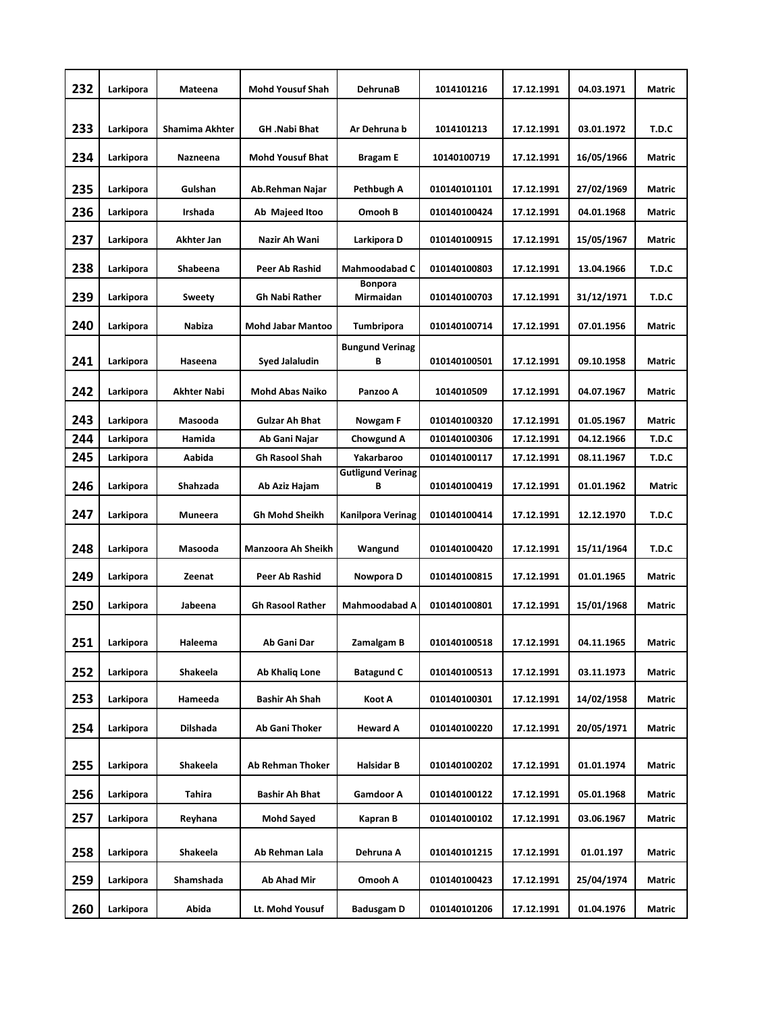| 232 | Larkipora | Mateena        | <b>Mohd Yousuf Shah</b>  | DehrunaB                      | 1014101216   | 17.12.1991 | 04.03.1971 | Matric        |
|-----|-----------|----------------|--------------------------|-------------------------------|--------------|------------|------------|---------------|
|     |           |                |                          |                               |              |            |            |               |
| 233 | Larkipora | Shamima Akhter | <b>GH</b> .Nabi Bhat     | Ar Dehruna b                  | 1014101213   | 17.12.1991 | 03.01.1972 | T.D.C         |
| 234 | Larkipora | Nazneena       | <b>Mohd Yousuf Bhat</b>  | <b>Bragam E</b>               | 10140100719  | 17.12.1991 | 16/05/1966 | Matric        |
| 235 | Larkipora | Gulshan        | Ab.Rehman Najar          | Pethbugh A                    | 010140101101 | 17.12.1991 | 27/02/1969 | Matric        |
| 236 | Larkipora | Irshada        | Ab Majeed Itoo           | Omooh B                       | 010140100424 | 17.12.1991 | 04.01.1968 | Matric        |
| 237 | Larkipora | Akhter Jan     | Nazir Ah Wani            | Larkipora D                   | 010140100915 | 17.12.1991 | 15/05/1967 | Matric        |
| 238 | Larkipora | Shabeena       | Peer Ab Rashid           | Mahmoodabad C                 | 010140100803 | 17.12.1991 | 13.04.1966 | T.D.C         |
| 239 | Larkipora | Sweety         | Gh Nabi Rather           | <b>Bonpora</b><br>Mirmaidan   | 010140100703 | 17.12.1991 | 31/12/1971 | T.D.C         |
| 240 | Larkipora | <b>Nabiza</b>  | <b>Mohd Jabar Mantoo</b> | <b>Tumbripora</b>             | 010140100714 | 17.12.1991 | 07.01.1956 | Matric        |
|     |           |                |                          | <b>Bungund Verinag</b>        |              |            |            |               |
| 241 | Larkipora | Haseena        | Syed Jalaludin           | В                             | 010140100501 | 17.12.1991 | 09.10.1958 | Matric        |
| 242 | Larkipora | Akhter Nabi    | <b>Mohd Abas Naiko</b>   | Panzoo A                      | 1014010509   | 17.12.1991 | 04.07.1967 | Matric        |
| 243 | Larkipora | Masooda        | <b>Gulzar Ah Bhat</b>    | Nowgam F                      | 010140100320 | 17.12.1991 | 01.05.1967 | Matric        |
| 244 | Larkipora | Hamida         | Ab Gani Najar            | Chowgund A                    | 010140100306 | 17.12.1991 | 04.12.1966 | T.D.C         |
| 245 | Larkipora | Aabida         | <b>Gh Rasool Shah</b>    | Yakarbaroo                    | 010140100117 | 17.12.1991 | 08.11.1967 | T.D.C         |
| 246 | Larkipora | Shahzada       | Ab Aziz Hajam            | <b>Gutligund Verinag</b><br>В | 010140100419 | 17.12.1991 | 01.01.1962 | Matric        |
| 247 | Larkipora | Muneera        | <b>Gh Mohd Sheikh</b>    | <b>Kanilpora Verinag</b>      | 010140100414 | 17.12.1991 | 12.12.1970 | T.D.C         |
| 248 | Larkipora | Masooda        | Manzoora Ah Sheikh       | Wangund                       | 010140100420 | 17.12.1991 | 15/11/1964 | T.D.C         |
| 249 | Larkipora | Zeenat         | Peer Ab Rashid           | Nowpora D                     | 010140100815 | 17.12.1991 | 01.01.1965 | <b>Matric</b> |
| 250 | Larkipora | Jabeena        | <b>Gh Rasool Rather</b>  | <b>Mahmoodabad A</b>          | 010140100801 | 17.12.1991 | 15/01/1968 | <b>Matric</b> |
|     |           |                |                          |                               |              |            |            |               |
| 251 | Larkipora | Haleema        | Ab Gani Dar              | Zamalgam B                    | 010140100518 | 17.12.1991 | 04.11.1965 | Matric        |
| 252 | Larkipora | Shakeela       | Ab Khaliq Lone           | <b>Batagund C</b>             | 010140100513 | 17.12.1991 | 03.11.1973 | Matric        |
| 253 | Larkipora | Hameeda        | Bashir Ah Shah           | Koot A                        | 010140100301 | 17.12.1991 | 14/02/1958 | Matric        |
| 254 | Larkipora | Dilshada       | Ab Gani Thoker           | <b>Heward A</b>               | 010140100220 | 17.12.1991 | 20/05/1971 | Matric        |
| 255 | Larkipora | Shakeela       | Ab Rehman Thoker         | Halsidar B                    | 010140100202 | 17.12.1991 | 01.01.1974 | Matric        |
|     |           |                |                          |                               |              |            |            |               |
| 256 | Larkipora | Tahira         | Bashir Ah Bhat           | Gamdoor A                     | 010140100122 | 17.12.1991 | 05.01.1968 | Matric        |
| 257 | Larkipora | Reyhana        | Mohd Sayed               | Kapran B                      | 010140100102 | 17.12.1991 | 03.06.1967 | Matric        |
| 258 | Larkipora | Shakeela       | Ab Rehman Lala           | Dehruna A                     | 010140101215 | 17.12.1991 | 01.01.197  | Matric        |
| 259 | Larkipora | Shamshada      | Ab Ahad Mir              | Omooh A                       | 010140100423 | 17.12.1991 | 25/04/1974 | Matric        |
| 260 | Larkipora | Abida          | Lt. Mohd Yousuf          | <b>Badusgam D</b>             | 010140101206 | 17.12.1991 | 01.04.1976 | Matric        |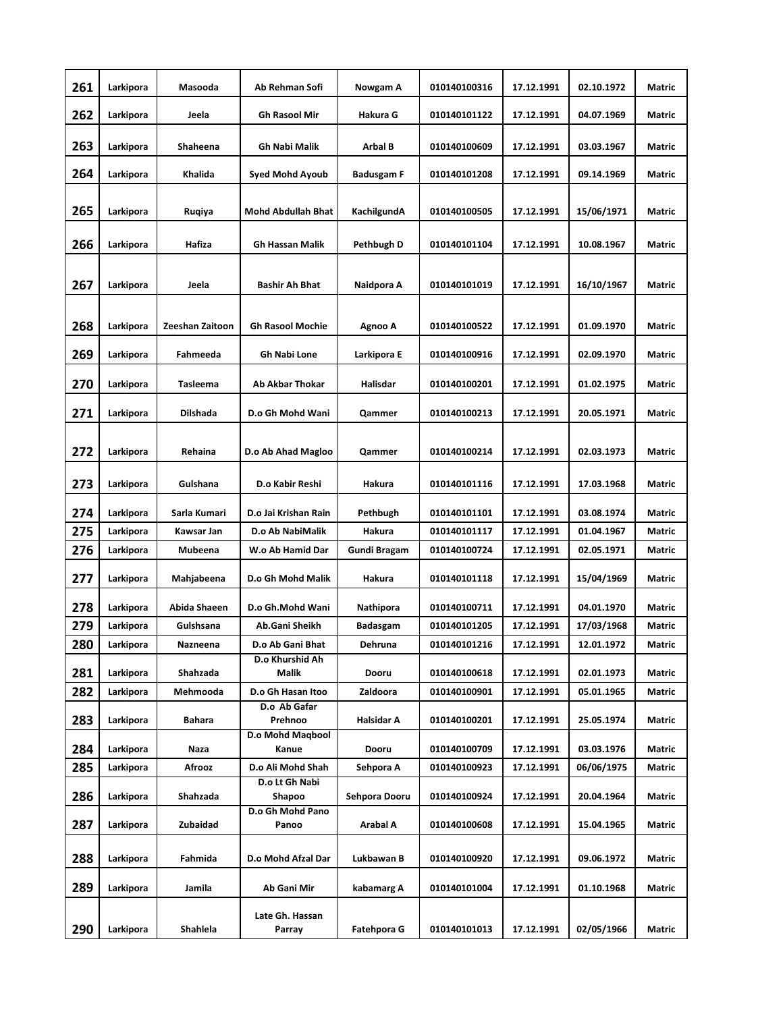| 261 | Larkipora | Masooda         | Ab Rehman Sofi            | Nowgam A          | 010140100316 | 17.12.1991 | 02.10.1972 | <b>Matric</b> |
|-----|-----------|-----------------|---------------------------|-------------------|--------------|------------|------------|---------------|
| 262 | Larkipora | Jeela           | <b>Gh Rasool Mir</b>      | Hakura G          | 010140101122 | 17.12.1991 | 04.07.1969 | Matric        |
| 263 | Larkipora | Shaheena        | <b>Gh Nabi Malik</b>      | Arbal B           | 010140100609 | 17.12.1991 | 03.03.1967 | <b>Matric</b> |
| 264 | Larkipora | Khalida         | Syed Mohd Ayoub           | <b>Badusgam F</b> | 010140101208 | 17.12.1991 | 09.14.1969 | Matric        |
| 265 | Larkipora | Ruqiya          | <b>Mohd Abdullah Bhat</b> | KachilgundA       | 010140100505 | 17.12.1991 | 15/06/1971 | Matric        |
| 266 | Larkipora | Hafiza          | <b>Gh Hassan Malik</b>    | Pethbugh D        | 010140101104 | 17.12.1991 | 10.08.1967 | Matric        |
| 267 | Larkipora | Jeela           | Bashir Ah Bhat            | Naidpora A        | 010140101019 | 17.12.1991 | 16/10/1967 | Matric        |
| 268 | Larkipora | Zeeshan Zaitoon | <b>Gh Rasool Mochie</b>   | Agnoo A           | 010140100522 | 17.12.1991 | 01.09.1970 | Matric        |
| 269 | Larkipora | Fahmeeda        | Gh Nabi Lone              | Larkipora E       | 010140100916 | 17.12.1991 | 02.09.1970 | Matric        |
| 270 | Larkipora | Tasleema        | <b>Ab Akbar Thokar</b>    | Halisdar          | 010140100201 | 17.12.1991 | 01.02.1975 | Matric        |
| 271 | Larkipora | Dilshada        | D.o Gh Mohd Wani          | Qammer            | 010140100213 | 17.12.1991 | 20.05.1971 | Matric        |
| 272 | Larkipora | Rehaina         | D.o Ab Ahad Magloo        | Qammer            | 010140100214 | 17.12.1991 | 02.03.1973 | Matric        |
| 273 | Larkipora | Gulshana        | D.o Kabir Reshi           | Hakura            | 010140101116 | 17.12.1991 | 17.03.1968 | Matric        |
| 274 | Larkipora | Sarla Kumari    | D.o Jai Krishan Rain      | Pethbugh          | 010140101101 | 17.12.1991 | 03.08.1974 | Matric        |
| 275 | Larkipora | Kawsar Jan      | D.o Ab NabiMalik          | Hakura            | 010140101117 | 17.12.1991 | 01.04.1967 | Matric        |
| 276 | Larkipora | Mubeena         | W.o Ab Hamid Dar          | Gundi Bragam      | 010140100724 | 17.12.1991 | 02.05.1971 | Matric        |
| 277 | Larkipora | Mahjabeena      | D.o Gh Mohd Malik         | Hakura            | 010140101118 | 17.12.1991 | 15/04/1969 | Matric        |
| 278 | Larkipora | Abida Shaeen    | D.o Gh.Mohd Wani          | Nathipora         | 010140100711 | 17.12.1991 | 04.01.1970 | Matric        |
| 279 | Larkipora | Gulshsana       | Ab.Gani Sheikh            | Badasgam          | 010140101205 | 17.12.1991 | 17/03/1968 | Matric        |
| 280 | Larkipora | Nazneena        | D.o Ab Gani Bhat          | Dehruna           | 010140101216 | 17.12.1991 | 12.01.1972 | Matric        |
| 281 | Larkipora | Shahzada        | D.o Khurshid Ah<br>Malik  | Dooru             | 010140100618 | 17.12.1991 | 02.01.1973 | Matric        |
| 282 | Larkipora | Mehmooda        | D.o Gh Hasan Itoo         | Zaldoora          | 010140100901 | 17.12.1991 | 05.01.1965 | <b>Matric</b> |
| 283 | Larkipora | Bahara          | D.o Ab Gafar<br>Prehnoo   | Halsidar A        | 010140100201 | 17.12.1991 | 25.05.1974 | Matric        |
| 284 | Larkipora | Naza            | D.o Mohd Magbool<br>Kanue | Dooru             | 010140100709 | 17.12.1991 | 03.03.1976 | Matric        |
| 285 | Larkipora | Afrooz          | D.o Ali Mohd Shah         | Sehpora A         | 010140100923 | 17.12.1991 | 06/06/1975 | Matric        |
| 286 | Larkipora | Shahzada        | D.o Lt Gh Nabi<br>Shapoo  | Sehpora Dooru     | 010140100924 | 17.12.1991 | 20.04.1964 | Matric        |
| 287 | Larkipora | Zubaidad        | D.o Gh Mohd Pano<br>Panoo | Arabal A          | 010140100608 | 17.12.1991 | 15.04.1965 | Matric        |
| 288 | Larkipora | Fahmida         | D.o Mohd Afzal Dar        | Lukbawan B        | 010140100920 | 17.12.1991 | 09.06.1972 | Matric        |
| 289 | Larkipora | Jamila          | Ab Gani Mir               | kabamarg A        | 010140101004 | 17.12.1991 | 01.10.1968 | Matric        |
| 290 | Larkipora | Shahlela        | Late Gh. Hassan<br>Parray | Fatehpora G       | 010140101013 | 17.12.1991 | 02/05/1966 | Matric        |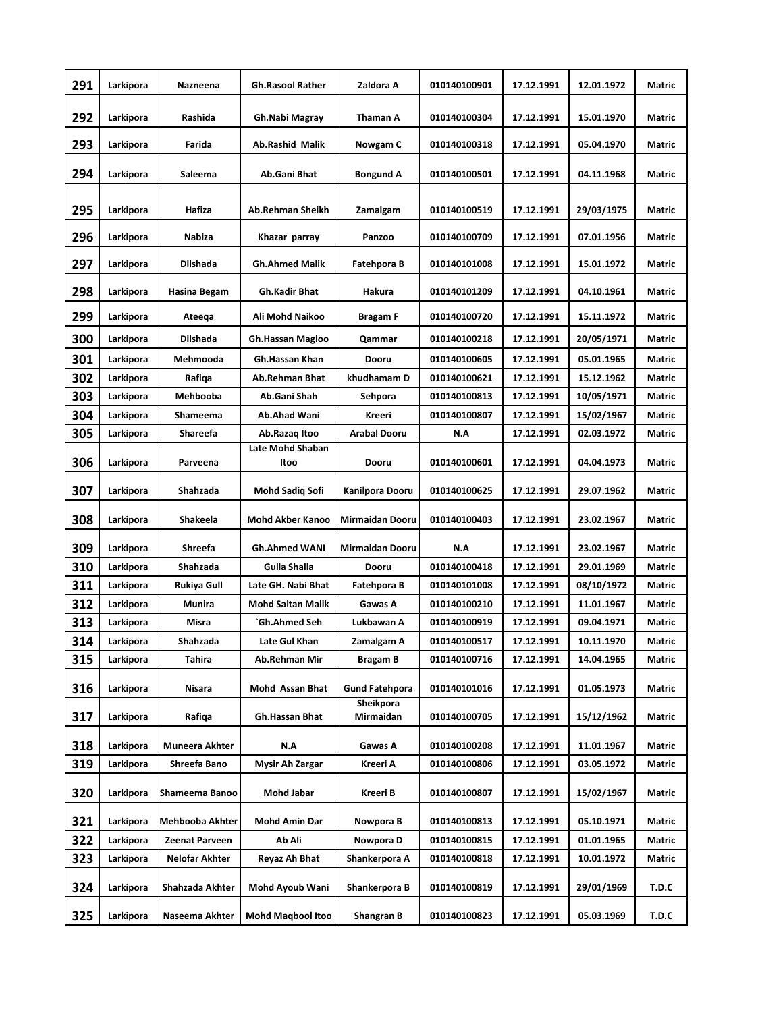| 291 | Larkipora | Nazneena        | <b>Gh.Rasool Rather</b>  | Zaldora A              | 010140100901 | 17.12.1991 | 12.01.1972 | Matric        |
|-----|-----------|-----------------|--------------------------|------------------------|--------------|------------|------------|---------------|
| 292 | Larkipora | Rashida         | Gh.Nabi Magray           | Thaman A               | 010140100304 | 17.12.1991 | 15.01.1970 | Matric        |
| 293 | Larkipora | Farida          | <b>Ab.Rashid Malik</b>   | Nowgam C               | 010140100318 | 17.12.1991 | 05.04.1970 | Matric        |
| 294 | Larkipora | Saleema         | Ab.Gani Bhat             | <b>Bongund A</b>       | 010140100501 | 17.12.1991 | 04.11.1968 | Matric        |
| 295 | Larkipora | Hafiza          | <b>Ab.Rehman Sheikh</b>  | Zamalgam               | 010140100519 | 17.12.1991 | 29/03/1975 | Matric        |
| 296 | Larkipora | Nabiza          | Khazar parray            | Panzoo                 | 010140100709 | 17.12.1991 | 07.01.1956 | Matric        |
| 297 | Larkipora | Dilshada        | <b>Gh.Ahmed Malik</b>    | Fatehpora B            | 010140101008 | 17.12.1991 | 15.01.1972 | Matric        |
| 298 | Larkipora | Hasina Begam    | <b>Gh.Kadir Bhat</b>     | Hakura                 | 010140101209 | 17.12.1991 | 04.10.1961 | Matric        |
| 299 | Larkipora | Ateega          | Ali Mohd Naikoo          | Bragam F               | 010140100720 | 17.12.1991 | 15.11.1972 | <b>Matric</b> |
| 300 | Larkipora | Dilshada        | <b>Gh.Hassan Magloo</b>  | Qammar                 | 010140100218 | 17.12.1991 | 20/05/1971 | Matric        |
| 301 | Larkipora | Mehmooda        | Gh.Hassan Khan           | Dooru                  | 010140100605 | 17.12.1991 | 05.01.1965 | Matric        |
| 302 | Larkipora | Rafiqa          | Ab.Rehman Bhat           | khudhamam D            | 010140100621 | 17.12.1991 | 15.12.1962 | Matric        |
| 303 | Larkipora | Mehbooba        | Ab.Gani Shah             | Sehpora                | 010140100813 | 17.12.1991 | 10/05/1971 | Matric        |
| 304 | Larkipora | Shameema        | Ab.Ahad Wani             | Kreeri                 | 010140100807 | 17.12.1991 | 15/02/1967 | Matric        |
| 305 | Larkipora | Shareefa        | Ab.Razaq Itoo            | <b>Arabal Dooru</b>    | N.A          | 17.12.1991 | 02.03.1972 | Matric        |
|     |           |                 | Late Mohd Shaban         |                        |              |            |            |               |
| 306 | Larkipora | Parveena        | Itoo                     | Dooru                  | 010140100601 | 17.12.1991 | 04.04.1973 | Matric        |
| 307 | Larkipora | Shahzada        | Mohd Sadiq Sofi          | Kanilpora Dooru        | 010140100625 | 17.12.1991 | 29.07.1962 | Matric        |
| 308 | Larkipora | Shakeela        | <b>Mohd Akber Kanoo</b>  | <b>Mirmaidan Dooru</b> | 010140100403 | 17.12.1991 | 23.02.1967 | Matric        |
| 309 | Larkipora | Shreefa         | <b>Gh.Ahmed WANI</b>     | Mirmaidan Dooru        | N.A          | 17.12.1991 | 23.02.1967 | Matric        |
| 310 | Larkipora | Shahzada        | Gulla Shalla             | Dooru                  | 010140100418 | 17.12.1991 | 29.01.1969 | Matric        |
| 311 | Larkipora | Rukiya Gull     | Late GH. Nabi Bhat       | Fatehpora B            | 010140101008 | 17.12.1991 | 08/10/1972 | Matric        |
| 312 | Larkipora | Munira          | <b>Mohd Saltan Malik</b> | Gawas A                | 010140100210 | 17.12.1991 | 11.01.1967 | Matric        |
| 313 | Larkipora | Misra           | `Gh.Ahmed Seh            | Lukbawan A             | 010140100919 | 17.12.1991 | 09.04.1971 | Matric        |
| 314 | Larkipora | Shahzada        | Late Gul Khan            | Zamalgam A             | 010140100517 | 17.12.1991 | 10.11.1970 | Matric        |
| 315 | Larkipora | Tahira          | Ab.Rehman Mir            | Bragam B               | 010140100716 | 17.12.1991 | 14.04.1965 | Matric        |
| 316 | Larkipora | Nisara          | Mohd Assan Bhat          | <b>Gund Fatehpora</b>  | 010140101016 | 17.12.1991 | 01.05.1973 | Matric        |
| 317 | Larkipora | Rafiqa          | Gh.Hassan Bhat           | Sheikpora<br>Mirmaidan | 010140100705 | 17.12.1991 | 15/12/1962 | Matric        |
| 318 | Larkipora | Muneera Akhter  | N.A                      | Gawas A                | 010140100208 | 17.12.1991 | 11.01.1967 | Matric        |
| 319 | Larkipora | Shreefa Bano    | Mysir Ah Zargar          | Kreeri A               | 010140100806 | 17.12.1991 | 03.05.1972 | Matric        |
| 320 | Larkipora | Shameema Banoo  | <b>Mohd Jabar</b>        | Kreeri B               | 010140100807 | 17.12.1991 | 15/02/1967 | Matric        |
| 321 | Larkipora | Mehbooba Akhter | <b>Mohd Amin Dar</b>     | Nowpora B              | 010140100813 | 17.12.1991 | 05.10.1971 | Matric        |
| 322 | Larkipora | Zeenat Parveen  | Ab Ali                   | Nowpora D              | 010140100815 | 17.12.1991 | 01.01.1965 | Matric        |
| 323 | Larkipora | Nelofar Akhter  | Reyaz Ah Bhat            | Shankerpora A          | 010140100818 | 17.12.1991 | 10.01.1972 | Matric        |
| 324 | Larkipora | Shahzada Akhter | Mohd Ayoub Wani          | Shankerpora B          | 010140100819 | 17.12.1991 | 29/01/1969 | T.D.C         |
| 325 | Larkipora | Naseema Akhter  | <b>Mohd Maqbool Itoo</b> | Shangran B             | 010140100823 | 17.12.1991 | 05.03.1969 | T.D.C         |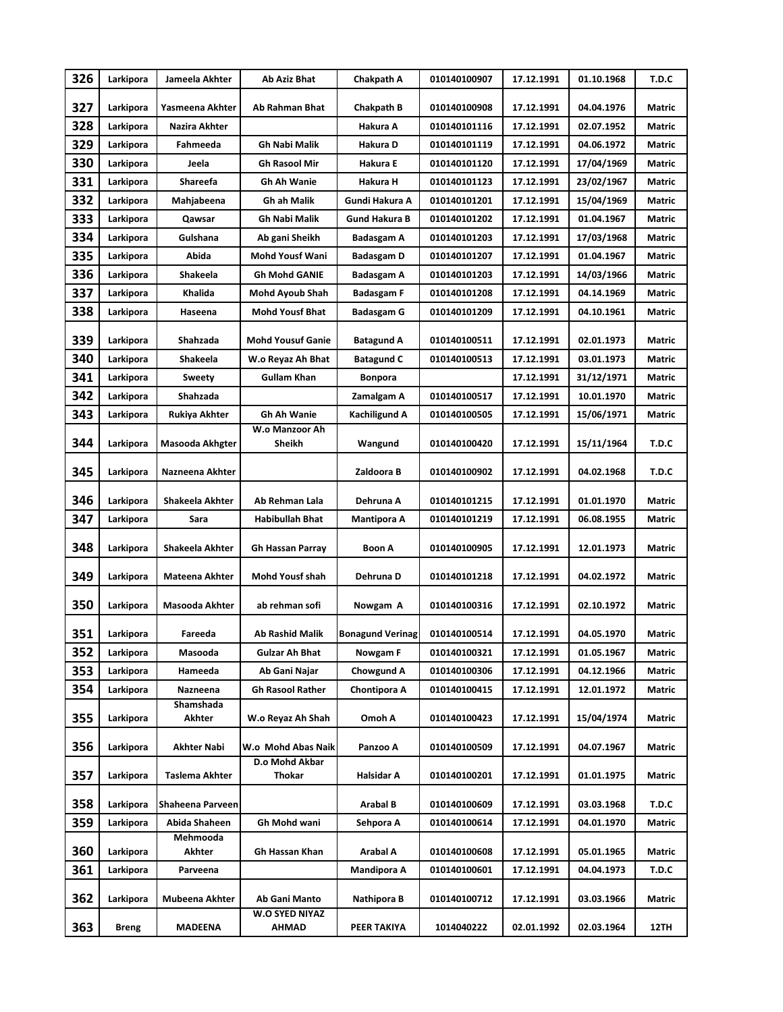| 326 | Larkipora    | Jameela Akhter        | Ab Aziz Bhat             | Chakpath A              | 010140100907 | 17.12.1991 | 01.10.1968 | T.D.C         |
|-----|--------------|-----------------------|--------------------------|-------------------------|--------------|------------|------------|---------------|
| 327 | Larkipora    | Yasmeena Akhter       | Ab Rahman Bhat           | Chakpath B              | 010140100908 | 17.12.1991 | 04.04.1976 | <b>Matric</b> |
| 328 | Larkipora    | Nazira Akhter         |                          | Hakura A                | 010140101116 | 17.12.1991 | 02.07.1952 | Matric        |
| 329 | Larkipora    | Fahmeeda              | <b>Gh Nabi Malik</b>     | Hakura D                | 010140101119 | 17.12.1991 | 04.06.1972 | Matric        |
| 330 | Larkipora    | Jeela                 | <b>Gh Rasool Mir</b>     | Hakura E                | 010140101120 | 17.12.1991 | 17/04/1969 | Matric        |
| 331 | Larkipora    | Shareefa              | Gh Ah Wanie              | Hakura H                | 010140101123 | 17.12.1991 | 23/02/1967 | Matric        |
| 332 | Larkipora    | Mahjabeena            | <b>Gh ah Malik</b>       | Gundi Hakura A          | 010140101201 | 17.12.1991 | 15/04/1969 | Matric        |
| 333 | Larkipora    | Qawsar                | <b>Gh Nabi Malik</b>     | <b>Gund Hakura B</b>    | 010140101202 | 17.12.1991 | 01.04.1967 | Matric        |
| 334 | Larkipora    | Gulshana              | Ab gani Sheikh           | <b>Badasgam A</b>       | 010140101203 | 17.12.1991 | 17/03/1968 | Matric        |
| 335 | Larkipora    | Abida                 | <b>Mohd Yousf Wani</b>   | Badasgam D              | 010140101207 | 17.12.1991 | 01.04.1967 | Matric        |
| 336 | Larkipora    | Shakeela              | <b>Gh Mohd GANIE</b>     | Badasgam A              | 010140101203 | 17.12.1991 | 14/03/1966 | Matric        |
| 337 | Larkipora    | Khalida               | Mohd Ayoub Shah          | <b>Badasgam F</b>       | 010140101208 | 17.12.1991 | 04.14.1969 | Matric        |
| 338 | Larkipora    | Haseena               | Mohd Yousf Bhat          | Badasgam G              | 010140101209 | 17.12.1991 | 04.10.1961 | Matric        |
| 339 | Larkipora    | Shahzada              | <b>Mohd Yousuf Ganie</b> | <b>Batagund A</b>       | 010140100511 | 17.12.1991 | 02.01.1973 | Matric        |
| 340 | Larkipora    | Shakeela              | W.o Reyaz Ah Bhat        | <b>Batagund C</b>       | 010140100513 | 17.12.1991 | 03.01.1973 | Matric        |
| 341 | Larkipora    | Sweety                | <b>Gullam Khan</b>       | <b>Bonpora</b>          |              | 17.12.1991 | 31/12/1971 | Matric        |
| 342 | Larkipora    | Shahzada              |                          | Zamalgam A              | 010140100517 | 17.12.1991 | 10.01.1970 | <b>Matric</b> |
| 343 | Larkipora    | Rukiya Akhter         | <b>Gh Ah Wanie</b>       | Kachiligund A           | 010140100505 | 17.12.1991 | 15/06/1971 | <b>Matric</b> |
| 344 | Larkipora    | Masooda Akhgter       | W.o Manzoor Ah<br>Sheikh | Wangund                 | 010140100420 | 17.12.1991 | 15/11/1964 | T.D.C         |
| 345 | Larkipora    | Nazneena Akhter       |                          | Zaldoora B              | 010140100902 | 17.12.1991 | 04.02.1968 | T.D.C         |
| 346 | Larkipora    | Shakeela Akhter       | Ab Rehman Lala           | Dehruna A               | 010140101215 | 17.12.1991 | 01.01.1970 | Matric        |
| 347 | Larkipora    | Sara                  | <b>Habibullah Bhat</b>   | Mantipora A             | 010140101219 | 17.12.1991 | 06.08.1955 | Matric        |
| 348 | Larkipora    | Shakeela Akhter       | Gh Hassan Parray         | <b>Boon A</b>           | 010140100905 | 17.12.1991 | 12.01.1973 | Matric        |
| 349 | Larkipora    | Mateena Akhter        | <b>Mohd Yousf shah</b>   | Dehruna D               | 010140101218 | 17.12.1991 | 04.02.1972 | Matric        |
| 350 | Larkipora    | <b>Masooda Akhter</b> | ab rehman sofi           | Nowgam A                | 010140100316 | 17.12.1991 | 02.10.1972 | Matric        |
| 351 | Larkipora    | Fareeda               | <b>Ab Rashid Malik</b>   | <b>Bonagund Verinag</b> | 010140100514 | 17.12.1991 | 04.05.1970 | Matric        |
| 352 | Larkipora    | Masooda               | Gulzar Ah Bhat           | Nowgam F                | 010140100321 | 17.12.1991 | 01.05.1967 | Matric        |
| 353 | Larkipora    | Hameeda               | Ab Gani Najar            | Chowgund A              | 010140100306 | 17.12.1991 | 04.12.1966 | Matric        |
| 354 | Larkipora    | Nazneena              | <b>Gh Rasool Rather</b>  | Chontipora A            | 010140100415 | 17.12.1991 | 12.01.1972 | Matric        |
| 355 | Larkipora    | Shamshada<br>Akhter   | W.o Reyaz Ah Shah        | Omoh A                  | 010140100423 | 17.12.1991 | 15/04/1974 | Matric        |
| 356 | Larkipora    | Akhter Nabi           | W.o Mohd Abas Naik       | Panzoo A                | 010140100509 | 17.12.1991 | 04.07.1967 | Matric        |
| 357 | Larkipora    | Taslema Akhter        | D.o Mohd Akbar<br>Thokar | Halsidar A              | 010140100201 | 17.12.1991 | 01.01.1975 | Matric        |
| 358 | Larkipora    | Shaheena Parveen      |                          | Arabal B                | 010140100609 | 17.12.1991 | 03.03.1968 | T.D.C         |
| 359 | Larkipora    | Abida Shaheen         | Gh Mohd wani             | Sehpora A               | 010140100614 | 17.12.1991 | 04.01.1970 | Matric        |
| 360 | Larkipora    | Mehmooda<br>Akhter    | Gh Hassan Khan           | Arabal A                | 010140100608 | 17.12.1991 | 05.01.1965 | Matric        |
| 361 | Larkipora    | Parveena              |                          | <b>Mandipora A</b>      | 010140100601 | 17.12.1991 | 04.04.1973 | T.D.C         |
| 362 | Larkipora    | Mubeena Akhter        | Ab Gani Manto            | Nathipora B             | 010140100712 | 17.12.1991 | 03.03.1966 | Matric        |
| 363 | <b>Breng</b> | <b>MADEENA</b>        | W.O SYED NIYAZ<br>AHMAD  | PEER TAKIYA             | 1014040222   | 02.01.1992 | 02.03.1964 | 12TH          |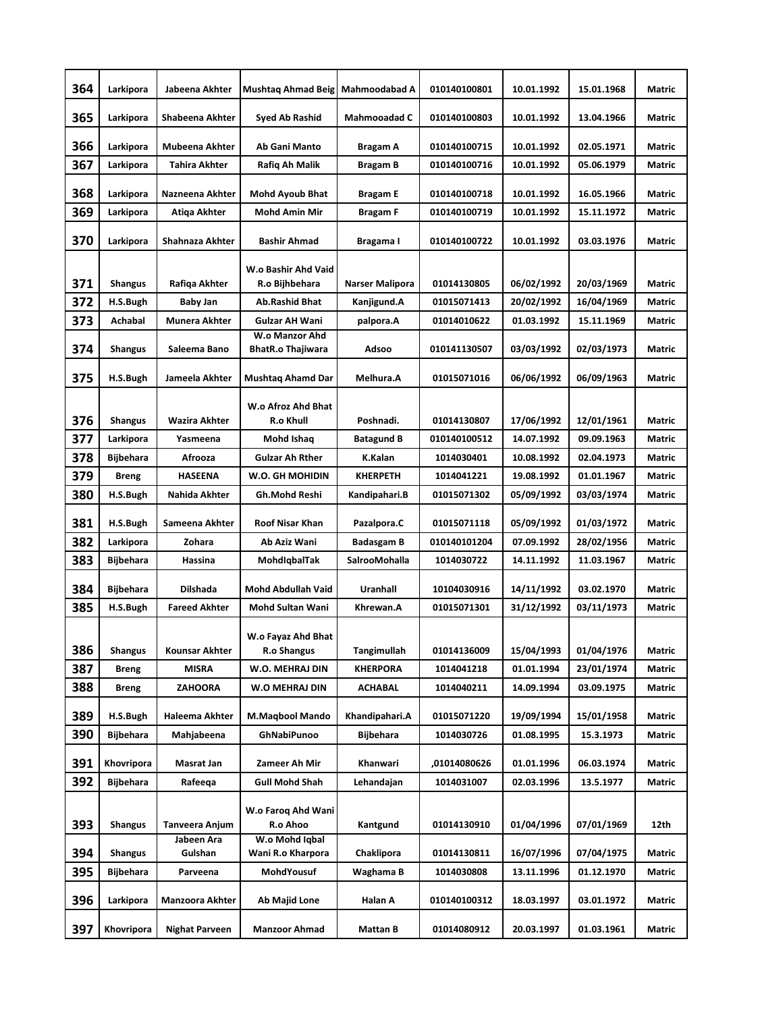| 364 | Larkipora        | Jabeena Akhter               | Mushtaq Ahmad Beig                               | <b>Mahmoodabad A</b> | 010140100801 | 10.01.1992 | 15.01.1968 | <b>Matric</b> |
|-----|------------------|------------------------------|--------------------------------------------------|----------------------|--------------|------------|------------|---------------|
| 365 | Larkipora        | Shabeena Akhter              | Syed Ab Rashid                                   | <b>Mahmooadad C</b>  | 010140100803 | 10.01.1992 | 13.04.1966 | <b>Matric</b> |
| 366 | Larkipora        | <b>Mubeena Akhter</b>        | Ab Gani Manto                                    | Bragam A             | 010140100715 | 10.01.1992 | 02.05.1971 | <b>Matric</b> |
| 367 | Larkipora        | Tahira Akhter                | Rafiq Ah Malik                                   | Bragam B             | 010140100716 | 10.01.1992 | 05.06.1979 | Matric        |
| 368 | Larkipora        | Nazneena Akhter              | <b>Mohd Ayoub Bhat</b>                           | <b>Bragam E</b>      | 010140100718 | 10.01.1992 | 16.05.1966 | Matric        |
| 369 | Larkipora        | Atiga Akhter                 | <b>Mohd Amin Mir</b>                             | <b>Bragam F</b>      | 010140100719 | 10.01.1992 | 15.11.1972 | Matric        |
| 370 | Larkipora        | Shahnaza Akhter              | <b>Bashir Ahmad</b>                              | Bragama I            | 010140100722 | 10.01.1992 | 03.03.1976 | <b>Matric</b> |
| 371 | <b>Shangus</b>   | Rafiqa Akhter                | W.o Bashir Ahd Vaid<br>R.o Bijhbehara            | Narser Malipora      | 01014130805  | 06/02/1992 | 20/03/1969 | Matric        |
| 372 | H.S.Bugh         | Baby Jan                     | <b>Ab.Rashid Bhat</b>                            | Kanjigund.A          | 01015071413  | 20/02/1992 | 16/04/1969 | Matric        |
| 373 | Achabal          | <b>Munera Akhter</b>         | <b>Gulzar AH Wani</b>                            | palpora.A            | 01014010622  | 01.03.1992 | 15.11.1969 | <b>Matric</b> |
| 374 | Shangus          | Saleema Bano                 | W.o Manzor Ahd<br><b>BhatR.o Thajiwara</b>       | Adsoo                | 010141130507 | 03/03/1992 | 02/03/1973 | <b>Matric</b> |
| 375 | H.S.Bugh         | Jameela Akhter               | <b>Mushtag Ahamd Dar</b>                         | Melhura.A            | 01015071016  | 06/06/1992 | 06/09/1963 | <b>Matric</b> |
|     |                  |                              | W.o Afroz Ahd Bhat                               |                      |              |            |            |               |
| 376 | <b>Shangus</b>   | Wazira Akhter                | <b>R.o Khull</b>                                 | Poshnadi.            | 01014130807  | 17/06/1992 | 12/01/1961 | <b>Matric</b> |
| 377 | Larkipora        | Yasmeena                     | Mohd Ishaq                                       | <b>Batagund B</b>    | 010140100512 | 14.07.1992 | 09.09.1963 | <b>Matric</b> |
| 378 | <b>Bijbehara</b> | Afrooza                      | <b>Gulzar Ah Rther</b>                           | K.Kalan              | 1014030401   | 10.08.1992 | 02.04.1973 | Matric        |
| 379 | <b>Breng</b>     | <b>HASEENA</b>               | W.O. GH MOHIDIN                                  | KHERPETH             | 1014041221   | 19.08.1992 | 01.01.1967 | Matric        |
| 380 | H.S.Bugh         | Nahida Akhter                | Gh.Mohd Reshi                                    | Kandipahari.B        | 01015071302  | 05/09/1992 | 03/03/1974 | Matric        |
| 381 | H.S.Bugh         | Sameena Akhter               | <b>Roof Nisar Khan</b>                           | Pazalpora.C          | 01015071118  | 05/09/1992 | 01/03/1972 | <b>Matric</b> |
| 382 | Larkipora        | Zohara                       | Ab Aziz Wani                                     | Badasgam B           | 010140101204 | 07.09.1992 | 28/02/1956 | Matric        |
| 383 | Bijbehara        | Hassina                      | MohdiqbalTak                                     | SalrooMohalla        | 1014030722   | 14.11.1992 | 11.03.1967 | Matric        |
| 384 | <b>Bijbehara</b> | <b>Dilshada</b>              | <b>Mohd Abdullah Vaid</b>                        | Uranhall             | 10104030916  | 14/11/1992 | 03.02.1970 | <b>Matric</b> |
| 385 | H.S.Bugh         | <b>Fareed Akhter</b>         | <b>Mohd Sultan Wani</b>                          | Khrewan.A            | 01015071301  | 31/12/1992 | 03/11/1973 | <b>Matric</b> |
| 386 | <b>Shangus</b>   | <b>Kounsar Akhter</b>        | W.o Fayaz Ahd Bhat<br>R.o Shangus                | Tangimullah          | 01014136009  | 15/04/1993 | 01/04/1976 | Matric        |
| 387 | <b>Breng</b>     | <b>MISRA</b>                 | W.O. MEHRAJ DIN                                  | <b>KHERPORA</b>      | 1014041218   | 01.01.1994 | 23/01/1974 | Matric        |
| 388 | <b>Breng</b>     | ZAHOORA                      | W.O MEHRAJ DIN                                   | ACHABAL              | 1014040211   | 14.09.1994 | 03.09.1975 | Matric        |
| 389 | H.S.Bugh         | Haleema Akhter               | <b>M.Magbool Mando</b>                           | Khandipahari.A       | 01015071220  | 19/09/1994 | 15/01/1958 | Matric        |
| 390 | Bijbehara        | Mahjabeena                   | GhNabiPunoo                                      | <b>Bijbehara</b>     | 1014030726   | 01.08.1995 | 15.3.1973  | Matric        |
| 391 | Khovripora       | Masrat Jan                   | Zameer Ah Mir                                    | Khanwari             | ,01014080626 | 01.01.1996 | 06.03.1974 | Matric        |
| 392 | Bijbehara        | Rafeeqa                      | <b>Gull Mohd Shah</b>                            | Lehandajan           | 1014031007   | 02.03.1996 | 13.5.1977  | Matric        |
| 393 | <b>Shangus</b>   | Tanveera Anjum<br>Jabeen Ara | W.o Faroq Ahd Wani<br>R.o Ahoo<br>W.o Mohd Iqbal | Kantgund             | 01014130910  | 01/04/1996 | 07/01/1969 | 12th          |
| 394 | <b>Shangus</b>   | Gulshan                      | Wani R.o Kharpora                                | Chaklipora           | 01014130811  | 16/07/1996 | 07/04/1975 | Matric        |
| 395 | Bijbehara        | Parveena                     | MohdYousuf                                       | Waghama B            | 1014030808   | 13.11.1996 | 01.12.1970 | Matric        |
| 396 | Larkipora        | Manzoora Akhter              | Ab Majid Lone                                    | Halan A              | 010140100312 | 18.03.1997 | 03.01.1972 | Matric        |
| 397 | Khovripora       | <b>Nighat Parveen</b>        | <b>Manzoor Ahmad</b>                             | <b>Mattan B</b>      | 01014080912  | 20.03.1997 | 01.03.1961 | Matric        |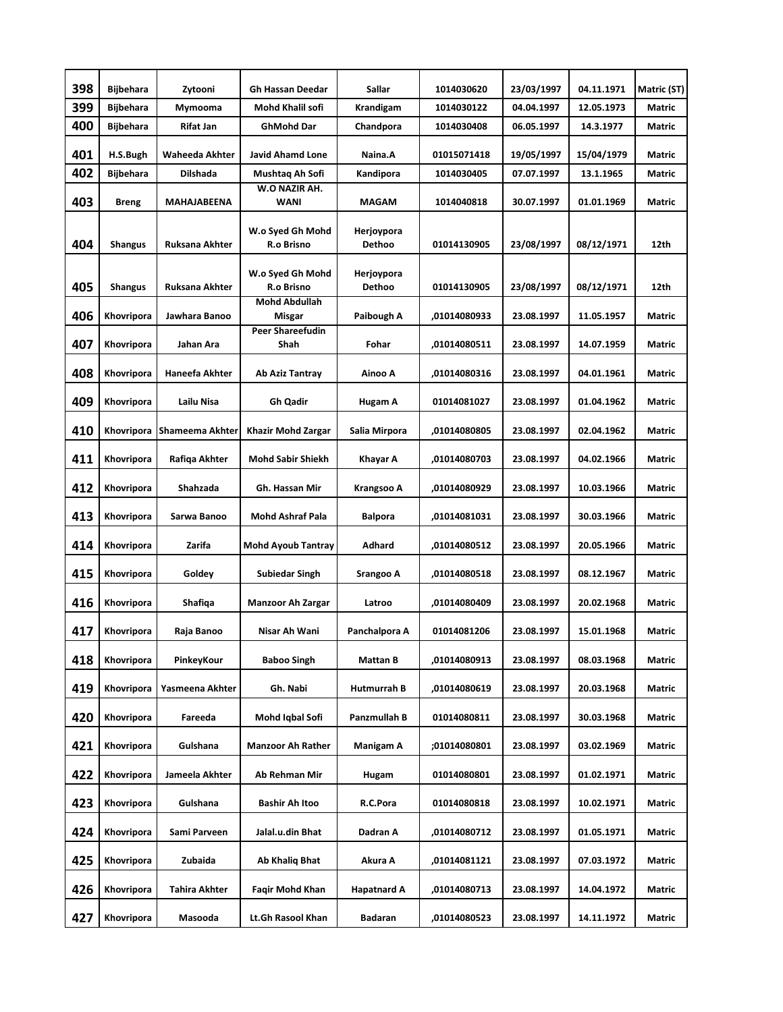| 398 | <b>Bijbehara</b> | Zytooni               | Gh Hassan Deedar                | Sallar               | 1014030620   | 23/03/1997 | 04.11.1971 | Matric (ST)   |
|-----|------------------|-----------------------|---------------------------------|----------------------|--------------|------------|------------|---------------|
| 399 | <b>Bijbehara</b> | Mymooma               | Mohd Khalil sofi                | Krandigam            | 1014030122   | 04.04.1997 | 12.05.1973 | Matric        |
| 400 | <b>Bijbehara</b> | Rifat Jan             | <b>GhMohd Dar</b>               | Chandpora            | 1014030408   | 06.05.1997 | 14.3.1977  | Matric        |
| 401 | H.S.Bugh         | <b>Waheeda Akhter</b> | <b>Javid Ahamd Lone</b>         | Naina.A              | 01015071418  | 19/05/1997 | 15/04/1979 | Matric        |
| 402 | <b>Bijbehara</b> | <b>Dilshada</b>       | Mushtaq Ah Sofi                 | Kandipora            | 1014030405   | 07.07.1997 | 13.1.1965  | Matric        |
| 403 | <b>Breng</b>     | MAHAJABEENA           | W.O NAZIR AH.<br><b>WANI</b>    | <b>MAGAM</b>         | 1014040818   | 30.07.1997 | 01.01.1969 | <b>Matric</b> |
| 404 | <b>Shangus</b>   | <b>Ruksana Akhter</b> | W.o Syed Gh Mohd<br>R.o Brisno  | Herjoypora<br>Dethoo | 01014130905  | 23/08/1997 | 08/12/1971 | 12th          |
| 405 | Shangus          | Ruksana Akhter        | W.o Syed Gh Mohd<br>R.o Brisno  | Herjoypora<br>Dethoo | 01014130905  | 23/08/1997 | 08/12/1971 | 12th          |
| 406 | Khovripora       | Jawhara Banoo         | <b>Mohd Abdullah</b><br>Misgar  | Paibough A           | ,01014080933 | 23.08.1997 | 11.05.1957 | Matric        |
| 407 | Khovripora       | Jahan Ara             | <b>Peer Shareefudin</b><br>Shah | Fohar                | ,01014080511 | 23.08.1997 | 14.07.1959 | Matric        |
| 408 | Khovripora       | <b>Haneefa Akhter</b> | Ab Aziz Tantray                 | Ainoo A              | ,01014080316 | 23.08.1997 | 04.01.1961 | Matric        |
| 409 | Khovripora       | Lailu Nisa            | Gh Qadir                        | Hugam A              | 01014081027  | 23.08.1997 | 01.04.1962 | Matric        |
| 410 | Khovripora       | Shameema Akhter       | Khazir Mohd Zargar              | Salia Mirpora        | ,01014080805 | 23.08.1997 | 02.04.1962 | <b>Matric</b> |
| 411 | Khovripora       | Rafiqa Akhter         | <b>Mohd Sabir Shiekh</b>        | Khayar A             | ,01014080703 | 23.08.1997 | 04.02.1966 | Matric        |
| 412 | Khovripora       | Shahzada              | Gh. Hassan Mir                  | Krangsoo A           | ,01014080929 | 23.08.1997 | 10.03.1966 | Matric        |
| 413 | Khovripora       | Sarwa Banoo           | <b>Mohd Ashraf Pala</b>         | <b>Balpora</b>       | ,01014081031 | 23.08.1997 | 30.03.1966 | Matric        |
| 414 | Khovripora       | Zarifa                | <b>Mohd Ayoub Tantray</b>       | Adhard               | ,01014080512 | 23.08.1997 | 20.05.1966 | Matric        |
| 415 | Khovripora       | Goldey                | <b>Subiedar Singh</b>           | Srangoo A            | ,01014080518 | 23.08.1997 | 08.12.1967 | Matric        |
| 416 | Khovripora       | Shafiqa               | Manzoor Ah Zargar               | Latroo               | ,01014080409 | 23.08.1997 | 20.02.1968 | Matric        |
| 417 | Khovripora       | Raja Banoo            | Nisar Ah Wani                   | Panchalpora A        | 01014081206  | 23.08.1997 | 15.01.1968 | Matric        |
| 418 | Khovripora       | PinkeyKour            | <b>Baboo Singh</b>              | Mattan B             | 01014080913  | 23.08.1997 | 08.03.1968 | Matric        |
| 419 | Khovripora       | Yasmeena Akhter       | Gh. Nabi                        | Hutmurrah B          | ,01014080619 | 23.08.1997 | 20.03.1968 | Matric        |
| 420 | Khovripora       | Fareeda               | Mohd Iqbal Sofi                 | Panzmullah B         | 01014080811  | 23.08.1997 | 30.03.1968 | Matric        |
| 421 | Khovripora       | Gulshana              | <b>Manzoor Ah Rather</b>        | Manigam A            | ;01014080801 | 23.08.1997 | 03.02.1969 | Matric        |
| 422 | Khovripora       | Jameela Akhter        | Ab Rehman Mir                   | Hugam                | 01014080801  | 23.08.1997 | 01.02.1971 | <b>Matric</b> |
| 423 | Khovripora       | Gulshana              | <b>Bashir Ah Itoo</b>           | R.C.Pora             | 01014080818  | 23.08.1997 | 10.02.1971 | Matric        |
| 424 | Khovripora       | Sami Parveen          | Jalal.u.din Bhat                | Dadran A             | ,01014080712 | 23.08.1997 | 01.05.1971 | Matric        |
| 425 | Khovripora       | Zubaida               | Ab Khaliq Bhat                  | Akura A              | ,01014081121 | 23.08.1997 | 07.03.1972 | Matric        |
| 426 | Khovripora       | Tahira Akhter         | Faqir Mohd Khan                 | Hapatnard A          | ,01014080713 | 23.08.1997 | 14.04.1972 | Matric        |
| 427 | Khovripora       | Masooda               | Lt.Gh Rasool Khan               | Badaran              | ,01014080523 | 23.08.1997 | 14.11.1972 | Matric        |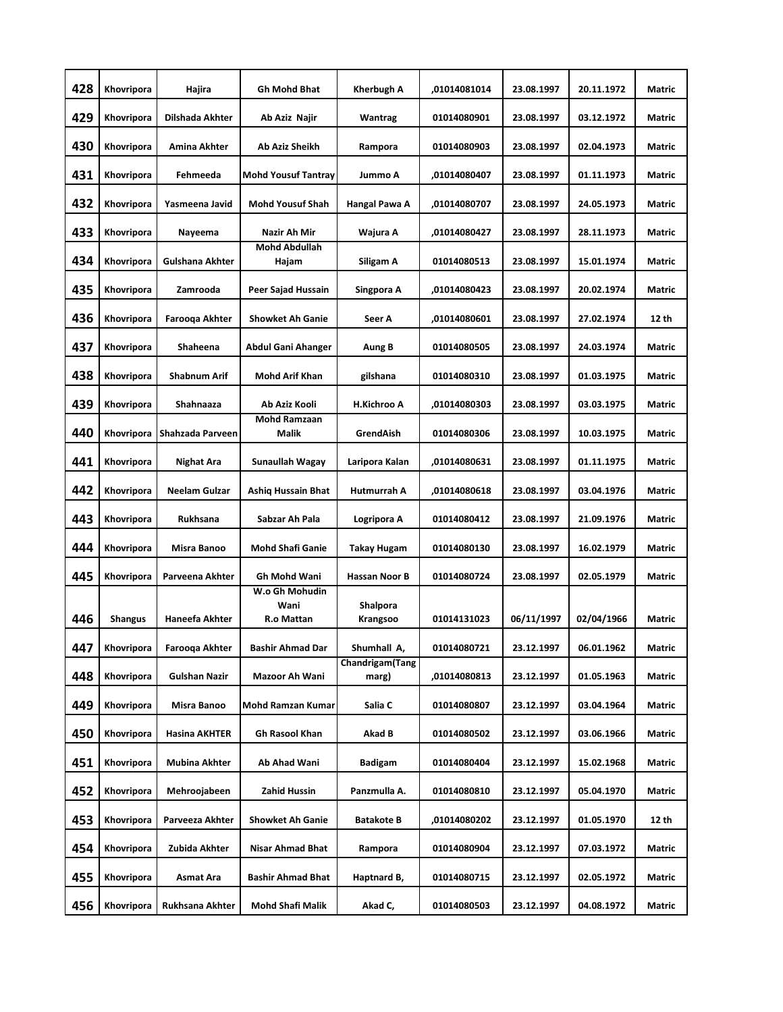| 428 | Khovripora     | Hajira               | <b>Gh Mohd Bhat</b>                  | Kherbugh A               | ,01014081014 | 23.08.1997 | 20.11.1972 | Matric |
|-----|----------------|----------------------|--------------------------------------|--------------------------|--------------|------------|------------|--------|
| 429 | Khovripora     | Dilshada Akhter      | Ab Aziz Najir                        | Wantrag                  | 01014080901  | 23.08.1997 | 03.12.1972 | Matric |
| 430 | Khovripora     | Amina Akhter         | Ab Aziz Sheikh                       | Rampora                  | 01014080903  | 23.08.1997 | 02.04.1973 | Matric |
| 431 | Khovripora     | Fehmeeda             | <b>Mohd Yousuf Tantray</b>           | Jummo A                  | ,01014080407 | 23.08.1997 | 01.11.1973 | Matric |
| 432 | Khovripora     | Yasmeena Javid       | <b>Mohd Yousuf Shah</b>              | Hangal Pawa A            | ,01014080707 | 23.08.1997 | 24.05.1973 | Matric |
| 433 | Khovripora     | Nayeema              | Nazir Ah Mir                         | Wajura A                 | ,01014080427 | 23.08.1997 | 28.11.1973 | Matric |
| 434 | Khovripora     | Gulshana Akhter      | <b>Mohd Abdullah</b><br>Hajam        | Siligam A                | 01014080513  | 23.08.1997 | 15.01.1974 | Matric |
| 435 | Khovripora     | Zamrooda             | Peer Sajad Hussain                   | Singpora A               | ,01014080423 | 23.08.1997 | 20.02.1974 | Matric |
| 436 | Khovripora     | Farooqa Akhter       | <b>Showket Ah Ganie</b>              | Seer A                   | .01014080601 | 23.08.1997 | 27.02.1974 | 12 th  |
| 437 | Khovripora     | Shaheena             | Abdul Gani Ahanger                   | Aung B                   | 01014080505  | 23.08.1997 | 24.03.1974 | Matric |
| 438 | Khovripora     | <b>Shabnum Arif</b>  | <b>Mohd Arif Khan</b>                | gilshana                 | 01014080310  | 23.08.1997 | 01.03.1975 | Matric |
| 439 | Khovripora     | Shahnaaza            | Ab Aziz Kooli                        | <b>H.Kichroo A</b>       | .01014080303 | 23.08.1997 | 03.03.1975 | Matric |
| 440 | Khovripora     | Shahzada Parveen     | <b>Mohd Ramzaan</b><br>Malik         | GrendAish                | 01014080306  | 23.08.1997 | 10.03.1975 | Matric |
| 441 | Khovripora     | Nighat Ara           | Sunaullah Wagay                      | Laripora Kalan           | ,01014080631 | 23.08.1997 | 01.11.1975 | Matric |
| 442 | Khovripora     | Neelam Gulzar        | <b>Ashig Hussain Bhat</b>            | Hutmurrah A              | ,01014080618 | 23.08.1997 | 03.04.1976 | Matric |
| 443 | Khovripora     | <b>Rukhsana</b>      | Sabzar Ah Pala                       | Logripora A              | 01014080412  | 23.08.1997 | 21.09.1976 | Matric |
| 444 | Khovripora     | Misra Banoo          | <b>Mohd Shafi Ganie</b>              | Takay Hugam              | 01014080130  | 23.08.1997 | 16.02.1979 | Matric |
| 445 | Khovripora     | Parveena Akhter      | Gh Mohd Wani                         | Hassan Noor B            | 01014080724  | 23.08.1997 | 02.05.1979 | Matric |
| 446 | <b>Shangus</b> | Haneefa Akhter       | W.o Gh Mohudin<br>Wani<br>R.o Mattan | Shalpora<br>Krangsoo     | 01014131023  | 06/11/1997 | 02/04/1966 | Matric |
| 447 | Khovripora     | Farooqa Akhter       | <b>Bashir Ahmad Dar</b>              | Shumhall A,              | 01014080721  | 23.12.1997 | 06.01.1962 | Matric |
| 448 | Khovripora     | <b>Gulshan Nazir</b> | Mazoor Ah Wani                       | Chandrigam(Tang<br>marg) | ,01014080813 | 23.12.1997 | 01.05.1963 | Matric |
| 449 | Khovripora     | Misra Banoo          | Mohd Ramzan Kumar                    | Salia C                  | 01014080807  | 23.12.1997 | 03.04.1964 | Matric |
|     |                |                      |                                      |                          |              |            |            |        |
| 450 | Khovripora     | Hasina AKHTER        | Gh Rasool Khan                       | Akad B                   | 01014080502  | 23.12.1997 | 03.06.1966 | Matric |
| 451 | Khovripora     | Mubina Akhter        | Ab Ahad Wani                         | <b>Badigam</b>           | 01014080404  | 23.12.1997 | 15.02.1968 | Matric |
| 452 | Khovripora     | Mehroojabeen         | Zahid Hussin                         | Panzmulla A.             | 01014080810  | 23.12.1997 | 05.04.1970 | Matric |
| 453 | Khovripora     | Parveeza Akhter      | <b>Showket Ah Ganie</b>              | <b>Batakote B</b>        | ,01014080202 | 23.12.1997 | 01.05.1970 | 12 th  |
| 454 | Khovripora     | Zubida Akhter        | Nisar Ahmad Bhat                     | Rampora                  | 01014080904  | 23.12.1997 | 07.03.1972 | Matric |
| 455 | Khovripora     | Asmat Ara            | <b>Bashir Ahmad Bhat</b>             | Haptnard B,              | 01014080715  | 23.12.1997 | 02.05.1972 | Matric |
| 456 | Khovripora     | Rukhsana Akhter      | Mohd Shafi Malik                     | Akad C,                  | 01014080503  | 23.12.1997 | 04.08.1972 | Matric |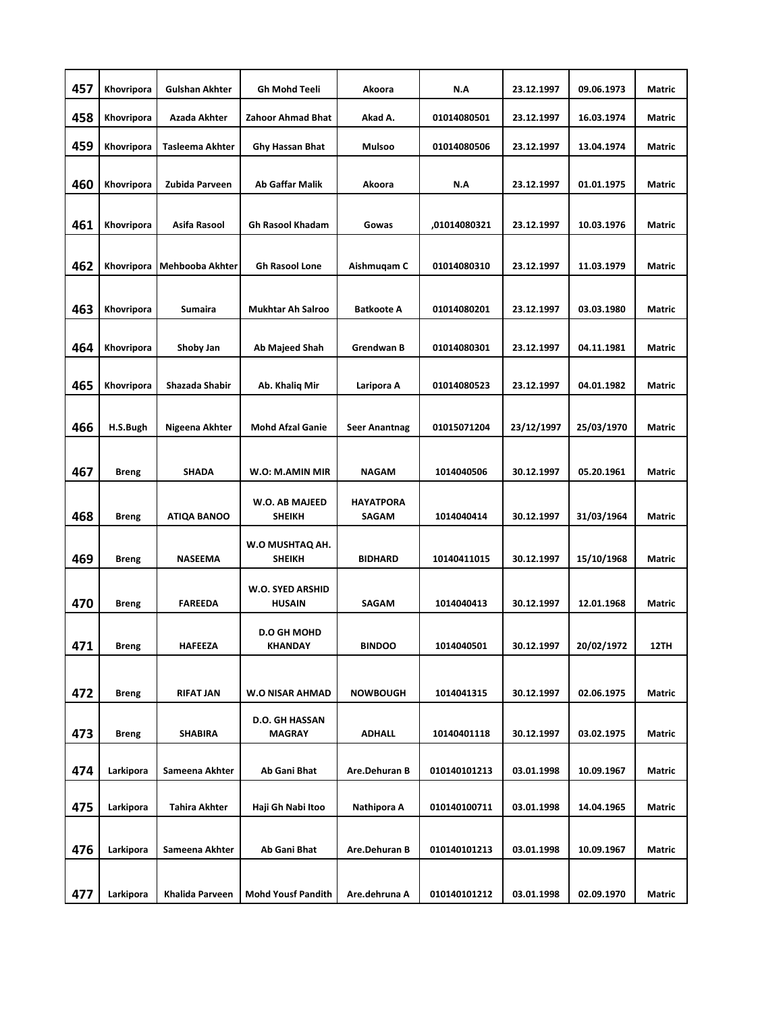| 457 | Khovripora   | <b>Gulshan Akhter</b>  | <b>Gh Mohd Teeli</b>                 | Akoora                           | N.A          | 23.12.1997 | 09.06.1973 | <b>Matric</b> |
|-----|--------------|------------------------|--------------------------------------|----------------------------------|--------------|------------|------------|---------------|
| 458 | Khovripora   | Azada Akhter           | Zahoor Ahmad Bhat                    | Akad A.                          | 01014080501  | 23.12.1997 | 16.03.1974 | Matric        |
| 459 | Khovripora   | <b>Tasleema Akhter</b> | <b>Ghy Hassan Bhat</b>               | Mulsoo                           | 01014080506  | 23.12.1997 | 13.04.1974 | <b>Matric</b> |
| 460 | Khovripora   | Zubida Parveen         | <b>Ab Gaffar Malik</b>               | Akoora                           | N.A          | 23.12.1997 | 01.01.1975 | <b>Matric</b> |
|     |              |                        |                                      |                                  |              |            |            |               |
| 461 | Khovripora   | Asifa Rasool           | <b>Gh Rasool Khadam</b>              | Gowas                            | ,01014080321 | 23.12.1997 | 10.03.1976 | <b>Matric</b> |
| 462 | Khovripora   | Mehbooba Akhter        | <b>Gh Rasool Lone</b>                | Aishmugam C                      | 01014080310  | 23.12.1997 | 11.03.1979 | Matric        |
|     |              |                        |                                      |                                  |              |            |            |               |
| 463 | Khovripora   | Sumaira                | <b>Mukhtar Ah Salroo</b>             | <b>Batkoote A</b>                | 01014080201  | 23.12.1997 | 03.03.1980 | <b>Matric</b> |
| 464 | Khovripora   | Shoby Jan              | <b>Ab Majeed Shah</b>                | Grendwan B                       | 01014080301  | 23.12.1997 | 04.11.1981 | <b>Matric</b> |
| 465 | Khovripora   | Shazada Shabir         | Ab. Khaliq Mir                       | Laripora A                       | 01014080523  | 23.12.1997 | 04.01.1982 | <b>Matric</b> |
|     |              |                        |                                      |                                  |              |            |            |               |
| 466 | H.S.Bugh     | Nigeena Akhter         | <b>Mohd Afzal Ganie</b>              | <b>Seer Anantnag</b>             | 01015071204  | 23/12/1997 | 25/03/1970 | Matric        |
|     |              | <b>SHADA</b>           |                                      | <b>NAGAM</b>                     | 1014040506   | 30.12.1997 | 05.20.1961 | <b>Matric</b> |
| 467 | <b>Breng</b> |                        | W.O: M.AMIN MIR                      |                                  |              |            |            |               |
| 468 | <b>Breng</b> | <b>ATIQA BANOO</b>     | W.O. AB MAJEED<br><b>SHEIKH</b>      | <b>HAYATPORA</b><br><b>SAGAM</b> | 1014040414   | 30.12.1997 | 31/03/1964 | <b>Matric</b> |
| 469 | <b>Breng</b> | NASEEMA                | W.O MUSHTAQ AH.<br><b>SHEIKH</b>     | <b>BIDHARD</b>                   | 10140411015  | 30.12.1997 | 15/10/1968 | Matric        |
|     |              |                        | W.O. SYED ARSHID                     |                                  |              |            |            |               |
| 470 | <b>Breng</b> | <b>FAREEDA</b>         | <b>HUSAIN</b>                        | SAGAM                            | 1014040413   | 30.12.1997 | 12.01.1968 | <b>Matric</b> |
| 471 | <b>Breng</b> | <b>HAFEEZA</b>         | <b>D.O GH MOHD</b><br><b>KHANDAY</b> | <b>BINDOO</b>                    | 1014040501   | 30.12.1997 | 20/02/1972 | 12TH          |
|     |              |                        |                                      |                                  |              |            |            |               |
| 472 | <b>Breng</b> | <b>RIFAT JAN</b>       | <b>W.O NISAR AHMAD</b>               | <b>NOWBOUGH</b>                  | 1014041315   | 30.12.1997 | 02.06.1975 | Matric        |
| 473 | <b>Breng</b> | <b>SHABIRA</b>         | D.O. GH HASSAN<br><b>MAGRAY</b>      | <b>ADHALL</b>                    | 10140401118  | 30.12.1997 | 03.02.1975 | Matric        |
|     |              | Sameena Akhter         |                                      |                                  | 010140101213 |            |            | <b>Matric</b> |
| 474 | Larkipora    |                        | Ab Gani Bhat                         | Are.Dehuran B                    |              | 03.01.1998 | 10.09.1967 |               |
| 475 | Larkipora    | Tahira Akhter          | Haji Gh Nabi Itoo                    | Nathipora A                      | 010140100711 | 03.01.1998 | 14.04.1965 | Matric        |
| 476 | Larkipora    | Sameena Akhter         | Ab Gani Bhat                         | Are.Dehuran B                    | 010140101213 | 03.01.1998 | 10.09.1967 | Matric        |
|     |              |                        |                                      |                                  |              |            |            |               |
| 477 | Larkipora    | Khalida Parveen        | <b>Mohd Yousf Pandith</b>            | Are.dehruna A                    | 010140101212 | 03.01.1998 | 02.09.1970 | Matric        |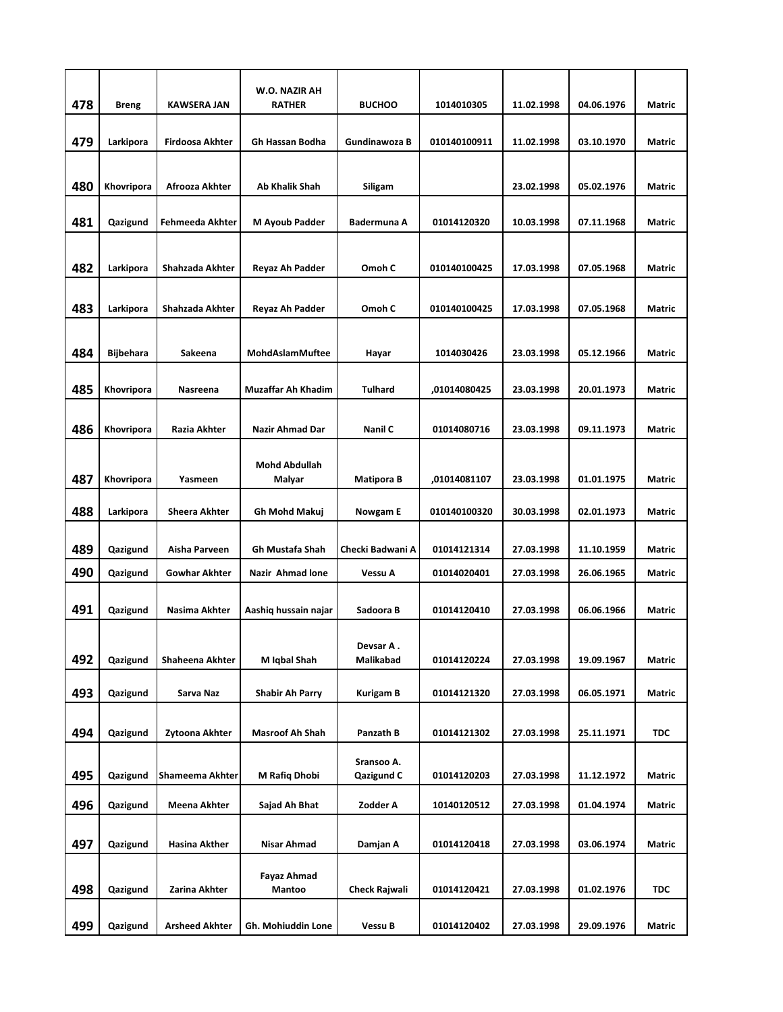| 478 | <b>Breng</b>     | <b>KAWSERA JAN</b>     | W.O. NAZIR AH<br><b>RATHER</b> | <b>BUCHOO</b>            | 1014010305   | 11.02.1998 | 04.06.1976 | Matric        |
|-----|------------------|------------------------|--------------------------------|--------------------------|--------------|------------|------------|---------------|
|     |                  |                        |                                |                          |              |            |            |               |
| 479 | Larkipora        | <b>Firdoosa Akhter</b> | Gh Hassan Bodha                | Gundinawoza B            | 010140100911 | 11.02.1998 | 03.10.1970 | Matric        |
|     |                  |                        |                                |                          |              |            |            |               |
| 480 | Khovripora       | Afrooza Akhter         | Ab Khalik Shah                 | Siligam                  |              | 23.02.1998 | 05.02.1976 | Matric        |
| 481 |                  | Fehmeeda Akhter        | <b>M Ayoub Padder</b>          |                          |              |            |            | Matric        |
|     | Qazigund         |                        |                                | <b>Badermuna A</b>       | 01014120320  | 10.03.1998 | 07.11.1968 |               |
| 482 | Larkipora        | Shahzada Akhter        | Reyaz Ah Padder                | Omoh C                   | 010140100425 | 17.03.1998 | 07.05.1968 | <b>Matric</b> |
|     |                  |                        |                                |                          |              |            |            |               |
| 483 | Larkipora        | Shahzada Akhter        | Reyaz Ah Padder                | Omoh C                   | 010140100425 | 17.03.1998 | 07.05.1968 | Matric        |
|     |                  |                        |                                |                          |              |            |            |               |
| 484 | <b>Bijbehara</b> | Sakeena                | MohdAslamMuftee                | Hayar                    | 1014030426   | 23.03.1998 | 05.12.1966 | Matric        |
|     |                  |                        |                                |                          |              |            |            |               |
| 485 | Khovripora       | Nasreena               | <b>Muzaffar Ah Khadim</b>      | <b>Tulhard</b>           | ,01014080425 | 23.03.1998 | 20.01.1973 | <b>Matric</b> |
| 486 | Khovripora       | Razia Akhter           | Nazir Ahmad Dar                | Nanil C                  | 01014080716  | 23.03.1998 | 09.11.1973 | <b>Matric</b> |
|     |                  |                        |                                |                          |              |            |            |               |
| 487 | Khovripora       | Yasmeen                | <b>Mohd Abdullah</b><br>Malyar | <b>Matipora B</b>        | ,01014081107 | 23.03.1998 | 01.01.1975 | Matric        |
|     |                  |                        |                                |                          |              |            |            |               |
| 488 | Larkipora        | <b>Sheera Akhter</b>   | Gh Mohd Makuj                  | <b>Nowgam E</b>          | 010140100320 | 30.03.1998 | 02.01.1973 | Matric        |
| 489 | Qazigund         | Aisha Parveen          | Gh Mustafa Shah                | Checki Badwani A         | 01014121314  | 27.03.1998 | 11.10.1959 | <b>Matric</b> |
| 490 | Qazigund         | <b>Gowhar Akhter</b>   | Nazir Ahmad lone               | Vessu A                  | 01014020401  | 27.03.1998 | 26.06.1965 | <b>Matric</b> |
|     |                  |                        |                                |                          |              |            |            |               |
| 491 | Qazigund         | Nasima Akhter          | Aashiq hussain najar           | Sadoora B                | 01014120410  | 27.03.1998 | 06.06.1966 | Matric        |
|     |                  |                        |                                | Devsar A.                |              |            |            |               |
| 492 | Qazigund         | Shaheena Akhter        | M Iqbal Shah                   | Malikabad                | 01014120224  | 27.03.1998 | 19.09.1967 | Matric        |
| 493 | Qazigund         | Sarva Naz              | <b>Shabir Ah Parry</b>         | <b>Kurigam B</b>         | 01014121320  | 27.03.1998 | 06.05.1971 | <b>Matric</b> |
|     |                  |                        |                                |                          |              |            |            |               |
| 494 | Qazigund         | Zytoona Akhter         | <b>Masroof Ah Shah</b>         | Panzath B                | 01014121302  | 27.03.1998 | 25.11.1971 | <b>TDC</b>    |
| 495 | Qazigund         | Shameema Akhter        | M Rafiq Dhobi                  | Sransoo A.<br>Qazigund C | 01014120203  | 27.03.1998 | 11.12.1972 | Matric        |
| 496 | Qazigund         | Meena Akhter           | Sajad Ah Bhat                  | Zodder A                 | 10140120512  | 27.03.1998 | 01.04.1974 | Matric        |
|     |                  |                        |                                |                          |              |            |            |               |
| 497 | Qazigund         | Hasina Akther          | Nisar Ahmad                    | Damjan A                 | 01014120418  | 27.03.1998 | 03.06.1974 | Matric        |
|     |                  |                        | <b>Fayaz Ahmad</b>             |                          |              |            |            |               |
| 498 | Qazigund         | Zarina Akhter          | Mantoo                         | Check Rajwali            | 01014120421  | 27.03.1998 | 01.02.1976 | <b>TDC</b>    |
|     |                  |                        |                                |                          |              |            |            |               |
| 499 | Qazigund         | <b>Arsheed Akhter</b>  | Gh. Mohiuddin Lone             | Vessu B                  | 01014120402  | 27.03.1998 | 29.09.1976 | Matric        |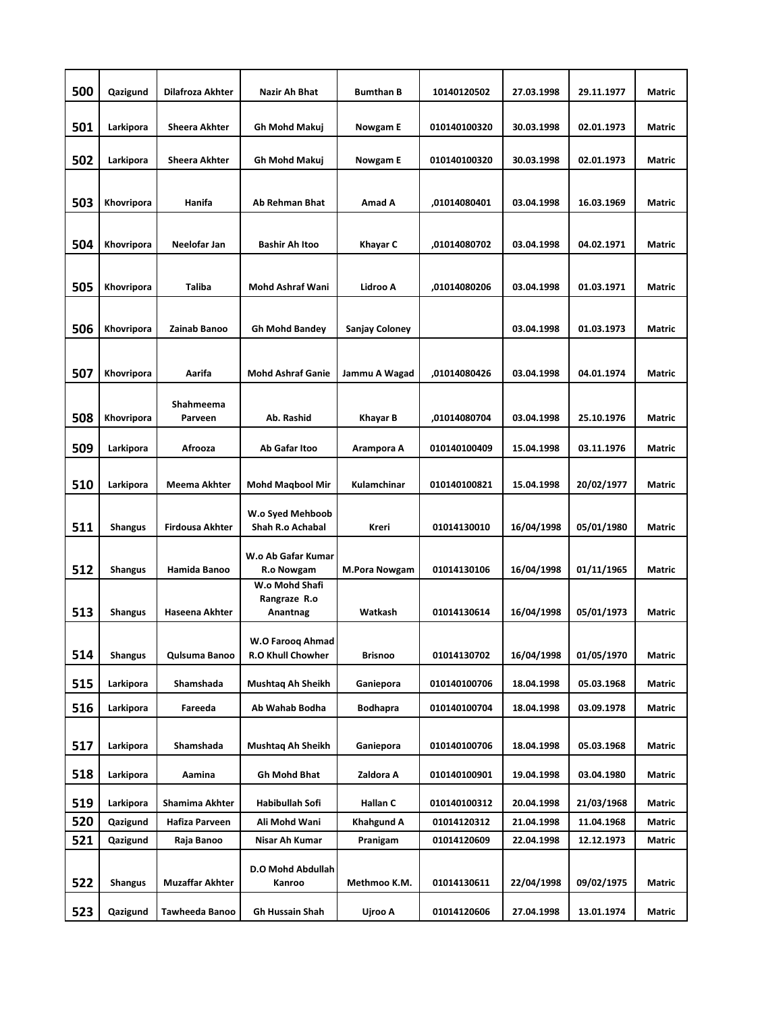| 500 | Qazigund       | Dilafroza Akhter       | Nazir Ah Bhat                              | <b>Bumthan B</b>     | 10140120502  | 27.03.1998 | 29.11.1977 | <b>Matric</b> |
|-----|----------------|------------------------|--------------------------------------------|----------------------|--------------|------------|------------|---------------|
| 501 | Larkipora      | Sheera Akhter          | Gh Mohd Makuj                              | Nowgam E             | 010140100320 | 30.03.1998 | 02.01.1973 | <b>Matric</b> |
| 502 | Larkipora      | Sheera Akhter          | Gh Mohd Makuj                              | Nowgam E             | 010140100320 | 30.03.1998 | 02.01.1973 | Matric        |
| 503 | Khovripora     | Hanifa                 | <b>Ab Rehman Bhat</b>                      | Amad A               | .01014080401 | 03.04.1998 | 16.03.1969 | <b>Matric</b> |
| 504 | Khovripora     | Neelofar Jan           | <b>Bashir Ah Itoo</b>                      | Khayar C             | .01014080702 | 03.04.1998 | 04.02.1971 | Matric        |
|     |                |                        |                                            |                      |              |            |            |               |
| 505 | Khovripora     | <b>Taliba</b>          | <b>Mohd Ashraf Wani</b>                    | Lidroo A             | ,01014080206 | 03.04.1998 | 01.03.1971 | <b>Matric</b> |
| 506 | Khovripora     | Zainab Banoo           | <b>Gh Mohd Bandey</b>                      | Sanjay Coloney       |              | 03.04.1998 | 01.03.1973 | <b>Matric</b> |
| 507 | Khovripora     | Aarifa                 | <b>Mohd Ashraf Ganie</b>                   | Jammu A Wagad        | ,01014080426 | 03.04.1998 | 04.01.1974 | <b>Matric</b> |
|     |                |                        |                                            |                      |              |            |            |               |
| 508 | Khovripora     | Shahmeema<br>Parveen   | Ab. Rashid                                 | Khayar B             | ,01014080704 | 03.04.1998 | 25.10.1976 | <b>Matric</b> |
| 509 | Larkipora      | Afrooza                | Ab Gafar Itoo                              | Arampora A           | 010140100409 | 15.04.1998 | 03.11.1976 | <b>Matric</b> |
| 510 | Larkipora      | Meema Akhter           | <b>Mohd Maqbool Mir</b>                    | Kulamchinar          | 010140100821 | 15.04.1998 | 20/02/1977 | <b>Matric</b> |
| 511 | <b>Shangus</b> | <b>Firdousa Akhter</b> | W.o Syed Mehboob<br>Shah R.o Achabal       | Kreri                | 01014130010  | 16/04/1998 | 05/01/1980 | <b>Matric</b> |
| 512 | <b>Shangus</b> | Hamida Banoo           | W.o Ab Gafar Kumar<br>R.o Nowgam           | <b>M.Pora Nowgam</b> | 01014130106  | 16/04/1998 | 01/11/1965 | <b>Matric</b> |
| 513 | <b>Shangus</b> | Haseena Akhter         | W.o Mohd Shafi<br>Rangraze R.o<br>Anantnag | Watkash              | 01014130614  | 16/04/1998 | 05/01/1973 | Matric        |
| 514 | <b>Shangus</b> | Qulsuma Banoo          | W.O Farooq Ahmad<br>R.O Khull Chowher      | <b>Brisnoo</b>       | 01014130702  | 16/04/1998 | 01/05/1970 | Matric        |
|     |                |                        |                                            |                      |              |            |            |               |
| 515 | Larkipora      | Shamshada              | Mushtaq Ah Sheikh                          | Ganiepora            | 010140100706 | 18.04.1998 | 05.03.1968 | Matric        |
| 516 | Larkipora      | Fareeda                | Ab Wahab Bodha                             | <b>Bodhapra</b>      | 010140100704 | 18.04.1998 | 03.09.1978 | Matric        |
| 517 | Larkipora      | Shamshada              | Mushtaq Ah Sheikh                          | Ganiepora            | 010140100706 | 18.04.1998 | 05.03.1968 | Matric        |
| 518 | Larkipora      | Aamina                 | Gh Mohd Bhat                               | Zaldora A            | 010140100901 | 19.04.1998 | 03.04.1980 | Matric        |
| 519 | Larkipora      | Shamima Akhter         | Habibullah Sofi                            | Hallan C             | 010140100312 | 20.04.1998 | 21/03/1968 | Matric        |
| 520 | Qazigund       | Hafiza Parveen         | Ali Mohd Wani                              | <b>Khahgund A</b>    | 01014120312  | 21.04.1998 | 11.04.1968 | Matric        |
| 521 | Qazigund       | Raja Banoo             | Nisar Ah Kumar                             | Pranigam             | 01014120609  | 22.04.1998 | 12.12.1973 | Matric        |
| 522 | <b>Shangus</b> | <b>Muzaffar Akhter</b> | D.O Mohd Abdullah<br>Kanroo                | Methmoo K.M.         | 01014130611  | 22/04/1998 | 09/02/1975 | Matric        |
| 523 | Qazigund       | Tawheeda Banoo         | Gh Hussain Shah                            | Ujroo A              | 01014120606  | 27.04.1998 | 13.01.1974 | Matric        |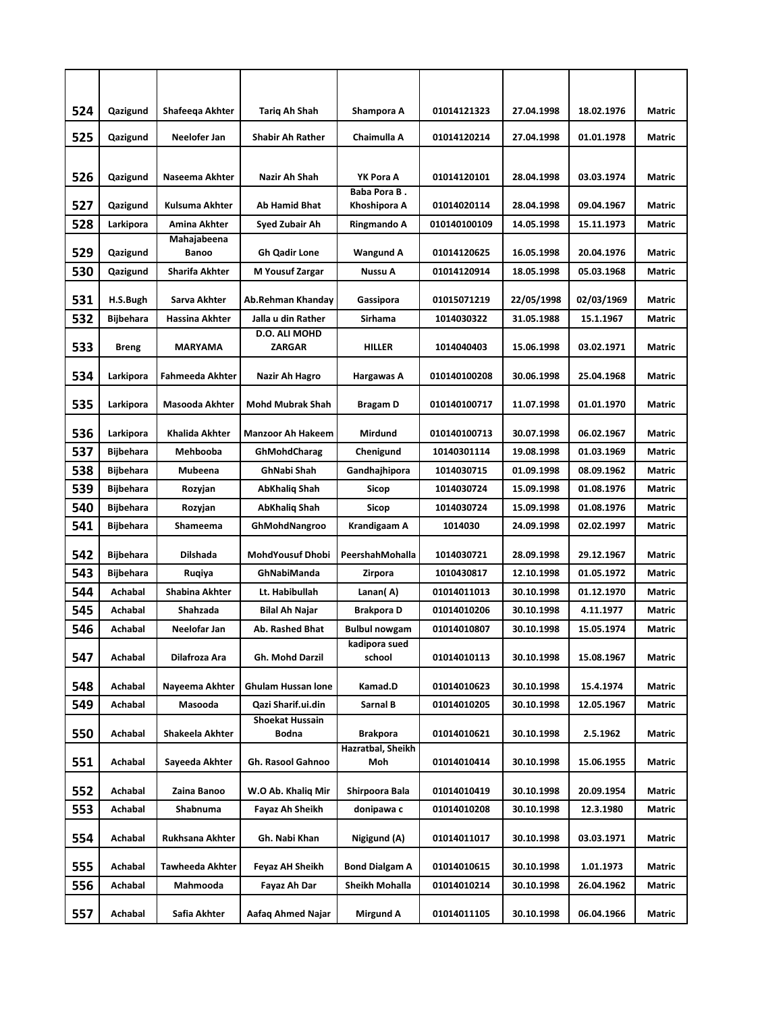| 524        | Qazigund           | Shafeega Akhter             | <b>Tarig Ah Shah</b>            | Shampora A                              | 01014121323                | 27.04.1998               | 18.02.1976              | Matric           |
|------------|--------------------|-----------------------------|---------------------------------|-----------------------------------------|----------------------------|--------------------------|-------------------------|------------------|
| 525        | Qazigund           | Neelofer Jan                | <b>Shabir Ah Rather</b>         | Chaimulla A                             | 01014120214                | 27.04.1998               | 01.01.1978              | Matric           |
|            |                    |                             |                                 |                                         |                            |                          |                         |                  |
| 526        | Qazigund           | Naseema Akhter              | Nazir Ah Shah                   | YK Pora A                               | 01014120101                | 28.04.1998               | 03.03.1974              | Matric           |
| 527        | Qazigund           | Kulsuma Akhter              | <b>Ab Hamid Bhat</b>            | Baba Pora B.<br>Khoshipora A            | 01014020114                | 28.04.1998               | 09.04.1967              | Matric           |
| 528        | Larkipora          | Amina Akhter                | Syed Zubair Ah                  | Ringmando A                             | 010140100109               | 14.05.1998               | 15.11.1973              | Matric           |
|            |                    | Mahajabeena                 |                                 |                                         |                            |                          |                         |                  |
| 529        | Qazigund           | Banoo                       | <b>Gh Qadir Lone</b>            | <b>Wangund A</b>                        | 01014120625                | 16.05.1998               | 20.04.1976              | Matric           |
| 530        | Qazigund           | Sharifa Akhter              | M Yousuf Zargar                 | Nussu A                                 | 01014120914                | 18.05.1998               | 05.03.1968              | Matric           |
| 531        | H.S.Bugh           | Sarva Akhter                | Ab.Rehman Khanday               | Gassipora                               | 01015071219                | 22/05/1998               | 02/03/1969              | Matric           |
| 532        | <b>Bijbehara</b>   | Hassina Akhter              | Jalla u din Rather              | Sirhama                                 | 1014030322                 | 31.05.1988               | 15.1.1967               | Matric           |
| 533        | <b>Breng</b>       | <b>MARYAMA</b>              | D.O. ALI MOHD<br><b>ZARGAR</b>  | <b>HILLER</b>                           | 1014040403                 | 15.06.1998               | 03.02.1971              | Matric           |
| 534        | Larkipora          | Fahmeeda Akhter             | Nazir Ah Hagro                  | Hargawas A                              | 010140100208               | 30.06.1998               | 25.04.1968              | Matric           |
| 535        | Larkipora          | Masooda Akhter              | <b>Mohd Mubrak Shah</b>         | Bragam D                                | 010140100717               | 11.07.1998               | 01.01.1970              | Matric           |
| 536        | Larkipora          | <b>Khalida Akhter</b>       | <b>Manzoor Ah Hakeem</b>        | Mirdund                                 | 010140100713               | 30.07.1998               | 06.02.1967              | <b>Matric</b>    |
| 537        | <b>Bijbehara</b>   | Mehbooba                    | GhMohdCharag                    | Chenigund                               | 10140301114                | 19.08.1998               | 01.03.1969              | Matric           |
| 538        | <b>Bijbehara</b>   | Mubeena                     | GhNabi Shah                     | Gandhajhipora                           | 1014030715                 | 01.09.1998               | 08.09.1962              | Matric           |
| 539        | <b>Bijbehara</b>   | Rozyjan                     | AbKhaliq Shah                   | Sicop                                   | 1014030724                 | 15.09.1998               | 01.08.1976              | Matric           |
| 540        | Bijbehara          | Rozyjan                     | <b>AbKhalig Shah</b>            | Sicop                                   | 1014030724                 | 15.09.1998               | 01.08.1976              | Matric           |
| 541        | <b>Bijbehara</b>   | Shameema                    | GhMohdNangroo                   | Krandigaam A                            | 1014030                    | 24.09.1998               | 02.02.1997              | Matric           |
| 542        | <b>Bijbehara</b>   | Dilshada                    | MohdYousuf Dhobi                | PeershahMohalla                         | 1014030721                 | 28.09.1998               | 29.12.1967              | Matric           |
| 543        | <b>Bijbehara</b>   | Ruqiya                      | GhNabiManda                     | Zirpora                                 | 1010430817                 | 12.10.1998               | 01.05.1972              | Matric           |
| 544        | Achabal            | Shabina Akhter              | Lt. Habibullah                  | Lanan(A)                                | 01014011013                | 30.10.1998               | 01.12.1970              | Matric           |
| 545        | Achabal            | Shahzada                    | Bilal Ah Najar                  | <b>Brakpora D</b>                       | 01014010206                | 30.10.1998               | 4.11.1977               | Matric           |
| 546        | Achabal            | Neelofar Jan                | Ab. Rashed Bhat                 | <b>Bulbul nowgam</b>                    | 01014010807                | 30.10.1998               | 15.05.1974              | Matric           |
| 547        | Achabal            | Dilafroza Ara               | Gh. Mohd Darzil                 | kadipora sued<br>school                 | 01014010113                | 30.10.1998               | 15.08.1967              | Matric           |
| 548        | Achabal            | Nayeema Akhter              | <b>Ghulam Hussan lone</b>       | Kamad.D                                 | 01014010623                | 30.10.1998               | 15.4.1974               | Matric           |
| 549        | Achabal            | Masooda                     | Qazi Sharif.ui.din              | Sarnal B                                | 01014010205                | 30.10.1998               | 12.05.1967              | Matric           |
| 550        | Achabal            | Shakeela Akhter             | <b>Shoekat Hussain</b><br>Bodna | Brakpora                                | 01014010621                | 30.10.1998               | 2.5.1962                | Matric           |
| 551        | Achabal            | Sayeeda Akhter              | Gh. Rasool Gahnoo               | Hazratbal, Sheikh<br>Moh                | 01014010414                | 30.10.1998               | 15.06.1955              | Matric           |
| 552        | Achabal            | Zaina Banoo                 | W.O Ab. Khaliq Mir              | Shirpoora Bala                          | 01014010419                | 30.10.1998               | 20.09.1954              | Matric           |
| 553        | Achabal            | Shabnuma                    | Fayaz Ah Sheikh                 | donipawa c                              | 01014010208                | 30.10.1998               | 12.3.1980               | Matric           |
| 554        | Achabal            | Rukhsana Akhter             | Gh. Nabi Khan                   | Nigigund (A)                            | 01014011017                | 30.10.1998               | 03.03.1971              | Matric           |
|            |                    |                             |                                 |                                         |                            |                          |                         |                  |
| 555<br>556 | Achabal<br>Achabal | Tawheeda Akhter<br>Mahmooda | Feyaz AH Sheikh<br>Fayaz Ah Dar | <b>Bond Dialgam A</b><br>Sheikh Mohalla | 01014010615<br>01014010214 | 30.10.1998<br>30.10.1998 | 1.01.1973<br>26.04.1962 | Matric<br>Matric |
|            |                    |                             |                                 |                                         |                            |                          |                         |                  |
|            |                    |                             |                                 |                                         |                            |                          |                         |                  |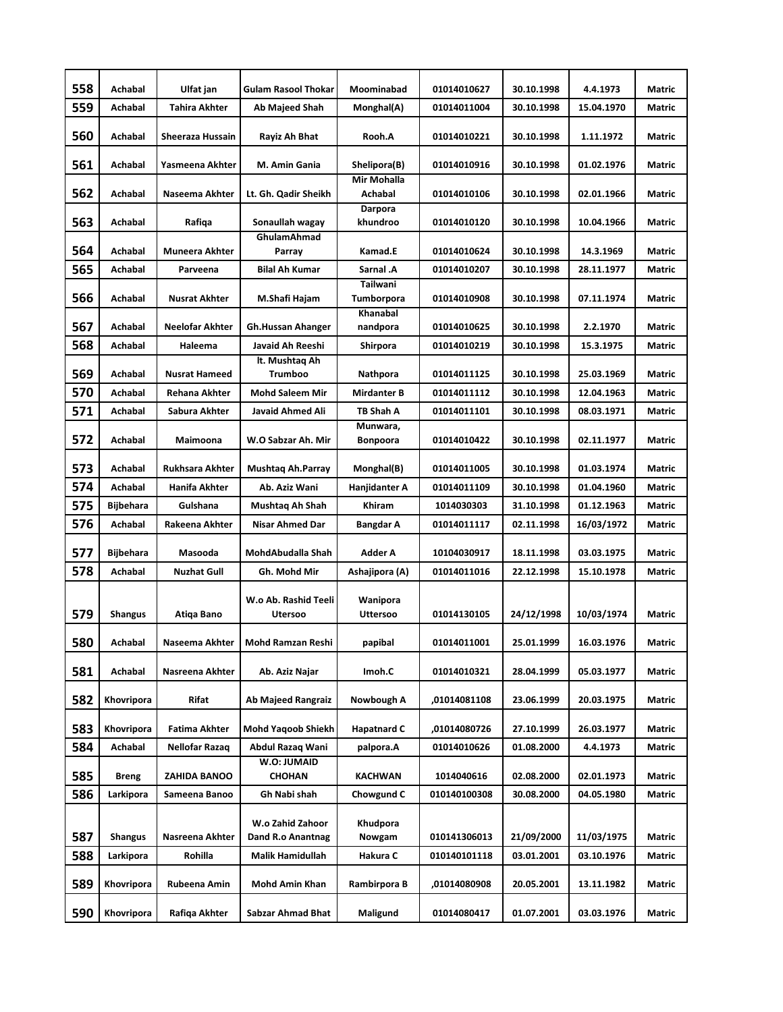| 558        | Achabal          | Ulfat jan                  | <b>Gulam Rasool Thokar</b>                   | Moominabad                    | 01014010627                | 30.10.1998               | 4.4.1973              | Matric                  |
|------------|------------------|----------------------------|----------------------------------------------|-------------------------------|----------------------------|--------------------------|-----------------------|-------------------------|
| 559        | Achabal          | <b>Tahira Akhter</b>       | Ab Majeed Shah                               | Monghal(A)                    | 01014011004                | 30.10.1998               | 15.04.1970            | <b>Matric</b>           |
| 560        | Achabal          | Sheeraza Hussain           | Rayiz Ah Bhat                                | Rooh.A                        | 01014010221                | 30.10.1998               | 1.11.1972             | Matric                  |
| 561        | Achabal          | Yasmeena Akhter            | M. Amin Gania                                | Shelipora(B)                  | 01014010916                | 30.10.1998               | 01.02.1976            | Matric                  |
| 562        | Achabal          | Naseema Akhter             | Lt. Gh. Qadir Sheikh                         | Mir Mohalla<br>Achabal        | 01014010106                | 30.10.1998               | 02.01.1966            | Matric                  |
| 563        | Achabal          | Rafiqa                     | Sonaullah wagay                              | Darpora<br>khundroo           | 01014010120                | 30.10.1998               | 10.04.1966            | Matric                  |
| 564        | Achabal          | <b>Muneera Akhter</b>      | <b>GhulamAhmad</b><br>Parray                 | Kamad.E                       | 01014010624                | 30.10.1998               | 14.3.1969             | Matric                  |
| 565        | Achabal          | Parveena                   | <b>Bilal Ah Kumar</b>                        | Sarnal .A                     | 01014010207                | 30.10.1998               | 28.11.1977            | <b>Matric</b>           |
| 566        | Achabal          | Nusrat Akhter              | M.Shafi Hajam                                | Tailwani<br><b>Tumborpora</b> | 01014010908                | 30.10.1998               | 07.11.1974            | Matric                  |
|            | Achabal          |                            |                                              | Khanabal                      |                            |                          |                       |                         |
| 567<br>568 | Achabal          | Neelofar Akhter<br>Haleema | <b>Gh.Hussan Ahanger</b><br>Javaid Ah Reeshi | nandpora<br>Shirpora          | 01014010625<br>01014010219 | 30.10.1998<br>30.10.1998 | 2.2.1970<br>15.3.1975 | <b>Matric</b><br>Matric |
|            |                  |                            | lt. Mushtaq Ah                               |                               |                            |                          |                       |                         |
| 569        | Achabal          | <b>Nusrat Hameed</b>       | Trumboo                                      | Nathpora                      | 01014011125                | 30.10.1998               | 25.03.1969            | Matric                  |
| 570        | Achabal          | <b>Rehana Akhter</b>       | <b>Mohd Saleem Mir</b>                       | <b>Mirdanter B</b>            | 01014011112                | 30.10.1998               | 12.04.1963            | <b>Matric</b>           |
| 571        | Achabal          | Sabura Akhter              | Javaid Ahmed Ali                             | TB Shah A                     | 01014011101                | 30.10.1998               | 08.03.1971            | Matric                  |
| 572        | Achabal          | Maimoona                   | W.O Sabzar Ah. Mir                           | Munwara,<br><b>Bonpoora</b>   | 01014010422                | 30.10.1998               | 02.11.1977            | <b>Matric</b>           |
| 573        | Achabal          | Rukhsara Akhter            | Mushtaq Ah.Parray                            | Monghal(B)                    | 01014011005                | 30.10.1998               | 01.03.1974            | Matric                  |
| 574        | Achabal          | Hanifa Akhter              | Ab. Aziz Wani                                | Hanjidanter A                 | 01014011109                | 30.10.1998               | 01.04.1960            | Matric                  |
| 575        | Bijbehara        | Gulshana                   | Mushtaq Ah Shah                              | Khiram                        | 1014030303                 | 31.10.1998               | 01.12.1963            | <b>Matric</b>           |
| 576        | Achabal          | Rakeena Akhter             | <b>Nisar Ahmed Dar</b>                       | Bangdar A                     | 01014011117                | 02.11.1998               | 16/03/1972            | Matric                  |
| 577        | <b>Bijbehara</b> | Masooda                    | MohdAbudalla Shah                            | Adder A                       | 10104030917                | 18.11.1998               | 03.03.1975            | Matric                  |
| 578        | Achabal          | <b>Nuzhat Gull</b>         | Gh. Mohd Mir                                 | Ashajipora (A)                | 01014011016                | 22.12.1998               | 15.10.1978            | Matric                  |
| 579        | Shangus          | Atiqa Bano                 | W.o Ab. Rashid Teeli<br><b>Utersoo</b>       | Wanipora<br><b>Uttersoo</b>   | 01014130105                | 24/12/1998               | 10/03/1974            | Matric                  |
| 580        | Achabal          | Naseema Akhter             | Mohd Ramzan Reshi                            | papibal                       | 01014011001                | 25.01.1999               | 16.03.1976            | Matric                  |
| 581        | Achabal          | Nasreena Akhter            | Ab. Aziz Najar                               | Imoh.C                        | 01014010321                | 28.04.1999               | 05.03.1977            | Matric                  |
| 582        | Khovripora       | Rifat                      | <b>Ab Majeed Rangraiz</b>                    | Nowbough A                    | ,01014081108               | 23.06.1999               | 20.03.1975            | Matric                  |
| 583        | Khovripora       | Fatima Akhter              | <b>Mohd Yaqoob Shiekh</b>                    | <b>Hapatnard C</b>            | ,01014080726               | 27.10.1999               | 26.03.1977            | Matric                  |
| 584        | Achabal          | Nellofar Razaq             | Abdul Razaq Wani                             | palpora.A                     | 01014010626                | 01.08.2000               | 4.4.1973              | Matric                  |
| 585        | <b>Breng</b>     | ZAHIDA BANOO               | W.O: JUMAID<br><b>CHOHAN</b>                 | KACHWAN                       | 1014040616                 | 02.08.2000               | 02.01.1973            | Matric                  |
| 586        | Larkipora        | Sameena Banoo              | Gh Nabi shah                                 | Chowgund C                    | 010140100308               | 30.08.2000               | 04.05.1980            | Matric                  |
| 587        | <b>Shangus</b>   | Nasreena Akhter            | W.o Zahid Zahoor<br>Dand R.o Anantnag        | Khudpora<br>Nowgam            | 010141306013               | 21/09/2000               | 11/03/1975            | Matric                  |
| 588        | Larkipora        | Rohilla                    | Malik Hamidullah                             | Hakura C                      | 010140101118               | 03.01.2001               | 03.10.1976            | Matric                  |
| 589        | Khovripora       | Rubeena Amin               | Mohd Amin Khan                               | Rambirpora B                  | ,01014080908               | 20.05.2001               | 13.11.1982            | Matric                  |
| 590        | Khovripora       | Rafiqa Akhter              | Sabzar Ahmad Bhat                            | Maligund                      | 01014080417                | 01.07.2001               | 03.03.1976            | Matric                  |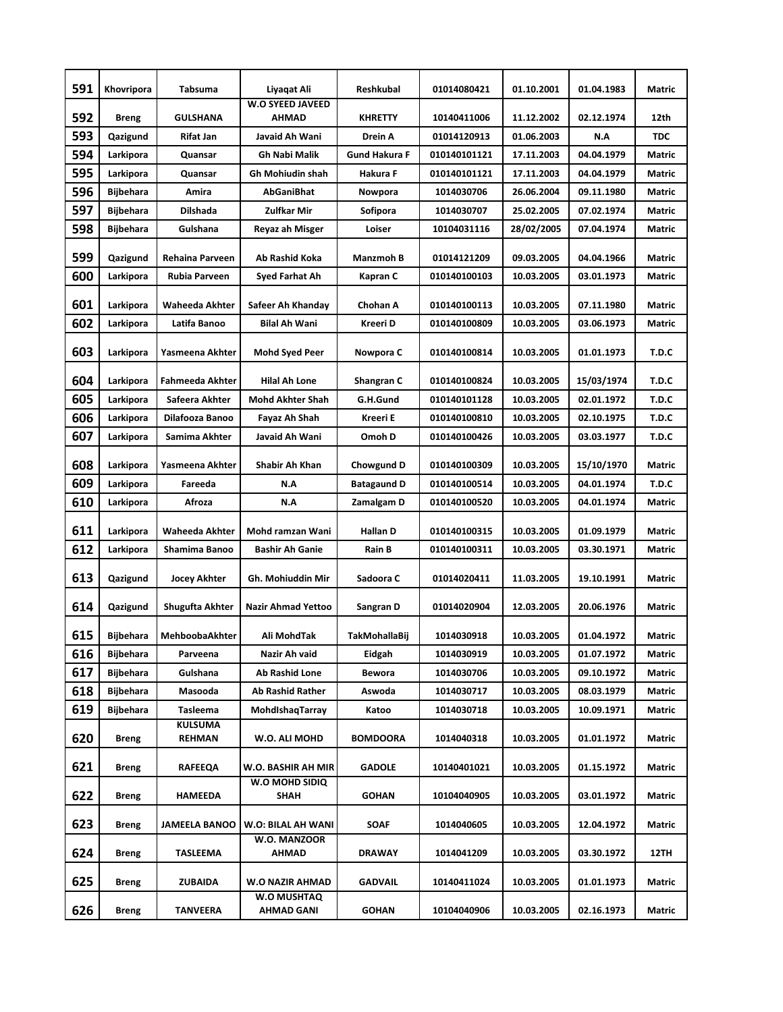| 591 | Khovripora       | Tabsuma                  | Liyaqat Ali                           | Reshkubal            | 01014080421  | 01.10.2001 | 01.04.1983        | Matric        |
|-----|------------------|--------------------------|---------------------------------------|----------------------|--------------|------------|-------------------|---------------|
| 592 | <b>Breng</b>     | GULSHANA                 | <b>W.O SYEED JAVEED</b><br>AHMAD      | KHRETTY              | 10140411006  | 11.12.2002 | 02.12.1974        | 12th          |
| 593 | Qazigund         | Rifat Jan                | Javaid Ah Wani                        | Drein A              | 01014120913  | 01.06.2003 | N.A               | <b>TDC</b>    |
| 594 | Larkipora        | Quansar                  | <b>Gh Nabi Malik</b>                  | <b>Gund Hakura F</b> | 010140101121 | 17.11.2003 | 04.04.1979        | Matric        |
| 595 | Larkipora        | Quansar                  | Gh Mohiudin shah                      | Hakura F             | 010140101121 | 17.11.2003 | 04.04.1979        | Matric        |
| 596 | <b>Bijbehara</b> | Amira                    | AbGaniBhat                            | Nowpora              | 1014030706   | 26.06.2004 | 09.11.1980        | Matric        |
| 597 | <b>Bijbehara</b> | <b>Dilshada</b>          | <b>Zulfkar Mir</b>                    | Sofipora             | 1014030707   | 25.02.2005 | 07.02.1974        | <b>Matric</b> |
| 598 | <b>Bijbehara</b> | Gulshana                 | Reyaz ah Misger                       | Loiser               | 10104031116  | 28/02/2005 | 07.04.1974        | Matric        |
| 599 | Qazigund         | Rehaina Parveen          | Ab Rashid Koka                        | <b>Manzmoh B</b>     | 01014121209  | 09.03.2005 | 04.04.1966        | Matric        |
| 600 | Larkipora        | Rubia Parveen            | Syed Farhat Ah                        | Kapran C             | 010140100103 | 10.03.2005 | 03.01.1973        | <b>Matric</b> |
| 601 | Larkipora        | Waheeda Akhter           | Safeer Ah Khanday                     | Chohan A             | 010140100113 | 10.03.2005 | 07.11.1980        | <b>Matric</b> |
| 602 | Larkipora        | Latifa Banoo             | <b>Bilal Ah Wani</b>                  | Kreeri D             | 010140100809 | 10.03.2005 | 03.06.1973        | Matric        |
| 603 | Larkipora        | Yasmeena Akhter          | <b>Mohd Syed Peer</b>                 | Nowpora C            | 010140100814 | 10.03.2005 | 01.01.1973        | T.D.C         |
| 604 | Larkipora        | <b>Fahmeeda Akhter</b>   | <b>Hilal Ah Lone</b>                  | Shangran C           | 010140100824 | 10.03.2005 | 15/03/1974        | T.D.C         |
| 605 | Larkipora        | Safeera Akhter           | <b>Mohd Akhter Shah</b>               | G.H.Gund             | 010140101128 | 10.03.2005 | 02.01.1972        | T.D.C         |
| 606 | Larkipora        | Dilafooza Banoo          | Fayaz Ah Shah                         | Kreeri E             | 010140100810 | 10.03.2005 | 02.10.1975        | T.D.C         |
| 607 | Larkipora        | Samima Akhter            | Javaid Ah Wani                        | Omoh D               | 010140100426 | 10.03.2005 | 03.03.1977        | T.D.C         |
| 608 | Larkipora        | Yasmeena Akhter          | Shabir Ah Khan                        | Chowgund D           | 010140100309 | 10.03.2005 | <b>15/10/1970</b> | <b>Matric</b> |
| 609 | Larkipora        | Fareeda                  | N.A                                   | <b>Batagaund D</b>   | 010140100514 | 10.03.2005 | 04.01.1974        | T.D.C         |
| 610 | Larkipora        | Afroza                   | N.A                                   | Zamalgam D           | 010140100520 | 10.03.2005 | 04.01.1974        | Matric        |
| 611 | Larkipora        | Waheeda Akhter           | Mohd ramzan Wani                      | <b>Hallan D</b>      | 010140100315 | 10.03.2005 | 01.09.1979        | Matric        |
| 612 | Larkipora        | Shamima Banoo            | <b>Bashir Ah Ganie</b>                | <b>Rain B</b>        | 010140100311 | 10.03.2005 | 03.30.1971        | Matric        |
| 613 | Qazigund         | Jocey Akhter             | Gh. Mohiuddin Mir                     | Sadoora C            | 01014020411  | 11.03.2005 | 19.10.1991        | Matric        |
| 614 | Qazigund         | Shugufta Akhter          | <b>Nazir Ahmad Yettoo</b>             | Sangran D            | 01014020904  | 12.03.2005 | 20.06.1976        | Matric        |
| 615 | <b>Bijbehara</b> | MehboobaAkhter           | Ali MohdTak                           | <b>TakMohallaBii</b> | 1014030918   | 10.03.2005 | 01.04.1972        | Matric        |
| 616 | <b>Bijbehara</b> | Parveena                 | Nazir Ah vaid                         | Eidgah               | 1014030919   | 10.03.2005 | 01.07.1972        | Matric        |
| 617 | <b>Bijbehara</b> | Gulshana                 | Ab Rashid Lone                        | Bewora               | 1014030706   | 10.03.2005 | 09.10.1972        | Matric        |
| 618 | <b>Bijbehara</b> | Masooda                  | <b>Ab Rashid Rather</b>               | Aswoda               | 1014030717   | 10.03.2005 | 08.03.1979        | Matric        |
| 619 | Bijbehara        | Tasleema                 | MohdishaqTarray                       | Katoo                | 1014030718   | 10.03.2005 | 10.09.1971        | Matric        |
| 620 | <b>Breng</b>     | <b>KULSUMA</b><br>REHMAN | W.O. ALI MOHD                         | <b>BOMDOORA</b>      | 1014040318   | 10.03.2005 | 01.01.1972        | Matric        |
| 621 |                  |                          |                                       |                      |              |            |                   |               |
|     | Breng            | <b>RAFEEQA</b>           | W.O. BASHIR AH MIR                    | <b>GADOLE</b>        | 10140401021  | 10.03.2005 | 01.15.1972        | Matric        |
| 622 | <b>Breng</b>     | HAMEEDA                  | W.O MOHD SIDIQ<br>SHAH                | <b>GOHAN</b>         | 10104040905  | 10.03.2005 | 03.01.1972        | Matric        |
| 623 | <b>Breng</b>     | <b>JAMEELA BANOO</b>     | W.O: BILAL AH WANI                    | <b>SOAF</b>          | 1014040605   | 10.03.2005 | 12.04.1972        | Matric        |
| 624 | Breng            | TASLEEMA                 | W.O. MANZOOR<br>AHMAD                 | <b>DRAWAY</b>        | 1014041209   | 10.03.2005 | 03.30.1972        | 12TH          |
| 625 | Breng            | ZUBAIDA                  | <b>W.O NAZIR AHMAD</b><br>W.O MUSHTAQ | <b>GADVAIL</b>       | 10140411024  | 10.03.2005 | 01.01.1973        | Matric        |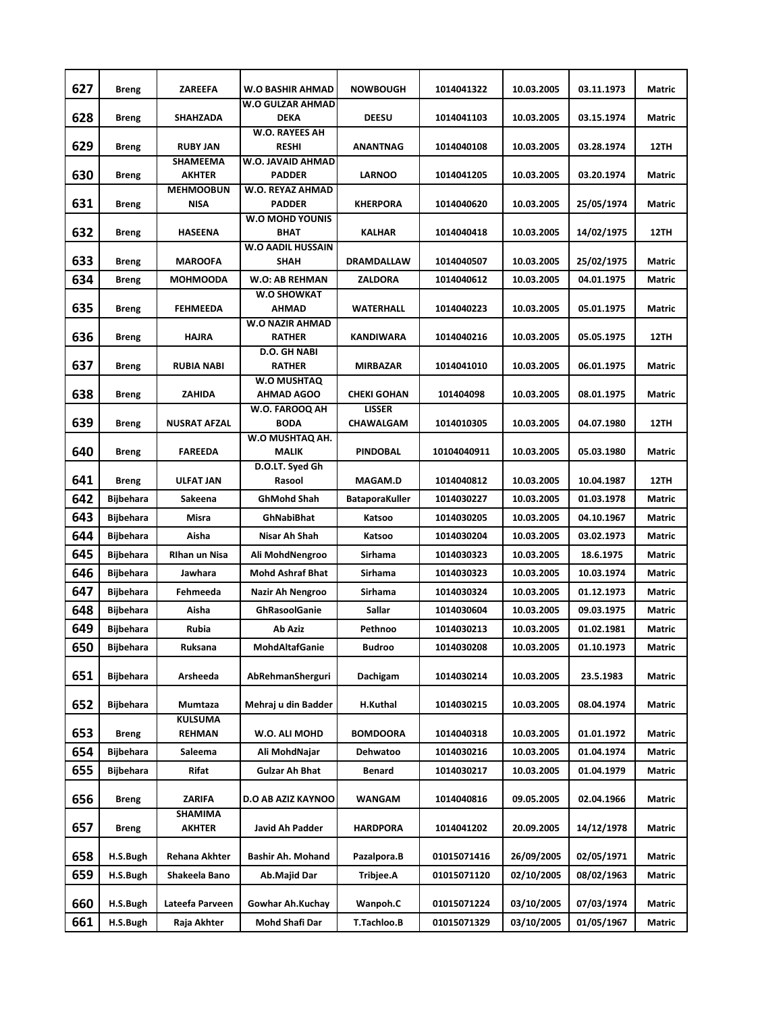| 627 | Breng            | <b>ZAREEFA</b>                   | <b>W.O BASHIR AHMAD</b>                 | <b>NOWBOUGH</b>                     | 1014041322  | 10.03.2005 | 03.11.1973 | <b>Matric</b> |
|-----|------------------|----------------------------------|-----------------------------------------|-------------------------------------|-------------|------------|------------|---------------|
| 628 | Breng            | SHAHZADA                         | <b>W.O GULZAR AHMAD</b><br><b>DEKA</b>  | <b>DEESU</b>                        | 1014041103  | 10.03.2005 | 03.15.1974 | <b>Matric</b> |
| 629 | <b>Breng</b>     | <b>RUBY JAN</b>                  | <b>W.O. RAYEES AH</b><br><b>RESHI</b>   | <b>ANANTNAG</b>                     | 1014040108  | 10.03.2005 | 03.28.1974 | 12TH          |
| 630 | <b>Breng</b>     | <b>SHAMEEMA</b><br><b>AKHTER</b> | W.O. JAVAID AHMAD<br><b>PADDER</b>      | <b>LARNOO</b>                       | 1014041205  | 10.03.2005 | 03.20.1974 | Matric        |
| 631 | <b>Breng</b>     | <b>MEHMOOBUN</b><br><b>NISA</b>  | W.O. REYAZ AHMAD<br><b>PADDER</b>       | <b>KHERPORA</b>                     | 1014040620  | 10.03.2005 | 25/05/1974 | <b>Matric</b> |
| 632 | <b>Breng</b>     | <b>HASEENA</b>                   | <b>W.O MOHD YOUNIS</b><br>BHAT          | <b>KALHAR</b>                       | 1014040418  | 10.03.2005 | 14/02/1975 | 12TH          |
| 633 | <b>Breng</b>     | <b>MAROOFA</b>                   | <b>W.O AADIL HUSSAIN</b><br>SHAH        | DRAMDALLAW                          | 1014040507  | 10.03.2005 | 25/02/1975 | Matric        |
| 634 | Breng            | MOHMOODA                         | W.O: AB REHMAN                          | <b>ZALDORA</b>                      | 1014040612  | 10.03.2005 | 04.01.1975 | Matric        |
| 635 | <b>Breng</b>     | <b>FEHMEEDA</b>                  | <b>W.O SHOWKAT</b><br><b>AHMAD</b>      | <b>WATERHALL</b>                    | 1014040223  | 10.03.2005 | 05.01.1975 | Matric        |
| 636 | <b>Breng</b>     | <b>HAJRA</b>                     | <b>W.O NAZIR AHMAD</b><br><b>RATHER</b> | KANDIWARA                           | 1014040216  | 10.03.2005 | 05.05.1975 | 12TH          |
|     |                  |                                  | D.O. GH NABI                            |                                     |             |            |            |               |
| 637 | <b>Breng</b>     | <b>RUBIA NABI</b>                | <b>RATHER</b><br><b>W.O MUSHTAQ</b>     | <b>MIRBAZAR</b>                     | 1014041010  | 10.03.2005 | 06.01.1975 | Matric        |
| 638 | Breng            | ZAHIDA                           | <b>AHMAD AGOO</b><br>W.O. FAROOQ AH     | <b>CHEKI GOHAN</b><br><b>LISSER</b> | 101404098   | 10.03.2005 | 08.01.1975 | Matric        |
| 639 | Breng            | NUSRAT AFZAL                     | BODA                                    | CHAWALGAM                           | 1014010305  | 10.03.2005 | 04.07.1980 | 12TH          |
| 640 | <b>Breng</b>     | FAREEDA                          | W.O MUSHTAQ AH.<br><b>MALIK</b>         | <b>PINDOBAL</b>                     | 10104040911 | 10.03.2005 | 05.03.1980 | Matric        |
| 641 | Breng            | <b>ULFAT JAN</b>                 | D.O.LT. Syed Gh<br>Rasool               | <b>MAGAM.D</b>                      | 1014040812  | 10.03.2005 | 10.04.1987 | 12TH          |
| 642 | <b>Bijbehara</b> | Sakeena                          | GhMohd Shah                             | <b>BataporaKuller</b>               | 1014030227  | 10.03.2005 | 01.03.1978 | Matric        |
| 643 | <b>Bijbehara</b> | Misra                            | GhNabiBhat                              | Katsoo                              | 1014030205  | 10.03.2005 | 04.10.1967 | Matric        |
| 644 | <b>Bijbehara</b> | Aisha                            | Nisar Ah Shah                           | Katsoo                              | 1014030204  | 10.03.2005 | 03.02.1973 | Matric        |
| 645 | Bijbehara        | <b>Rihan un Nisa</b>             | Ali MohdNengroo                         | Sirhama                             | 1014030323  | 10.03.2005 | 18.6.1975  | Matric        |
| 646 | <b>Bijbehara</b> | Jawhara                          | <b>Mohd Ashraf Bhat</b>                 | Sirhama                             | 1014030323  | 10.03.2005 | 10.03.1974 | Matric        |
| 647 | <b>Bijbehara</b> | Fehmeeda                         | Nazir Ah Nengroo                        | <b>Sirhama</b>                      | 1014030324  | 10.03.2005 | 01.12.1973 | Matric        |
| 648 | <b>Bijbehara</b> | Aisha                            | GhRasoolGanie                           | <b>Sallar</b>                       | 1014030604  | 10.03.2005 | 09.03.1975 | Matric        |
| 649 | <b>Bijbehara</b> | Rubia                            | Ab Aziz                                 | Pethnoo                             | 1014030213  | 10.03.2005 | 01.02.1981 | Matric        |
| 650 | <b>Bijbehara</b> | Ruksana                          | <b>MohdAltafGanie</b>                   | Budroo                              | 1014030208  | 10.03.2005 | 01.10.1973 | Matric        |
| 651 | <b>Bijbehara</b> | Arsheeda                         | AbRehmanSherguri                        | Dachigam                            | 1014030214  | 10.03.2005 | 23.5.1983  | Matric        |
| 652 | <b>Bijbehara</b> | Mumtaza                          | Mehraj u din Badder                     | H.Kuthal                            | 1014030215  | 10.03.2005 | 08.04.1974 | <b>Matric</b> |
| 653 | Breng            | <b>KULSUMA</b><br><b>REHMAN</b>  | W.O. ALI MOHD                           | <b>BOMDOORA</b>                     | 1014040318  | 10.03.2005 | 01.01.1972 | Matric        |
| 654 | <b>Bijbehara</b> | Saleema                          | Ali MohdNajar                           | Dehwatoo                            | 1014030216  | 10.03.2005 | 01.04.1974 | Matric        |
| 655 | Bijbehara        | Rifat                            | <b>Gulzar Ah Bhat</b>                   | Benard                              | 1014030217  | 10.03.2005 | 01.04.1979 | Matric        |
| 656 | <b>Breng</b>     | ZARIFA                           | <b>D.O AB AZIZ KAYNOO</b>               | WANGAM                              | 1014040816  | 09.05.2005 | 02.04.1966 | Matric        |
| 657 | <b>Breng</b>     | SHAMIMA<br>AKHTER                | Javid Ah Padder                         | <b>HARDPORA</b>                     | 1014041202  | 20.09.2005 | 14/12/1978 | Matric        |
| 658 | H.S.Bugh         | Rehana Akhter                    | Bashir Ah. Mohand                       | Pazalpora.B                         | 01015071416 | 26/09/2005 | 02/05/1971 | Matric        |
| 659 | H.S.Bugh         | Shakeela Bano                    | Ab.Majid Dar                            | Tribjee.A                           | 01015071120 | 02/10/2005 | 08/02/1963 | Matric        |
| 660 | H.S.Bugh         | Lateefa Parveen                  | Gowhar Ah.Kuchay                        | Wanpoh.C                            | 01015071224 | 03/10/2005 | 07/03/1974 | Matric        |
| 661 | H.S.Bugh         | Raja Akhter                      | Mohd Shafi Dar                          | T.Tachloo.B                         | 01015071329 | 03/10/2005 | 01/05/1967 | Matric        |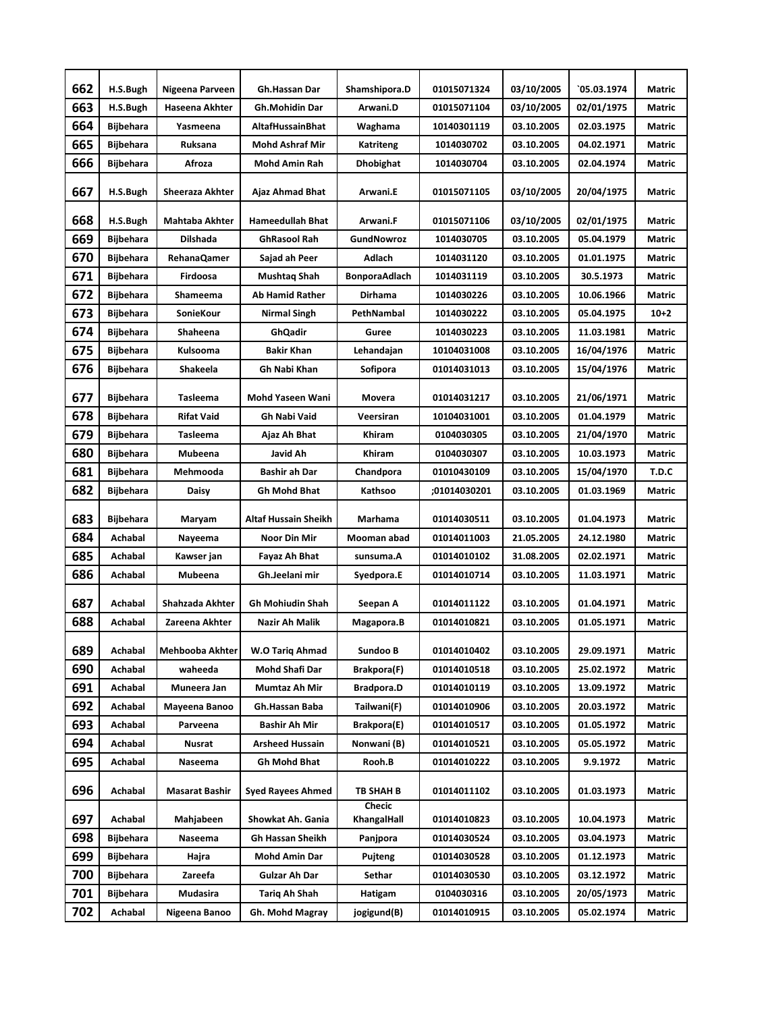| 662 | H.S.Bugh         | Nigeena Parveen       | Gh.Hassan Dar               | Shamshipora.D         | 01015071324  | 03/10/2005 | 05.03.1974` | <b>Matric</b> |
|-----|------------------|-----------------------|-----------------------------|-----------------------|--------------|------------|-------------|---------------|
| 663 | H.S.Bugh         | Haseena Akhter        | <b>Gh.Mohidin Dar</b>       | Arwani.D              | 01015071104  | 03/10/2005 | 02/01/1975  | <b>Matric</b> |
| 664 | <b>Bijbehara</b> | Yasmeena              | <b>AltafHussainBhat</b>     | Waghama               | 10140301119  | 03.10.2005 | 02.03.1975  | Matric        |
| 665 | <b>Bijbehara</b> | Ruksana               | <b>Mohd Ashraf Mir</b>      | Katriteng             | 1014030702   | 03.10.2005 | 04.02.1971  | Matric        |
| 666 | <b>Bijbehara</b> | Afroza                | Mohd Amin Rah               | <b>Dhobighat</b>      | 1014030704   | 03.10.2005 | 02.04.1974  | <b>Matric</b> |
| 667 | H.S.Bugh         | Sheeraza Akhter       | Ajaz Ahmad Bhat             | Arwani.E              | 01015071105  | 03/10/2005 | 20/04/1975  | <b>Matric</b> |
|     |                  |                       |                             |                       |              |            |             |               |
| 668 | H.S.Bugh         | Mahtaba Akhter        | <b>Hameedullah Bhat</b>     | Arwani.F              | 01015071106  | 03/10/2005 | 02/01/1975  | <b>Matric</b> |
| 669 | <b>Bijbehara</b> | <b>Dilshada</b>       | <b>GhRasool Rah</b>         | GundNowroz            | 1014030705   | 03.10.2005 | 05.04.1979  | Matric        |
| 670 | <b>Bijbehara</b> | RehanaQamer           | Sajad ah Peer               | Adlach                | 1014031120   | 03.10.2005 | 01.01.1975  | <b>Matric</b> |
| 671 | Bijbehara        | Firdoosa              | Mushtaq Shah                | <b>BonporaAdlach</b>  | 1014031119   | 03.10.2005 | 30.5.1973   | Matric        |
| 672 | <b>Bijbehara</b> | Shameema              | <b>Ab Hamid Rather</b>      | <b>Dirhama</b>        | 1014030226   | 03.10.2005 | 10.06.1966  | Matric        |
| 673 | <b>Bijbehara</b> | SonieKour             | Nirmal Singh                | PethNambal            | 1014030222   | 03.10.2005 | 05.04.1975  | $10+2$        |
| 674 | <b>Bijbehara</b> | Shaheena              | GhQadir                     | Guree                 | 1014030223   | 03.10.2005 | 11.03.1981  | <b>Matric</b> |
| 675 | <b>Bijbehara</b> | Kulsooma              | <b>Bakir Khan</b>           | Lehandajan            | 10104031008  | 03.10.2005 | 16/04/1976  | Matric        |
| 676 | <b>Bijbehara</b> | Shakeela              | Gh Nabi Khan                | Sofipora              | 01014031013  | 03.10.2005 | 15/04/1976  | Matric        |
| 677 | <b>Bijbehara</b> | <b>Tasleema</b>       | <b>Mohd Yaseen Wani</b>     | Movera                | 01014031217  | 03.10.2005 | 21/06/1971  | Matric        |
| 678 | <b>Bijbehara</b> | <b>Rifat Vaid</b>     | <b>Gh Nabi Vaid</b>         | Veersiran             | 10104031001  | 03.10.2005 | 01.04.1979  | Matric        |
| 679 | <b>Bijbehara</b> | Tasleema              | Ajaz Ah Bhat                | Khiram                | 0104030305   | 03.10.2005 | 21/04/1970  | Matric        |
| 680 | <b>Bijbehara</b> | Mubeena               | Javid Ah                    | Khiram                | 0104030307   | 03.10.2005 | 10.03.1973  | <b>Matric</b> |
| 681 | <b>Bijbehara</b> | Mehmooda              | Bashir ah Dar               | Chandpora             | 01010430109  | 03.10.2005 | 15/04/1970  | T.D.C         |
| 682 | Bijbehara        | Daisy                 | Gh Mohd Bhat                | Kathsoo               | ;01014030201 | 03.10.2005 | 01.03.1969  | Matric        |
| 683 | <b>Bijbehara</b> | Maryam                | <b>Altaf Hussain Sheikh</b> | Marhama               | 01014030511  | 03.10.2005 | 01.04.1973  | <b>Matric</b> |
| 684 | Achabal          | Nayeema               | Noor Din Mir                | Mooman abad           | 01014011003  | 21.05.2005 | 24.12.1980  | Matric        |
| 685 | Achabal          | Kawser jan            | Fayaz Ah Bhat               | sunsuma.A             | 01014010102  | 31.08.2005 | 02.02.1971  | <b>Matric</b> |
| 686 | Achabal          | Mubeena               | Gh.Jeelani mir              | Syedpora.E            | 01014010714  | 03.10.2005 | 11.03.1971  | Matric        |
| 687 | Achabal          | Shahzada Akhter       | <b>Gh Mohiudin Shah</b>     | Seepan A              | 01014011122  | 03.10.2005 | 01.04.1971  | <b>Matric</b> |
| 688 | Achabal          | Zareena Akhter        | Nazir Ah Malik              | Magapora.B            | 01014010821  | 03.10.2005 | 01.05.1971  | Matric        |
| 689 | Achabal          | Mehbooba Akhter       | W.O Tariq Ahmad             | Sundoo B              | 01014010402  | 03.10.2005 | 29.09.1971  | Matric        |
| 690 | Achabal          | waheeda               | Mohd Shafi Dar              | Brakpora(F)           | 01014010518  | 03.10.2005 | 25.02.1972  | Matric        |
| 691 | Achabal          | Muneera Jan           | Mumtaz Ah Mir               | <b>Bradpora.D</b>     | 01014010119  | 03.10.2005 | 13.09.1972  | Matric        |
| 692 | Achabal          | Mayeena Banoo         | Gh.Hassan Baba              | Tailwani(F)           | 01014010906  | 03.10.2005 | 20.03.1972  | Matric        |
| 693 | Achabal          | Parveena              | Bashir Ah Mir               | <b>Brakpora(E)</b>    | 01014010517  | 03.10.2005 | 01.05.1972  | Matric        |
| 694 | Achabal          | Nusrat                | Arsheed Hussain             | Nonwani (B)           | 01014010521  | 03.10.2005 | 05.05.1972  | Matric        |
| 695 | Achabal          | Naseema               | Gh Mohd Bhat                | Rooh.B                | 01014010222  | 03.10.2005 | 9.9.1972    | Matric        |
| 696 | Achabal          | <b>Masarat Bashir</b> | <b>Syed Rayees Ahmed</b>    | TB SHAH B             | 01014011102  | 03.10.2005 | 01.03.1973  | Matric        |
| 697 | Achabal          | Mahjabeen             | Showkat Ah. Gania           | Checic<br>KhangalHall | 01014010823  | 03.10.2005 | 10.04.1973  | Matric        |
| 698 | Bijbehara        | Naseema               | Gh Hassan Sheikh            | Panjpora              | 01014030524  | 03.10.2005 | 03.04.1973  | Matric        |
| 699 | Bijbehara        | Hajra                 | Mohd Amin Dar               | Pujteng               | 01014030528  | 03.10.2005 | 01.12.1973  | Matric        |
| 700 | Bijbehara        | Zareefa               | Gulzar Ah Dar               | Sethar                | 01014030530  | 03.10.2005 | 03.12.1972  | Matric        |
| 701 | Bijbehara        | Mudasira              | Tariq Ah Shah               | Hatigam               | 0104030316   | 03.10.2005 | 20/05/1973  | Matric        |
| 702 | Achabal          | Nigeena Banoo         | Gh. Mohd Magray             | jogigund(B)           | 01014010915  | 03.10.2005 | 05.02.1974  | Matric        |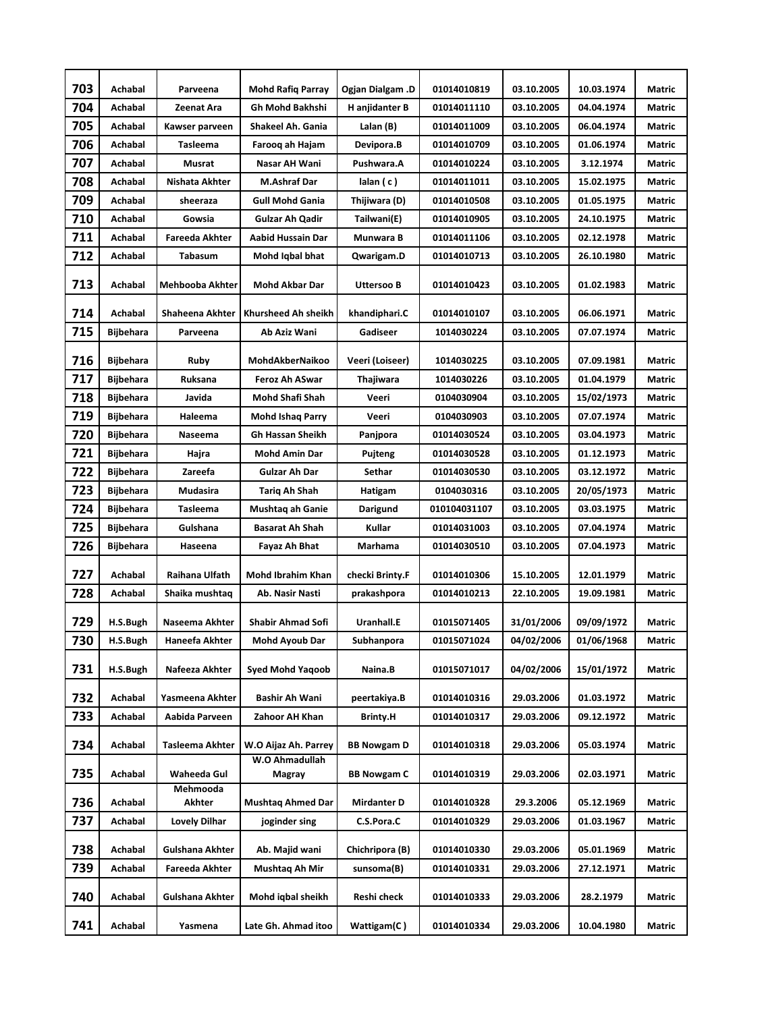| 703 | Achabal          | Parveena             | <b>Mohd Rafig Parray</b>               | Ogjan Dialgam .D   | 01014010819  | 03.10.2005 | 10.03.1974 | Matric        |
|-----|------------------|----------------------|----------------------------------------|--------------------|--------------|------------|------------|---------------|
| 704 | Achabal          | Zeenat Ara           | Gh Mohd Bakhshi                        | H anjidanter B     | 01014011110  | 03.10.2005 | 04.04.1974 | Matric        |
| 705 | Achabal          | Kawser parveen       | Shakeel Ah. Gania                      | Lalan (B)          | 01014011009  | 03.10.2005 | 06.04.1974 | Matric        |
| 706 | Achabal          | Tasleema             | Farooq ah Hajam                        | Devipora.B         | 01014010709  | 03.10.2005 | 01.06.1974 | <b>Matric</b> |
| 707 | <b>Achabal</b>   | Musrat               | Nasar AH Wani                          | Pushwara.A         | 01014010224  | 03.10.2005 | 3.12.1974  | Matric        |
| 708 | Achabal          | Nishata Akhter       | M.Ashraf Dar                           | $l$ alan $(c)$     | 01014011011  | 03.10.2005 | 15.02.1975 | Matric        |
| 709 | Achabal          | sheeraza             | <b>Gull Mohd Gania</b>                 | Thijiwara (D)      | 01014010508  | 03.10.2005 | 01.05.1975 | Matric        |
| 710 | Achabal          | Gowsia               | <b>Gulzar Ah Qadir</b>                 | Tailwani(E)        | 01014010905  | 03.10.2005 | 24.10.1975 | Matric        |
| 711 | Achabal          | Fareeda Akhter       | <b>Aabid Hussain Dar</b>               | Munwara B          | 01014011106  | 03.10.2005 | 02.12.1978 | Matric        |
| 712 | Achabal          | Tabasum              | Mohd Iqbal bhat                        | Qwarigam.D         | 01014010713  | 03.10.2005 | 26.10.1980 | Matric        |
| 713 | Achabal          | Mehbooba Akhter      | Mohd Akbar Dar                         | Uttersoo B         | 01014010423  | 03.10.2005 | 01.02.1983 | Matric        |
| 714 | Achabal          | Shaheena Akhter      | Khursheed Ah sheikh                    | khandiphari.C      | 01014010107  | 03.10.2005 | 06.06.1971 | Matric        |
| 715 | Bijbehara        | Parveena             | Ab Aziz Wani                           | Gadiseer           | 1014030224   | 03.10.2005 | 07.07.1974 | <b>Matric</b> |
| 716 | Bijbehara        | Ruby                 | MohdAkberNaikoo                        | Veeri (Loiseer)    | 1014030225   | 03.10.2005 | 07.09.1981 | Matric        |
| 717 | Bijbehara        | Ruksana              | Feroz Ah ASwar                         | Thajiwara          | 1014030226   | 03.10.2005 | 01.04.1979 | Matric        |
| 718 | <b>Bijbehara</b> | Javida               | Mohd Shafi Shah                        | Veeri              | 0104030904   | 03.10.2005 | 15/02/1973 | Matric        |
| 719 | <b>Bijbehara</b> | Haleema              | <b>Mohd Ishaq Parry</b>                | Veeri              | 0104030903   | 03.10.2005 | 07.07.1974 | <b>Matric</b> |
| 720 | <b>Bijbehara</b> | Naseema              | Gh Hassan Sheikh                       | Panjpora           | 01014030524  | 03.10.2005 | 03.04.1973 | Matric        |
| 721 | Bijbehara        | Hajra                | <b>Mohd Amin Dar</b>                   | Pujteng            | 01014030528  | 03.10.2005 | 01.12.1973 | Matric        |
| 722 | Bijbehara        | Zareefa              | Gulzar Ah Dar                          | Sethar             | 01014030530  | 03.10.2005 | 03.12.1972 | Matric        |
| 723 | <b>Bijbehara</b> | Mudasira             | Tariq Ah Shah                          | Hatigam            | 0104030316   | 03.10.2005 | 20/05/1973 | Matric        |
| 724 | Bijbehara        | Tasleema             | Mushtaq ah Ganie                       | Darigund           | 010104031107 | 03.10.2005 | 03.03.1975 | Matric        |
| 725 | <b>Bijbehara</b> | Gulshana             | <b>Basarat Ah Shah</b>                 | Kullar             | 01014031003  | 03.10.2005 | 07.04.1974 | Matric        |
| 726 | <b>Bijbehara</b> | Haseena              | Fayaz Ah Bhat                          | Marhama            | 01014030510  | 03.10.2005 | 07.04.1973 | Matric        |
| 727 | Achabal          | Raihana Ulfath       | Mohd Ibrahim Khan                      | checki Brinty.F    | 01014010306  | 15.10.2005 | 12.01.1979 | Matric        |
| 728 | Achabal          | Shaika mushtaq       | Ab. Nasir Nasti                        | prakashpora        | 01014010213  | 22.10.2005 | 19.09.1981 | Matric        |
| 729 | H.S.Bugh         | Naseema Akhter       | <b>Shabir Ahmad Sofi</b>               | Uranhall.E         | 01015071405  | 31/01/2006 | 09/09/1972 | Matric        |
| 730 | H.S.Bugh         | Haneefa Akhter       | Mohd Ayoub Dar                         | Subhanpora         | 01015071024  | 04/02/2006 | 01/06/1968 | Matric        |
| 731 | H.S.Bugh         | Nafeeza Akhter       | <b>Syed Mohd Yaqoob</b>                | Naina.B            | 01015071017  | 04/02/2006 | 15/01/1972 | Matric        |
| 732 | Achabal          | Yasmeena Akhter      | Bashir Ah Wani                         | peertakiya.B       | 01014010316  | 29.03.2006 | 01.03.1972 | Matric        |
| 733 | Achabal          | Aabida Parveen       | Zahoor AH Khan                         | <b>Brinty.H</b>    | 01014010317  | 29.03.2006 | 09.12.1972 | Matric        |
| 734 | Achabal          | Tasleema Akhter      | W.O Aijaz Ah. Parrey<br>W.O Ahmadullah | <b>BB Nowgam D</b> | 01014010318  | 29.03.2006 | 05.03.1974 | Matric        |
| 735 | Achabal          | Waheeda Gul          | Magray                                 | <b>BB Nowgam C</b> | 01014010319  | 29.03.2006 | 02.03.1971 | Matric        |
| 736 | Achabal          | Mehmooda<br>Akhter   | <b>Mushtaq Ahmed Dar</b>               | Mirdanter D        | 01014010328  | 29.3.2006  | 05.12.1969 | Matric        |
| 737 | Achabal          | <b>Lovely Dilhar</b> | joginder sing                          | C.S.Pora.C         | 01014010329  | 29.03.2006 | 01.03.1967 | Matric        |
| 738 | Achabal          | Gulshana Akhter      | Ab. Majid wani                         | Chichripora (B)    | 01014010330  | 29.03.2006 | 05.01.1969 | Matric        |
| 739 | Achabal          | Fareeda Akhter       | Mushtaq Ah Mir                         | sunsoma(B)         | 01014010331  | 29.03.2006 | 27.12.1971 | Matric        |
| 740 | Achabal          | Gulshana Akhter      | Mohd iqbal sheikh                      | Reshi check        | 01014010333  | 29.03.2006 | 28.2.1979  | Matric        |
| 741 | Achabal          | Yasmena              | Late Gh. Ahmad itoo                    | Wattigam(C)        | 01014010334  | 29.03.2006 | 10.04.1980 | Matric        |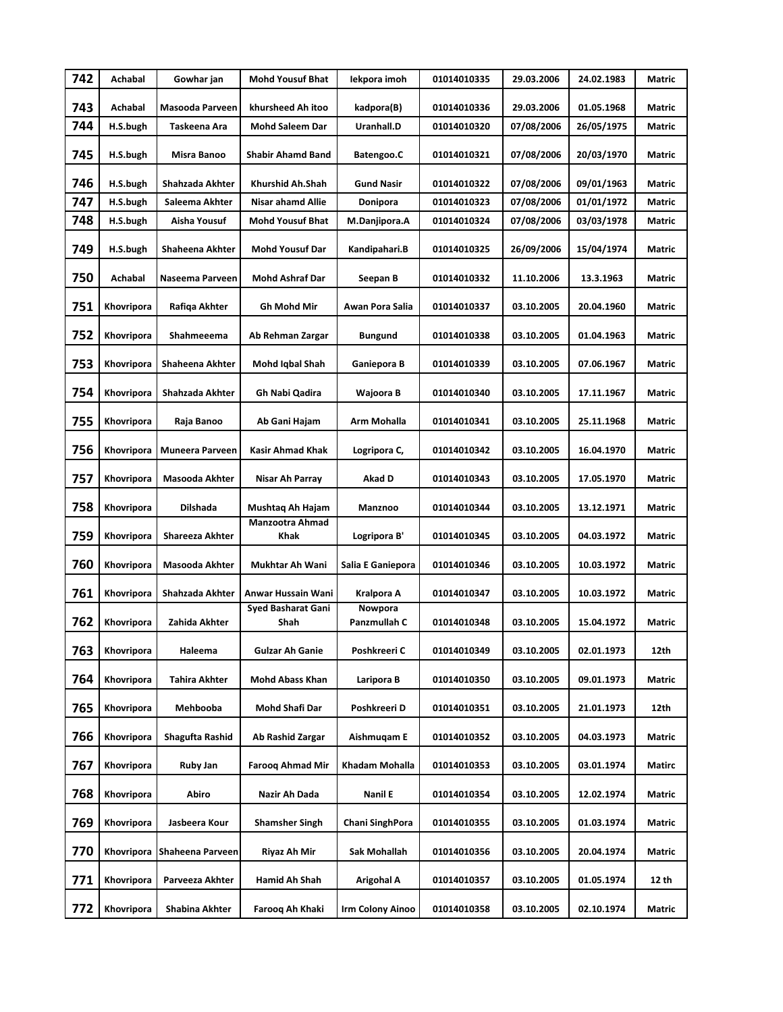| 742 | Achabal    | Gowhar jan             | <b>Mohd Yousuf Bhat</b>           | Iekpora imoh            | 01014010335 | 29.03.2006 | 24.02.1983 | Matric        |
|-----|------------|------------------------|-----------------------------------|-------------------------|-------------|------------|------------|---------------|
| 743 | Achabal    | Masooda Parveen        | khursheed Ah itoo                 | kadpora(B)              | 01014010336 | 29.03.2006 | 01.05.1968 | Matric        |
| 744 | H.S.bugh   | Taskeena Ara           | <b>Mohd Saleem Dar</b>            | Uranhall.D              | 01014010320 | 07/08/2006 | 26/05/1975 | Matric        |
| 745 | H.S.bugh   | Misra Banoo            | <b>Shabir Ahamd Band</b>          | Batengoo.C              | 01014010321 | 07/08/2006 | 20/03/1970 | Matric        |
| 746 | H.S.bugh   | Shahzada Akhter        | Khurshid Ah.Shah                  | <b>Gund Nasir</b>       | 01014010322 | 07/08/2006 | 09/01/1963 | Matric        |
| 747 | H.S.bugh   | Saleema Akhter         | Nisar ahamd Allie                 | Donipora                | 01014010323 | 07/08/2006 | 01/01/1972 | Matric        |
| 748 | H.S.bugh   | Aisha Yousuf           | <b>Mohd Yousuf Bhat</b>           | M.Danjipora.A           | 01014010324 | 07/08/2006 | 03/03/1978 | Matric        |
| 749 | H.S.bugh   | Shaheena Akhter        | <b>Mohd Yousuf Dar</b>            | Kandipahari.B           | 01014010325 | 26/09/2006 | 15/04/1974 | Matric        |
| 750 | Achabal    | Naseema Parveen        | <b>Mohd Ashraf Dar</b>            | Seepan B                | 01014010332 | 11.10.2006 | 13.3.1963  | Matric        |
| 751 | Khovripora | Rafiqa Akhter          | Gh Mohd Mir                       | Awan Pora Salia         | 01014010337 | 03.10.2005 | 20.04.1960 | Matric        |
| 752 | Khovripora | Shahmeeema             | Ab Rehman Zargar                  | <b>Bungund</b>          | 01014010338 | 03.10.2005 | 01.04.1963 | Matric        |
| 753 | Khovripora | <b>Shaheena Akhter</b> | Mohd Iqbal Shah                   | Ganiepora B             | 01014010339 | 03.10.2005 | 07.06.1967 | <b>Matric</b> |
| 754 | Khovripora | Shahzada Akhter        | Gh Nabi Qadira                    | Wajoora B               | 01014010340 | 03.10.2005 | 17.11.1967 | Matric        |
| 755 | Khovripora | Raja Banoo             | Ab Gani Hajam                     | Arm Mohalla             | 01014010341 | 03.10.2005 | 25.11.1968 | Matric        |
| 756 | Khovripora | Muneera Parveen        | Kasir Ahmad Khak                  | Logripora C,            | 01014010342 | 03.10.2005 | 16.04.1970 | Matric        |
| 757 | Khovripora | Masooda Akhter         | Nisar Ah Parray                   | Akad D                  | 01014010343 | 03.10.2005 | 17.05.1970 | Matric        |
| 758 | Khovripora | Dilshada               | Mushtaq Ah Hajam                  | Manznoo                 | 01014010344 | 03.10.2005 | 13.12.1971 | Matric        |
| 759 | Khovripora | <b>Shareeza Akhter</b> | <b>Manzootra Ahmad</b><br>Khak    | Logripora B'            | 01014010345 | 03.10.2005 | 04.03.1972 | Matric        |
| 760 | Khovripora | Masooda Akhter         | Mukhtar Ah Wani                   | Salia E Ganiepora       | 01014010346 | 03.10.2005 | 10.03.1972 | Matric        |
| 761 | Khovripora | Shahzada Akhter        | Anwar Hussain Wani                | Kralpora A              | 01014010347 | 03.10.2005 | 10.03.1972 | Matric        |
| 762 | Khovripora | Zahida Akhter          | <b>Syed Basharat Gani</b><br>Shah | Nowpora<br>Panzmullah C | 01014010348 | 03.10.2005 | 15.04.1972 | Matric        |
| 763 | Khovripora | Haleema                | <b>Gulzar Ah Ganie</b>            | Poshkreeri C            | 01014010349 | 03.10.2005 | 02.01.1973 | 12th          |
| 764 | Khovripora | Tahira Akhter          | <b>Mohd Abass Khan</b>            | Laripora B              | 01014010350 | 03.10.2005 | 09.01.1973 | Matric        |
| 765 | Khovripora | Mehbooba               | Mohd Shafi Dar                    | Poshkreeri D            | 01014010351 | 03.10.2005 | 21.01.1973 | 12th          |
| 766 | Khovripora | Shagufta Rashid        | Ab Rashid Zargar                  | Aishmuqam E             | 01014010352 | 03.10.2005 | 04.03.1973 | Matric        |
| 767 | Khovripora | Ruby Jan               | <b>Farooq Ahmad Mir</b>           | Khadam Mohalla          | 01014010353 | 03.10.2005 | 03.01.1974 | Matirc        |
| 768 | Khovripora | Abiro                  | Nazir Ah Dada                     | Nanil E                 | 01014010354 | 03.10.2005 | 12.02.1974 | Matric        |
| 769 | Khovripora | Jasbeera Kour          | <b>Shamsher Singh</b>             | Chani SinghPora         | 01014010355 | 03.10.2005 | 01.03.1974 | Matric        |
| 770 | Khovripora | Shaheena Parveen       | Riyaz Ah Mir                      | Sak Mohallah            | 01014010356 | 03.10.2005 | 20.04.1974 | Matric        |
| 771 | Khovripora | Parveeza Akhter        | Hamid Ah Shah                     | Arigohal A              | 01014010357 | 03.10.2005 | 01.05.1974 | 12 th         |
| 772 | Khovripora | Shabina Akhter         | Farooq Ah Khaki                   | <b>Irm Colony Ainoo</b> | 01014010358 | 03.10.2005 | 02.10.1974 | Matric        |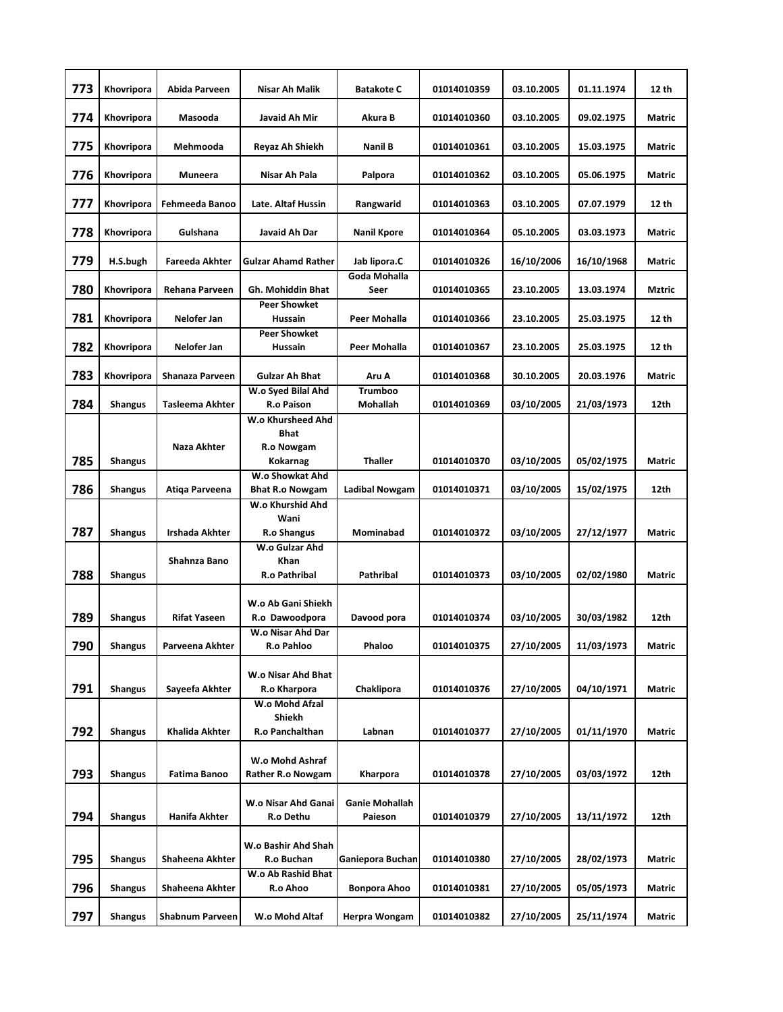| 773 | Khovripora     | Abida Parveen          | Nisar Ah Malik                                     | <b>Batakote C</b>                 | 01014010359 | 03.10.2005 | 01.11.1974 | 12 th         |
|-----|----------------|------------------------|----------------------------------------------------|-----------------------------------|-------------|------------|------------|---------------|
| 774 | Khovripora     | Masooda                | Javaid Ah Mir                                      | Akura B                           | 01014010360 | 03.10.2005 | 09.02.1975 | Matric        |
| 775 | Khovripora     | Mehmooda               | Reyaz Ah Shiekh                                    | <b>Nanil B</b>                    | 01014010361 | 03.10.2005 | 15.03.1975 | Matric        |
| 776 | Khovripora     | Muneera                | Nisar Ah Pala                                      | Palpora                           | 01014010362 | 03.10.2005 | 05.06.1975 | Matric        |
| 777 | Khovripora     | Fehmeeda Banoo         | Late. Altaf Hussin                                 | Rangwarid                         | 01014010363 | 03.10.2005 | 07.07.1979 | 12 th         |
| 778 | Khovripora     | Gulshana               | Javaid Ah Dar                                      | <b>Nanil Kpore</b>                | 01014010364 | 05.10.2005 | 03.03.1973 | <b>Matric</b> |
| 779 | H.S.bugh       | <b>Fareeda Akhter</b>  | <b>Gulzar Ahamd Rather</b>                         | Jab lipora.C                      | 01014010326 | 16/10/2006 | 16/10/1968 | Matric        |
| 780 | Khovripora     | Rehana Parveen         | <b>Gh. Mohiddin Bhat</b>                           | Goda Mohalla<br>Seer              | 01014010365 | 23.10.2005 | 13.03.1974 | Mztric        |
| 781 | Khovripora     | Nelofer Jan            | <b>Peer Showket</b><br><b>Hussain</b>              | <b>Peer Mohalla</b>               | 01014010366 | 23.10.2005 | 25.03.1975 | 12 th         |
| 782 | Khovripora     | Nelofer Jan            | <b>Peer Showket</b><br><b>Hussain</b>              | <b>Peer Mohalla</b>               | 01014010367 | 23.10.2005 | 25.03.1975 | 12 th         |
| 783 | Khovripora     | Shanaza Parveen        | Gulzar Ah Bhat                                     | Aru A                             | 01014010368 | 30.10.2005 | 20.03.1976 | <b>Matric</b> |
| 784 | <b>Shangus</b> | <b>Tasleema Akhter</b> | W.o Syed Bilal Ahd<br><b>R.o Paison</b>            | <b>Trumboo</b><br><b>Mohallah</b> | 01014010369 | 03/10/2005 | 21/03/1973 | 12th          |
| 785 | <b>Shangus</b> | Naza Akhter            | W.o Khursheed Ahd<br><b>Bhat</b><br>R.o Nowgam     | <b>Thaller</b>                    | 01014010370 |            |            | Matric        |
|     |                |                        | Kokarnag<br>W.o Showkat Ahd                        |                                   |             | 03/10/2005 | 05/02/1975 |               |
| 786 | <b>Shangus</b> | Atiqa Parveena         | <b>Bhat R.o Nowgam</b><br>W.o Khurshid Ahd         | Ladibal Nowgam                    | 01014010371 | 03/10/2005 | 15/02/1975 | 12th          |
| 787 | <b>Shangus</b> | Irshada Akhter         | Wani<br>R.o Shangus                                | Mominabad                         | 01014010372 | 03/10/2005 | 27/12/1977 | Matric        |
| 788 | <b>Shangus</b> | Shahnza Bano           | W.o Gulzar Ahd<br><b>Khan</b><br>R.o Pathribal     | Pathribal                         | 01014010373 | 03/10/2005 | 02/02/1980 | <b>Matric</b> |
| 789 | <b>Shangus</b> | <b>Rifat Yaseen</b>    | W.o Ab Gani Shiekh<br>R.o Dawoodpora               | Davood pora                       | 01014010374 | 03/10/2005 | 30/03/1982 | 12th          |
| 790 | <b>Shangus</b> | Parveena Akhter        | W.o Nisar Ahd Dar<br>R.o Pahloo                    | Phaloo                            | 01014010375 | 27/10/2005 | 11/03/1973 | Matric        |
| 791 | <b>Shangus</b> | Sayeefa Akhter         | W.o Nisar Ahd Bhat<br>R.o Kharpora                 | Chaklipora                        | 01014010376 | 27/10/2005 | 04/10/1971 | Matric        |
| 792 | <b>Shangus</b> | Khalida Akhter         | W.o Mohd Afzal<br><b>Shiekh</b><br>R.o Panchalthan | Labnan                            | 01014010377 | 27/10/2005 | 01/11/1970 | Matric        |
| 793 | <b>Shangus</b> | Fatima Banoo           | W.o Mohd Ashraf<br>Rather R.o Nowgam               | Kharpora                          | 01014010378 | 27/10/2005 | 03/03/1972 | 12th          |
|     |                |                        |                                                    |                                   |             |            |            |               |
| 794 | <b>Shangus</b> | Hanifa Akhter          | W.o Nisar Ahd Ganai<br>R.o Dethu                   | <b>Ganie Mohallah</b><br>Paieson  | 01014010379 | 27/10/2005 | 13/11/1972 | 12th          |
| 795 | <b>Shangus</b> | Shaheena Akhter        | W.o Bashir Ahd Shah<br>R.o Buchan                  | Ganiepora Buchan                  | 01014010380 | 27/10/2005 | 28/02/1973 | Matric        |
| 796 | <b>Shangus</b> | Shaheena Akhter        | W.o Ab Rashid Bhat<br>R.o Ahoo                     | Bonpora Ahoo                      | 01014010381 | 27/10/2005 | 05/05/1973 | Matric        |
| 797 | <b>Shangus</b> | <b>Shabnum Parveen</b> | W.o Mohd Altaf                                     | Herpra Wongam                     | 01014010382 | 27/10/2005 | 25/11/1974 | Matric        |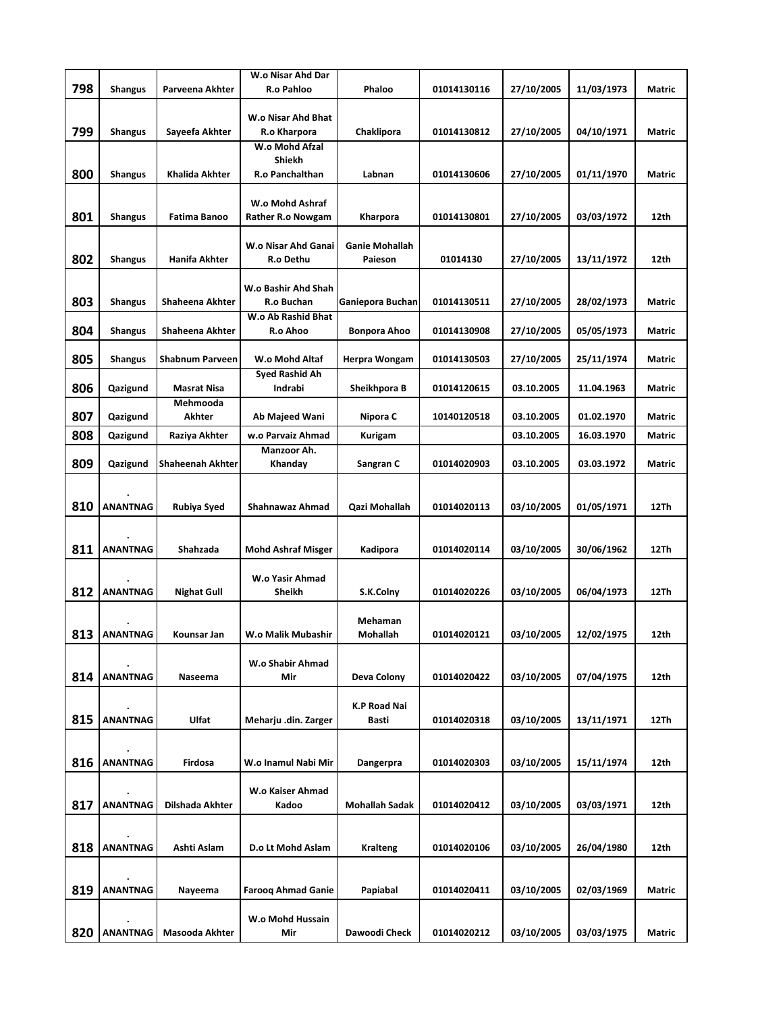|     |                 |                           | W.o Nisar Ahd Dar         |                       |             |            |            |               |
|-----|-----------------|---------------------------|---------------------------|-----------------------|-------------|------------|------------|---------------|
| 798 | <b>Shangus</b>  | Parveena Akhter           | <b>R.o Pahloo</b>         | Phaloo                | 01014130116 | 27/10/2005 | 11/03/1973 | Matric        |
|     |                 |                           |                           |                       |             |            |            |               |
|     |                 |                           | <b>W.o Nisar Ahd Bhat</b> |                       |             |            |            |               |
| 799 | Shangus         | Sayeefa Akhter            | R.o Kharpora              | Chaklipora            | 01014130812 | 27/10/2005 | 04/10/1971 | Matric        |
|     |                 |                           | W.o Mohd Afzal            |                       |             |            |            |               |
| 800 |                 | <b>Khalida Akhter</b>     | Shiekh<br>R.o Panchalthan | Labnan                | 01014130606 | 27/10/2005 | 01/11/1970 | Matric        |
|     | Shangus         |                           |                           |                       |             |            |            |               |
|     |                 |                           | W.o Mohd Ashraf           |                       |             |            |            |               |
| 801 | <b>Shangus</b>  | <b>Fatima Banoo</b>       | Rather R.o Nowgam         | Kharpora              | 01014130801 | 27/10/2005 | 03/03/1972 | 12th          |
|     |                 |                           |                           |                       |             |            |            |               |
|     |                 |                           | W.o Nisar Ahd Ganai       | <b>Ganie Mohallah</b> |             |            |            |               |
| 802 | <b>Shangus</b>  | Hanifa Akhter             | R.o Dethu                 | Paieson               | 01014130    | 27/10/2005 | 13/11/1972 | 12th          |
|     |                 |                           |                           |                       |             |            |            |               |
|     |                 |                           | W.o Bashir Ahd Shah       |                       |             |            |            |               |
| 803 | Shangus         | Shaheena Akhter           | R.o Buchan                | Ganiepora Buchan      | 01014130511 | 27/10/2005 | 28/02/1973 | Matric        |
|     |                 |                           | W.o Ab Rashid Bhat        |                       |             |            |            |               |
| 804 | <b>Shangus</b>  | Shaheena Akhter           | R.o Ahoo                  | <b>Bonpora Ahoo</b>   | 01014130908 | 27/10/2005 | 05/05/1973 | Matric        |
|     |                 |                           |                           |                       |             |            |            |               |
| 805 | <b>Shangus</b>  | <b>Shabnum Parveen</b>    | W.o Mohd Altaf            | Herpra Wongam         | 01014130503 | 27/10/2005 | 25/11/1974 | Matric        |
|     |                 |                           | Syed Rashid Ah            |                       |             |            |            |               |
| 806 | Qazigund        | <b>Masrat Nisa</b>        | Indrabi                   | Sheikhpora B          | 01014120615 | 03.10.2005 | 11.04.1963 | Matric        |
| 807 |                 | Mehmooda<br><b>Akhter</b> |                           | Nipora C              |             |            |            |               |
|     | Qazigund        |                           | Ab Majeed Wani            |                       | 10140120518 | 03.10.2005 | 01.02.1970 | Matric        |
| 808 | Qazigund        | Raziya Akhter             | w.o Parvaiz Ahmad         | <b>Kurigam</b>        |             | 03.10.2005 | 16.03.1970 | Matric        |
|     |                 |                           | Manzoor Ah.               |                       |             | 03.10.2005 | 03.03.1972 | <b>Matric</b> |
| 809 | Qazigund        | <b>Shaheenah Akhter</b>   | Khanday                   | Sangran C             | 01014020903 |            |            |               |
|     |                 |                           |                           |                       |             |            |            |               |
| 810 | <b>ANANTNAG</b> | Rubiya Syed               | Shahnawaz Ahmad           | Qazi Mohallah         | 01014020113 | 03/10/2005 | 01/05/1971 | 12Th          |
|     |                 |                           |                           |                       |             |            |            |               |
|     |                 |                           |                           |                       |             |            |            |               |
| 811 | <b>ANANTNAG</b> | Shahzada                  | <b>Mohd Ashraf Misger</b> | Kadipora              | 01014020114 | 03/10/2005 | 30/06/1962 | 12Th          |
|     |                 |                           |                           |                       |             |            |            |               |
|     |                 |                           | W.o Yasir Ahmad           |                       |             |            |            |               |
| 812 | <b>ANANTNAG</b> | <b>Nighat Gull</b>        | Sheikh                    | S.K.Colny             | 01014020226 | 03/10/2005 | 06/04/1973 | 12Th          |
|     |                 |                           |                           |                       |             |            |            |               |
| 813 | <b>ANANTNAG</b> |                           | W.o Malik Mubashir        | Mehaman               |             |            |            | 12th          |
|     |                 | Kounsar Jan               |                           | Mohallah              | 01014020121 | 03/10/2005 | 12/02/1975 |               |
|     |                 |                           | W.o Shabir Ahmad          |                       |             |            |            |               |
| 814 | <b>ANANTNAG</b> | Naseema                   | Mir                       | Deva Colony           | 01014020422 | 03/10/2005 | 07/04/1975 | 12th          |
|     |                 |                           |                           |                       |             |            |            |               |
|     |                 |                           |                           | <b>K.P Road Nai</b>   |             |            |            |               |
| 815 | <b>ANANTNAG</b> | Ulfat                     | Meharju .din. Zarger      | Basti                 | 01014020318 | 03/10/2005 | 13/11/1971 | 12Th          |
|     |                 |                           |                           |                       |             |            |            |               |
|     |                 |                           |                           |                       |             |            |            |               |
| 816 | <b>ANANTNAG</b> | Firdosa                   | W.o Inamul Nabi Mir       | Dangerpra             | 01014020303 | 03/10/2005 | 15/11/1974 | 12th          |
|     |                 |                           |                           |                       |             |            |            |               |
|     |                 |                           | W.o Kaiser Ahmad          |                       |             |            |            |               |
| 817 | <b>ANANTNAG</b> | Dilshada Akhter           | Kadoo                     | <b>Mohallah Sadak</b> | 01014020412 | 03/10/2005 | 03/03/1971 | 12th          |
|     |                 |                           |                           |                       |             |            |            |               |
| 818 | <b>ANANTNAG</b> | Ashti Aslam               | D.o Lt Mohd Aslam         | <b>Kralteng</b>       | 01014020106 | 03/10/2005 | 26/04/1980 | 12th          |
|     |                 |                           |                           |                       |             |            |            |               |
|     |                 |                           |                           |                       |             |            |            |               |
| 819 | <b>ANANTNAG</b> | Nayeema                   | <b>Faroog Ahmad Ganie</b> | Papiabal              | 01014020411 | 03/10/2005 | 02/03/1969 | Matric        |
|     |                 |                           |                           |                       |             |            |            |               |
|     |                 |                           | W.o Mohd Hussain          |                       |             |            |            |               |
| 820 | <b>ANANTNAG</b> | Masooda Akhter            | Mir                       | Dawoodi Check         | 01014020212 | 03/10/2005 | 03/03/1975 | Matric        |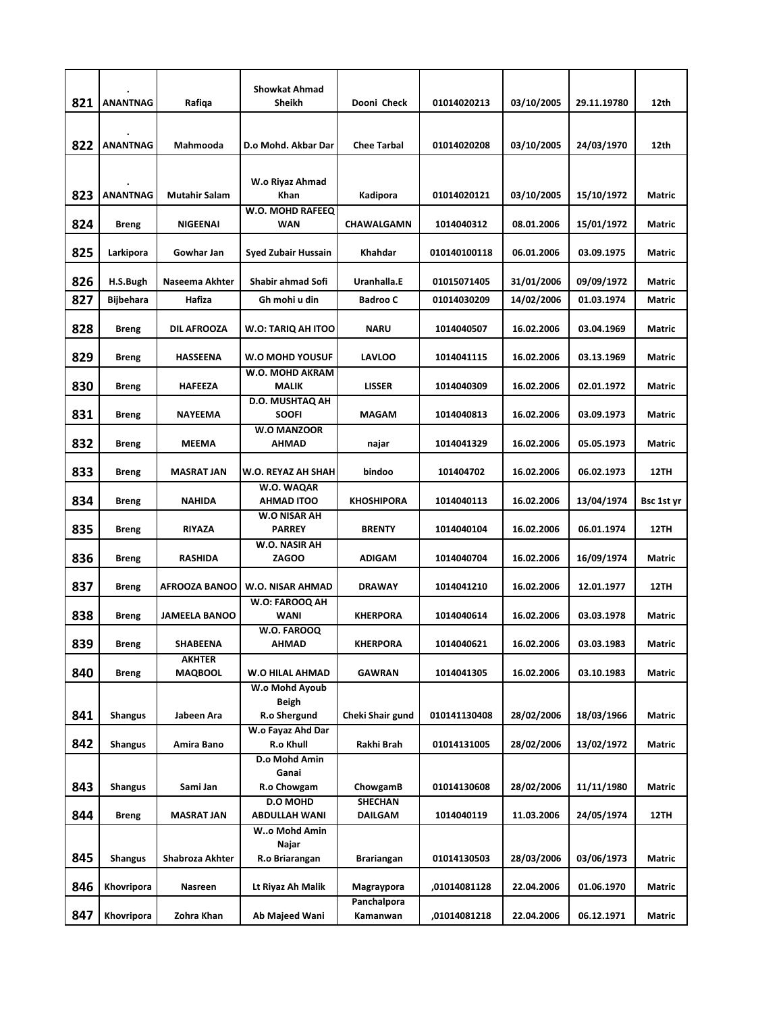| 821 | <b>ANANTNAG</b> | Rafiqa                          | <b>Showkat Ahmad</b><br><b>Sheikh</b>   | Dooni Check                      | 01014020213  | 03/10/2005 | 29.11.19780 | 12th          |
|-----|-----------------|---------------------------------|-----------------------------------------|----------------------------------|--------------|------------|-------------|---------------|
|     |                 |                                 |                                         |                                  |              |            |             |               |
| 822 | <b>ANANTNAG</b> | Mahmooda                        | D.o Mohd. Akbar Dar                     | <b>Chee Tarbal</b>               | 01014020208  | 03/10/2005 | 24/03/1970  | 12th          |
| 823 | <b>ANANTNAG</b> | <b>Mutahir Salam</b>            | W.o Riyaz Ahmad<br>Khan                 | Kadipora                         | 01014020121  | 03/10/2005 | 15/10/1972  | Matric        |
| 824 | Breng           | <b>NIGEENAI</b>                 | W.O. MOHD RAFEEQ<br><b>WAN</b>          | <b>CHAWALGAMN</b>                | 1014040312   | 08.01.2006 | 15/01/1972  | Matric        |
| 825 | Larkipora       | Gowhar Jan                      | <b>Syed Zubair Hussain</b>              | Khahdar                          | 010140100118 | 06.01.2006 | 03.09.1975  | Matric        |
| 826 | H.S.Bugh        | Naseema Akhter                  | Shabir ahmad Sofi                       | Uranhalla.E                      | 01015071405  | 31/01/2006 | 09/09/1972  | Matric        |
| 827 | Bijbehara       | Hafiza                          | Gh mohi u din                           | <b>Badroo C</b>                  | 01014030209  | 14/02/2006 | 01.03.1974  | Matric        |
| 828 | Breng           | <b>DIL AFROOZA</b>              | W.O: TARIQ AH ITOO                      | <b>NARU</b>                      | 1014040507   | 16.02.2006 | 03.04.1969  | Matric        |
| 829 | <b>Breng</b>    | <b>HASSEENA</b>                 | W.O MOHD YOUSUF                         | <b>LAVLOO</b>                    | 1014041115   | 16.02.2006 | 03.13.1969  | Matric        |
| 830 | Breng           | <b>HAFEEZA</b>                  | W.O. MOHD AKRAM<br><b>MALIK</b>         | <b>LISSER</b>                    | 1014040309   | 16.02.2006 | 02.01.1972  | Matric        |
| 831 | Breng           | <b>NAYEEMA</b>                  | <b>D.O. MUSHTAQ AH</b><br><b>SOOFI</b>  | <b>MAGAM</b>                     | 1014040813   | 16.02.2006 | 03.09.1973  | <b>Matric</b> |
| 832 | Breng           | <b>MEEMA</b>                    | <b>W.O MANZOOR</b><br>AHMAD             | najar                            | 1014041329   | 16.02.2006 | 05.05.1973  | Matric        |
| 833 | Breng           | MASRAT JAN                      | W.O. REYAZ AH SHAH                      | bindoo                           | 101404702    | 16.02.2006 | 06.02.1973  | 12TH          |
| 834 | Breng           | NAHIDA                          | W.O. WAQAR<br><b>AHMAD ITOO</b>         | <b>KHOSHIPORA</b>                | 1014040113   | 16.02.2006 | 13/04/1974  | Bsc 1st yr    |
| 835 | Breng           | RIYAZA                          | W.O NISAR AH<br><b>PARREY</b>           | <b>BRENTY</b>                    | 1014040104   | 16.02.2006 | 06.01.1974  | 12TH          |
| 836 | Breng           | <b>RASHIDA</b>                  | W.O. NASIR AH<br><b>ZAGOO</b>           | <b>ADIGAM</b>                    | 1014040704   | 16.02.2006 | 16/09/1974  | <b>Matric</b> |
| 837 | <b>Breng</b>    | <b>AFROOZA BANOO</b>            | W.O. NISAR AHMAD                        | <b>DRAWAY</b>                    | 1014041210   | 16.02.2006 | 12.01.1977  | <b>12TH</b>   |
| 838 | Breng           | <b>JAMEELA BANOO</b>            | W.O: FAROOQ AH<br><b>WANI</b>           | <b>KHERPORA</b>                  | 1014040614   | 16.02.2006 | 03.03.1978  | Matric        |
| 839 | <b>Breng</b>    | SHABEENA                        | W.O. FAROOQ<br><b>AHMAD</b>             | <b>KHERPORA</b>                  | 1014040621   | 16.02.2006 | 03.03.1983  | Matric        |
| 840 | <b>Breng</b>    | <b>AKHTER</b><br><b>MAQBOOL</b> | W.O HILAL AHMAD                         | GAWRAN                           | 1014041305   | 16.02.2006 | 03.10.1983  | Matric        |
| 841 | <b>Shangus</b>  | Jabeen Ara                      | W.o Mohd Ayoub<br>Beigh<br>R.o Shergund | Cheki Shair gund                 | 010141130408 | 28/02/2006 | 18/03/1966  | Matric        |
| 842 | Shangus         | Amira Bano                      | W.o Fayaz Ahd Dar<br>R.o Khull          | Rakhi Brah                       | 01014131005  | 28/02/2006 | 13/02/1972  | Matric        |
|     |                 |                                 | D.o Mohd Amin                           |                                  |              |            |             |               |
| 843 | Shangus         | Sami Jan                        | Ganai<br>R.o Chowgam                    | ChowgamB                         | 01014130608  | 28/02/2006 | 11/11/1980  | <b>Matric</b> |
| 844 | Breng           | MASRAT JAN                      | D.O MOHD<br>ABDULLAH WANI               | <b>SHECHAN</b><br><b>DAILGAM</b> | 1014040119   | 11.03.2006 | 24/05/1974  | 12TH          |
| 845 | <b>Shangus</b>  | Shabroza Akhter                 | Wo Mohd Amin<br>Najar<br>R.o Briarangan | Brariangan                       | 01014130503  | 28/03/2006 | 03/06/1973  | Matric        |
| 846 | Khovripora      | Nasreen                         | Lt Riyaz Ah Malik                       | Magraypora                       | ,01014081128 | 22.04.2006 | 01.06.1970  | Matric        |
| 847 | Khovripora      | Zohra Khan                      | Ab Majeed Wani                          | Panchalpora<br>Kamanwan          | ,01014081218 | 22.04.2006 | 06.12.1971  | Matric        |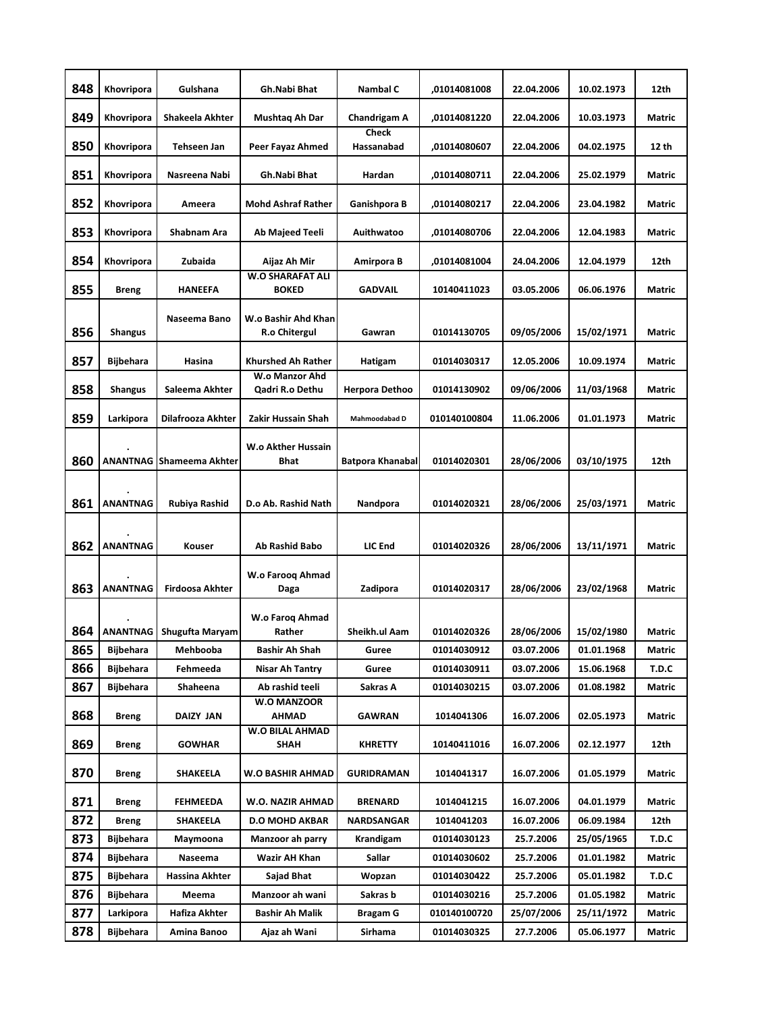| 848 | Khovripora       | Gulshana                        | Gh.Nabi Bhat                                | Nambal C                   | .01014081008 | 22.04.2006 | 10.02.1973 | 12th   |
|-----|------------------|---------------------------------|---------------------------------------------|----------------------------|--------------|------------|------------|--------|
| 849 | Khovripora       | Shakeela Akhter                 | Mushtaq Ah Dar                              | Chandrigam A               | ,01014081220 | 22.04.2006 | 10.03.1973 | Matric |
| 850 | Khovripora       | Tehseen Jan                     | Peer Fayaz Ahmed                            | <b>Check</b><br>Hassanabad | ,01014080607 | 22.04.2006 | 04.02.1975 | 12 th  |
| 851 | Khovripora       | Nasreena Nabi                   | Gh.Nabi Bhat                                | Hardan                     | ,01014080711 | 22.04.2006 | 25.02.1979 | Matric |
| 852 | Khovripora       | Ameera                          | <b>Mohd Ashraf Rather</b>                   | Ganishpora B               | ,01014080217 | 22.04.2006 | 23.04.1982 | Matric |
| 853 | Khovripora       | Shabnam Ara                     | Ab Majeed Teeli                             | Auithwatoo                 | ,01014080706 | 22.04.2006 | 12.04.1983 | Matric |
| 854 | Khovripora       | Zubaida                         | Aijaz Ah Mir                                | Amirpora B                 | ,01014081004 | 24.04.2006 | 12.04.1979 | 12th   |
| 855 | <b>Breng</b>     | <b>HANEEFA</b>                  | <b>W.O SHARAFAT ALI</b><br><b>BOKED</b>     | <b>GADVAIL</b>             | 10140411023  | 03.05.2006 | 06.06.1976 | Matric |
| 856 | <b>Shangus</b>   | Naseema Bano                    | W.o Bashir Ahd Khan<br><b>R.o Chitergul</b> | Gawran                     | 01014130705  | 09/05/2006 | 15/02/1971 | Matric |
| 857 | Bijbehara        | Hasina                          | <b>Khurshed Ah Rather</b>                   | Hatigam                    | 01014030317  | 12.05.2006 | 10.09.1974 | Matric |
| 858 | <b>Shangus</b>   | Saleema Akhter                  | W.o Manzor Ahd<br>Qadri R.o Dethu           | Herpora Dethoo             | 01014130902  | 09/06/2006 | 11/03/1968 | Matric |
| 859 | Larkipora        | Dilafrooza Akhter               | Zakir Hussain Shah                          | Mahmoodabad D              | 010140100804 | 11.06.2006 | 01.01.1973 | Matric |
| 860 |                  | <b>ANANTNAG Shameema Akhter</b> | <b>W.o Akther Hussain</b><br><b>Bhat</b>    | <b>Batpora Khanabal</b>    | 01014020301  | 28/06/2006 | 03/10/1975 | 12th   |
| 861 | <b>ANANTNAG</b>  | Rubiya Rashid                   | D.o Ab. Rashid Nath                         | Nandpora                   | 01014020321  | 28/06/2006 | 25/03/1971 | Matric |
| 862 | <b>ANANTNAG</b>  | Kouser                          | Ab Rashid Babo                              | LIC End                    | 01014020326  | 28/06/2006 | 13/11/1971 | Matric |
| 863 | <b>ANANTNAG</b>  | <b>Firdoosa Akhter</b>          | W.o Faroog Ahmad<br>Daga                    | Zadipora                   | 01014020317  | 28/06/2006 | 23/02/1968 | Matric |
| 864 | <b>ANANTNAG</b>  | Shugufta Maryam                 | W.o Farog Ahmad<br>Rather                   | Sheikh.ul Aam              | 01014020326  | 28/06/2006 | 15/02/1980 | Matric |
| 865 | Bijbehara        | Mehbooba                        | Bashir Ah Shah                              | Guree                      | 01014030912  | 03.07.2006 | 01.01.1968 | Matric |
| 866 | Bijbehara        | Fehmeeda                        | Nisar Ah Tantry                             | Guree                      | 01014030911  | 03.07.2006 | 15.06.1968 | T.D.C  |
| 867 | Bijbehara        | Shaheena                        | Ab rashid teeli                             | Sakras A                   | 01014030215  | 03.07.2006 | 01.08.1982 | Matric |
| 868 | <b>Breng</b>     | DAIZY JAN                       | <b>W.O MANZOOR</b><br><b>AHMAD</b>          | GAWRAN                     | 1014041306   | 16.07.2006 | 02.05.1973 | Matric |
| 869 | <b>Breng</b>     | <b>GOWHAR</b>                   | <b>W.O BILAL AHMAD</b><br>SHAH              | KHRETTY                    | 10140411016  | 16.07.2006 | 02.12.1977 | 12th   |
| 870 | <b>Breng</b>     | SHAKEELA                        | W.O BASHIR AHMAD                            | <b>GURIDRAMAN</b>          | 1014041317   | 16.07.2006 | 01.05.1979 | Matric |
| 871 | <b>Breng</b>     | FEHMEEDA                        | W.O. NAZIR AHMAD                            | BRENARD                    | 1014041215   | 16.07.2006 | 04.01.1979 | Matric |
| 872 | <b>Breng</b>     | SHAKEELA                        | <b>D.O MOHD AKBAR</b>                       | NARDSANGAR                 | 1014041203   | 16.07.2006 | 06.09.1984 | 12th   |
| 873 | Bijbehara        | Maymoona                        | Manzoor ah parry                            | Krandigam                  | 01014030123  | 25.7.2006  | 25/05/1965 | T.D.C  |
| 874 | Bijbehara        | Naseema                         | Wazir AH Khan                               | Sallar                     | 01014030602  | 25.7.2006  | 01.01.1982 | Matric |
| 875 | Bijbehara        | Hassina Akhter                  | Sajad Bhat                                  | Wopzan                     | 01014030422  | 25.7.2006  | 05.01.1982 | T.D.C  |
| 876 | Bijbehara        | Meema                           | Manzoor ah wani                             | Sakras b                   | 01014030216  | 25.7.2006  | 01.05.1982 | Matric |
| 877 | Larkipora        | Hafiza Akhter                   | Bashir Ah Malik                             | Bragam G                   | 010140100720 | 25/07/2006 | 25/11/1972 | Matric |
| 878 | <b>Bijbehara</b> | Amina Banoo                     | Ajaz ah Wani                                | Sirhama                    | 01014030325  | 27.7.2006  | 05.06.1977 | Matric |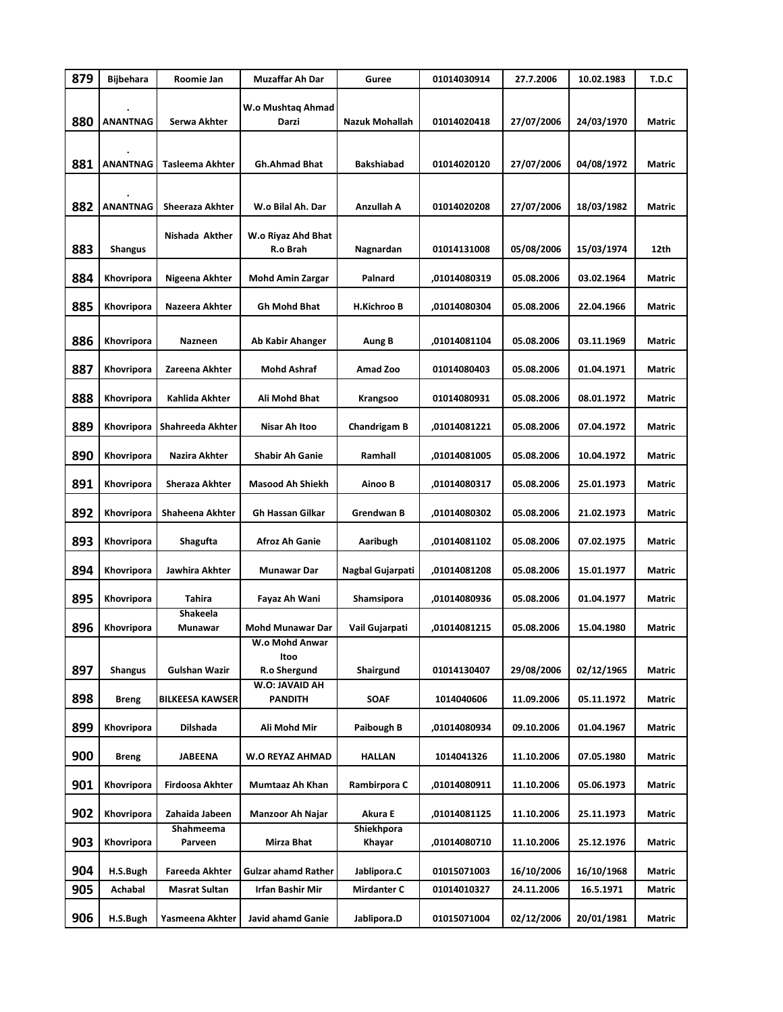| 879 | <b>Bijbehara</b> | Roomie Jan             | Muzaffar Ah Dar                        | Guree                | 01014030914  | 27.7.2006  | 10.02.1983 | T.D.C         |
|-----|------------------|------------------------|----------------------------------------|----------------------|--------------|------------|------------|---------------|
| 880 | <b>ANANTNAG</b>  | Serwa Akhter           | W.o Mushtaq Ahmad<br>Darzi             | Nazuk Mohallah       | 01014020418  | 27/07/2006 | 24/03/1970 | Matric        |
| 881 | <b>ANANTNAG</b>  | Tasleema Akhter        | <b>Gh.Ahmad Bhat</b>                   | <b>Bakshiabad</b>    | 01014020120  | 27/07/2006 | 04/08/1972 | Matric        |
| 882 | <b>ANANTNAG</b>  | Sheeraza Akhter        | W.o Bilal Ah. Dar                      | Anzullah A           | 01014020208  | 27/07/2006 | 18/03/1982 | Matric        |
| 883 | <b>Shangus</b>   | Nishada Akther         | W.o Riyaz Ahd Bhat<br>R.o Brah         | Nagnardan            | 01014131008  | 05/08/2006 | 15/03/1974 | 12th          |
| 884 | Khovripora       | Nigeena Akhter         | <b>Mohd Amin Zargar</b>                | Palnard              | ,01014080319 | 05.08.2006 | 03.02.1964 | Matric        |
| 885 | Khovripora       | Nazeera Akhter         | Gh Mohd Bhat                           | <b>H.Kichroo B</b>   | ,01014080304 | 05.08.2006 | 22.04.1966 | Matric        |
| 886 | Khovripora       | Nazneen                | Ab Kabir Ahanger                       | Aung B               | ,01014081104 | 05.08.2006 | 03.11.1969 | <b>Matric</b> |
| 887 | Khovripora       | Zareena Akhter         | Mohd Ashraf                            | Amad Zoo             | 01014080403  | 05.08.2006 | 01.04.1971 | Matric        |
| 888 | Khovripora       | Kahlida Akhter         | Ali Mohd Bhat                          | Krangsoo             | 01014080931  | 05.08.2006 | 08.01.1972 | Matric        |
| 889 | Khovripora       | Shahreeda Akhter       | Nisar Ah Itoo                          | <b>Chandrigam B</b>  | ,01014081221 | 05.08.2006 | 07.04.1972 | Matric        |
| 890 | Khovripora       | Nazira Akhter          | <b>Shabir Ah Ganie</b>                 | Ramhall              | ,01014081005 | 05.08.2006 | 10.04.1972 | Matric        |
| 891 | Khovripora       | Sheraza Akhter         | <b>Masood Ah Shiekh</b>                | Ainoo B              | ,01014080317 | 05.08.2006 | 25.01.1973 | Matric        |
| 892 | Khovripora       | Shaheena Akhter        | <b>Gh Hassan Gilkar</b>                | Grendwan B           | ,01014080302 | 05.08.2006 | 21.02.1973 | Matric        |
| 893 | Khovripora       | Shagufta               | Afroz Ah Ganie                         | Aaribugh             | ,01014081102 | 05.08.2006 | 07.02.1975 | Matric        |
| 894 | Khovripora       | Jawhira Akhter         | Munawar Dar                            | Nagbal Gujarpati     | ,01014081208 | 05.08.2006 | 15.01.1977 | Matric        |
| 895 | Khovripora       | Tahira                 | Fayaz Ah Wani                          | Shamsipora           | ,01014080936 | 05.08.2006 | 01.04.1977 | Matric        |
| 896 | Khovripora       | Shakeela<br>Munawar    | <b>Mohd Munawar Dar</b>                | Vail Gujarpati       | ,01014081215 | 05.08.2006 | 15.04.1980 | Matric        |
| 897 | <b>Shangus</b>   | Gulshan Wazir          | W.o Mohd Anwar<br>Itoo<br>R.o Shergund | Shairgund            | 01014130407  | 29/08/2006 | 02/12/1965 | Matric        |
| 898 | <b>Breng</b>     | <b>BILKEESA KAWSER</b> | W.O: JAVAID AH<br><b>PANDITH</b>       | SOAF                 | 1014040606   | 11.09.2006 | 05.11.1972 | Matric        |
| 899 | Khovripora       | Dilshada               | Ali Mohd Mir                           | Paibough B           | ,01014080934 | 09.10.2006 | 01.04.1967 | Matric        |
| 900 | <b>Breng</b>     | <b>JABEENA</b>         | W.O REYAZ AHMAD                        | <b>HALLAN</b>        | 1014041326   | 11.10.2006 | 07.05.1980 | Matric        |
| 901 | Khovripora       | Firdoosa Akhter        | Mumtaaz Ah Khan                        | Rambirpora C         | ,01014080911 | 11.10.2006 | 05.06.1973 | Matric        |
| 902 | Khovripora       | Zahaida Jabeen         | Manzoor Ah Najar                       | Akura E              | ,01014081125 | 11.10.2006 | 25.11.1973 | Matric        |
| 903 | Khovripora       | Shahmeema<br>Parveen   | Mirza Bhat                             | Shiekhpora<br>Khayar | ,01014080710 | 11.10.2006 | 25.12.1976 | Matric        |
| 904 | H.S.Bugh         | Fareeda Akhter         | <b>Gulzar ahamd Rather</b>             | Jablipora.C          | 01015071003  | 16/10/2006 | 16/10/1968 | Matric        |
| 905 | Achabal          | <b>Masrat Sultan</b>   | Irfan Bashir Mir                       | <b>Mirdanter C</b>   | 01014010327  | 24.11.2006 | 16.5.1971  | Matric        |
| 906 | H.S.Bugh         | Yasmeena Akhter        | Javid ahamd Ganie                      | Jablipora.D          | 01015071004  | 02/12/2006 | 20/01/1981 | Matric        |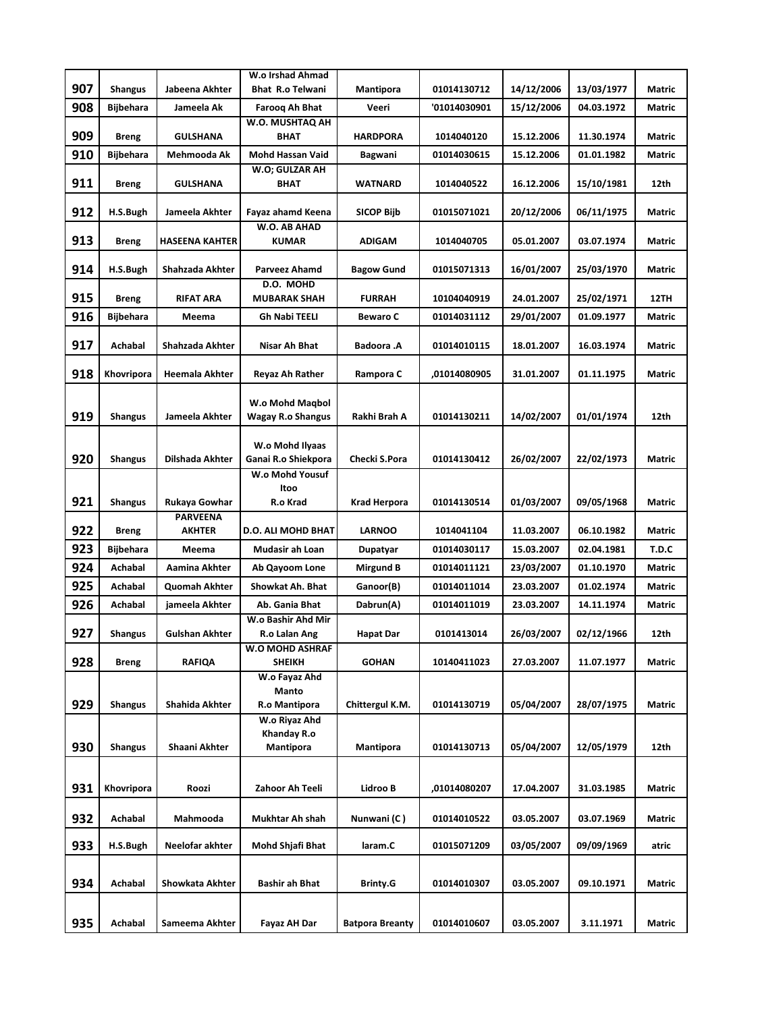|     |                  |                                  | W.o Irshad Ahmad                       |                        |              |            |            |               |
|-----|------------------|----------------------------------|----------------------------------------|------------------------|--------------|------------|------------|---------------|
| 907 | <b>Shangus</b>   | Jabeena Akhter                   | <b>Bhat R.o Telwani</b>                | Mantipora              | 01014130712  | 14/12/2006 | 13/03/1977 | Matric        |
| 908 | <b>Bijbehara</b> | Jameela Ak                       | Farooq Ah Bhat                         | Veeri                  | '01014030901 | 15/12/2006 | 04.03.1972 | Matric        |
| 909 | <b>Breng</b>     | GULSHANA                         | W.O. MUSHTAQ AH<br><b>BHAT</b>         | <b>HARDPORA</b>        | 1014040120   | 15.12.2006 | 11.30.1974 | <b>Matric</b> |
| 910 | <b>Bijbehara</b> | Mehmooda Ak                      | <b>Mohd Hassan Vaid</b>                | Bagwani                | 01014030615  | 15.12.2006 | 01.01.1982 | Matric        |
|     |                  |                                  | W.O; GULZAR AH                         |                        |              |            |            |               |
| 911 | <b>Breng</b>     | GULSHANA                         | <b>BHAT</b>                            | WATNARD                | 1014040522   | 16.12.2006 | 15/10/1981 | 12th          |
| 912 | H.S.Bugh         | Jameela Akhter                   | Fayaz ahamd Keena<br>W.O. AB AHAD      | <b>SICOP Bijb</b>      | 01015071021  | 20/12/2006 | 06/11/1975 | Matric        |
| 913 | <b>Breng</b>     | <b>HASEENA KAHTER</b>            | <b>KUMAR</b>                           | <b>ADIGAM</b>          | 1014040705   | 05.01.2007 | 03.07.1974 | Matric        |
| 914 | H.S.Bugh         | Shahzada Akhter                  | Parveez Ahamd                          | <b>Bagow Gund</b>      | 01015071313  | 16/01/2007 | 25/03/1970 | Matric        |
| 915 | <b>Breng</b>     | <b>RIFAT ARA</b>                 | D.O. MOHD<br><b>MUBARAK SHAH</b>       | <b>FURRAH</b>          | 10104040919  | 24.01.2007 | 25/02/1971 | 12TH          |
| 916 | <b>Bijbehara</b> | Meema                            | <b>Gh Nabi TEELI</b>                   | <b>Bewaro C</b>        | 01014031112  | 29/01/2007 | 01.09.1977 | Matric        |
|     |                  |                                  |                                        |                        |              |            |            |               |
| 917 | Achabal          | Shahzada Akhter                  | Nisar Ah Bhat                          | <b>Badoora</b> .A      | 01014010115  | 18.01.2007 | 16.03.1974 | Matric        |
| 918 | Khovripora       | Heemala Akhter                   | Reyaz Ah Rather                        | Rampora C              | ,01014080905 | 31.01.2007 | 01.11.1975 | Matric        |
|     |                  |                                  | W.o Mohd Magbol                        |                        |              |            |            |               |
| 919 | <b>Shangus</b>   | Jameela Akhter                   | <b>Wagay R.o Shangus</b>               | Rakhi Brah A           | 01014130211  | 14/02/2007 | 01/01/1974 | 12th          |
|     |                  |                                  |                                        |                        |              |            |            |               |
| 920 | <b>Shangus</b>   | Dilshada Akhter                  | W.o Mohd Ilyaas<br>Ganai R.o Shiekpora | Checki S.Pora          | 01014130412  | 26/02/2007 | 22/02/1973 | Matric        |
|     |                  |                                  | W.o Mohd Yousuf                        |                        |              |            |            |               |
|     |                  |                                  | Itoo                                   |                        |              |            |            |               |
| 921 | <b>Shangus</b>   | Rukaya Gowhar<br><b>PARVEENA</b> | R.o Krad                               | Krad Herpora           | 01014130514  | 01/03/2007 | 09/05/1968 | Matric        |
| 922 | <b>Breng</b>     | <b>AKHTER</b>                    | <b>D.O. ALI MOHD BHAT</b>              | <b>LARNOO</b>          | 1014041104   | 11.03.2007 | 06.10.1982 | <b>Matric</b> |
| 923 | <b>Bijbehara</b> | Meema                            | Mudasir ah Loan                        | Dupatyar               | 01014030117  | 15.03.2007 | 02.04.1981 | T.D.C         |
| 924 | Achabal          | Aamina Akhter                    | Ab Qayoom Lone                         | Mirgund B              | 01014011121  | 23/03/2007 | 01.10.1970 | Matric        |
| 925 | Achabal          | Quomah Akhter                    | <b>Showkat Ah. Bhat</b>                | Ganoor(B)              | 01014011014  | 23.03.2007 | 01.02.1974 | <b>Matric</b> |
| 926 | Achabal          | jameela Akhter                   | Ab. Gania Bhat                         | Dabrun(A)              | 01014011019  | 23.03.2007 | 14.11.1974 | Matric        |
| 927 | <b>Shangus</b>   | <b>Gulshan Akhter</b>            | W.o Bashir Ahd Mir<br>R.o Lalan Ang    | <b>Hapat Dar</b>       | 0101413014   | 26/03/2007 | 02/12/1966 | 12th          |
|     |                  |                                  | W.O MOHD ASHRAF                        |                        |              |            |            |               |
| 928 | <b>Breng</b>     | <b>RAFIQA</b>                    | <b>SHEIKH</b>                          | <b>GOHAN</b>           | 10140411023  | 27.03.2007 | 11.07.1977 | Matric        |
|     |                  |                                  | W.o Fayaz Ahd<br><b>Manto</b>          |                        |              |            |            |               |
| 929 | <b>Shangus</b>   | <b>Shahida Akhter</b>            | R.o Mantipora                          | Chittergul K.M.        | 01014130719  | 05/04/2007 | 28/07/1975 | Matric        |
|     |                  |                                  | W.o Riyaz Ahd                          |                        |              |            |            |               |
| 930 | <b>Shangus</b>   | Shaani Akhter                    | Khanday R.o<br>Mantipora               | Mantipora              | 01014130713  | 05/04/2007 | 12/05/1979 | 12th          |
|     |                  |                                  |                                        |                        |              |            |            |               |
| 931 | Khovripora       | Roozi                            | Zahoor Ah Teeli                        | Lidroo B               | ,01014080207 | 17.04.2007 | 31.03.1985 | Matric        |
|     |                  |                                  |                                        |                        |              |            |            |               |
| 932 | Achabal          | Mahmooda                         | Mukhtar Ah shah                        | Nunwani (C)            | 01014010522  | 03.05.2007 | 03.07.1969 | Matric        |
| 933 | H.S.Bugh         | Neelofar akhter                  | Mohd Shjafi Bhat                       | laram.C                | 01015071209  | 03/05/2007 | 09/09/1969 | atric         |
|     |                  |                                  |                                        |                        |              |            |            |               |
| 934 | Achabal          | Showkata Akhter                  | Bashir ah Bhat                         | <b>Brinty.G</b>        | 01014010307  | 03.05.2007 | 09.10.1971 | Matric        |
|     |                  |                                  |                                        |                        |              |            |            |               |
| 935 | Achabal          | Sameema Akhter                   | Fayaz AH Dar                           | <b>Batpora Breanty</b> | 01014010607  | 03.05.2007 | 3.11.1971  | Matric        |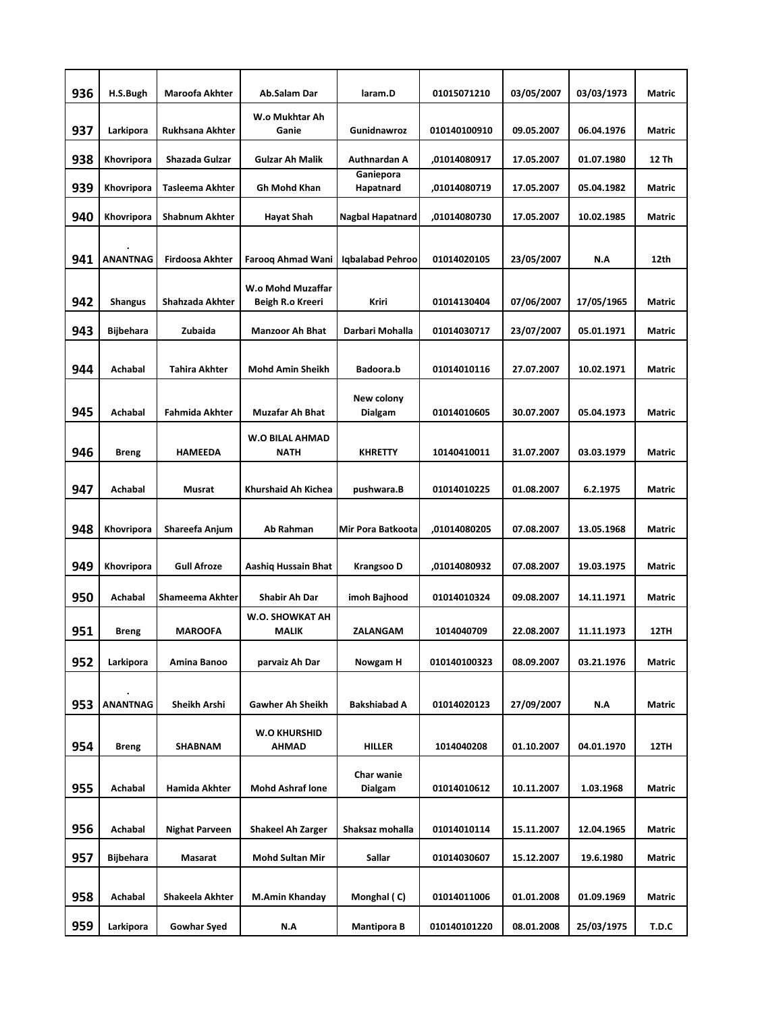| 936 | H.S.Bugh         | <b>Maroofa Akhter</b>  | Ab.Salam Dar                           | laram.D                 | 01015071210  | 03/05/2007 | 03/03/1973 | Matric        |
|-----|------------------|------------------------|----------------------------------------|-------------------------|--------------|------------|------------|---------------|
|     |                  |                        | W.o Mukhtar Ah                         |                         |              |            |            |               |
| 937 | Larkipora        | Rukhsana Akhter        | Ganie                                  | Gunidnawroz             | 010140100910 | 09.05.2007 | 06.04.1976 | Matric        |
| 938 | Khovripora       | Shazada Gulzar         | <b>Gulzar Ah Malik</b>                 | Authnardan A            | ,01014080917 | 17.05.2007 | 01.07.1980 | 12 Th         |
| 939 | Khovripora       | Tasleema Akhter        | Gh Mohd Khan                           | Ganiepora<br>Hapatnard  | ,01014080719 | 17.05.2007 | 05.04.1982 | Matric        |
| 940 | Khovripora       | Shabnum Akhter         | <b>Hayat Shah</b>                      | <b>Nagbal Hapatnard</b> | ,01014080730 | 17.05.2007 | 10.02.1985 | Matric        |
| 941 | <b>ANANTNAG</b>  | <b>Firdoosa Akhter</b> | <b>Faroog Ahmad Wani</b>               | Iqbalabad Pehroo        | 01014020105  | 23/05/2007 | N.A        | 12th          |
| 942 | <b>Shangus</b>   | Shahzada Akhter        | W.o Mohd Muzaffar<br>Beigh R.o Kreeri  | <b>Kriri</b>            | 01014130404  | 07/06/2007 | 17/05/1965 | Matric        |
| 943 | <b>Bijbehara</b> | Zubaida                | <b>Manzoor Ah Bhat</b>                 | Darbari Mohalla         | 01014030717  | 23/07/2007 | 05.01.1971 | <b>Matric</b> |
|     |                  |                        |                                        |                         |              |            |            |               |
| 944 | Achabal          | <b>Tahira Akhter</b>   | Mohd Amin Sheikh                       | Badoora.b               | 01014010116  | 27.07.2007 | 10.02.1971 | Matric        |
| 945 | Achabal          | <b>Fahmida Akhter</b>  | <b>Muzafar Ah Bhat</b>                 | New colony<br>Dialgam   | 01014010605  | 30.07.2007 | 05.04.1973 | Matric        |
|     |                  |                        | <b>W.O BILAL AHMAD</b>                 |                         |              |            |            |               |
| 946 | <b>Breng</b>     | <b>HAMEEDA</b>         | <b>NATH</b>                            | <b>KHRETTY</b>          | 10140410011  | 31.07.2007 | 03.03.1979 | Matric        |
| 947 | Achabal          | Musrat                 | Khurshaid Ah Kichea                    | pushwara.B              | 01014010225  | 01.08.2007 | 6.2.1975   | Matric        |
|     |                  |                        |                                        |                         |              |            |            |               |
| 948 | Khovripora       | Shareefa Anjum         | Ab Rahman                              | Mir Pora Batkoota       | ,01014080205 | 07.08.2007 | 13.05.1968 | Matric        |
| 949 | Khovripora       | <b>Gull Afroze</b>     | Aashiq Hussain Bhat                    | Krangsoo D              | ,01014080932 | 07.08.2007 | 19.03.1975 | Matric        |
| 950 | Achabal          | Shameema Akhter        | Shabir Ah Dar                          | imoh Bajhood            | 01014010324  | 09.08.2007 | 14.11.1971 | Matric        |
| 951 | <b>Breng</b>     | <b>MAROOFA</b>         | <b>W.O. SHOWKAT AH</b><br><b>MALIK</b> | <b>ZALANGAM</b>         | 1014040709   | 22.08.2007 | 11.11.1973 | 12TH          |
| 952 | Larkipora        | Amina Banoo            | parvaiz Ah Dar                         | Nowgam H                | 010140100323 | 08.09.2007 | 03.21.1976 | Matric        |
|     |                  |                        |                                        |                         |              |            |            |               |
| 953 | <b>ANANTNAG</b>  | Sheikh Arshi           | Gawher Ah Sheikh                       | Bakshiabad A            | 01014020123  | 27/09/2007 | N.A        | Matric        |
| 954 | <b>Breng</b>     | SHABNAM                | W.O KHURSHID<br>AHMAD                  | <b>HILLER</b>           | 1014040208   | 01.10.2007 | 04.01.1970 | 12TH          |
| 955 | Achabal          | Hamida Akhter          | <b>Mohd Ashraf lone</b>                | Char wanie<br>Dialgam   | 01014010612  | 10.11.2007 | 1.03.1968  | Matric        |
| 956 | Achabal          | Nighat Parveen         | <b>Shakeel Ah Zarger</b>               | Shaksaz mohalla         | 01014010114  | 15.11.2007 | 12.04.1965 | Matric        |
| 957 | <b>Bijbehara</b> | Masarat                | <b>Mohd Sultan Mir</b>                 | Sallar                  | 01014030607  | 15.12.2007 | 19.6.1980  | Matric        |
| 958 | Achabal          | Shakeela Akhter        | M.Amin Khanday                         | Monghal (C)             | 01014011006  | 01.01.2008 | 01.09.1969 | Matric        |
| 959 | Larkipora        | <b>Gowhar Syed</b>     | N.A                                    | <b>Mantipora B</b>      | 010140101220 | 08.01.2008 | 25/03/1975 | T.D.C         |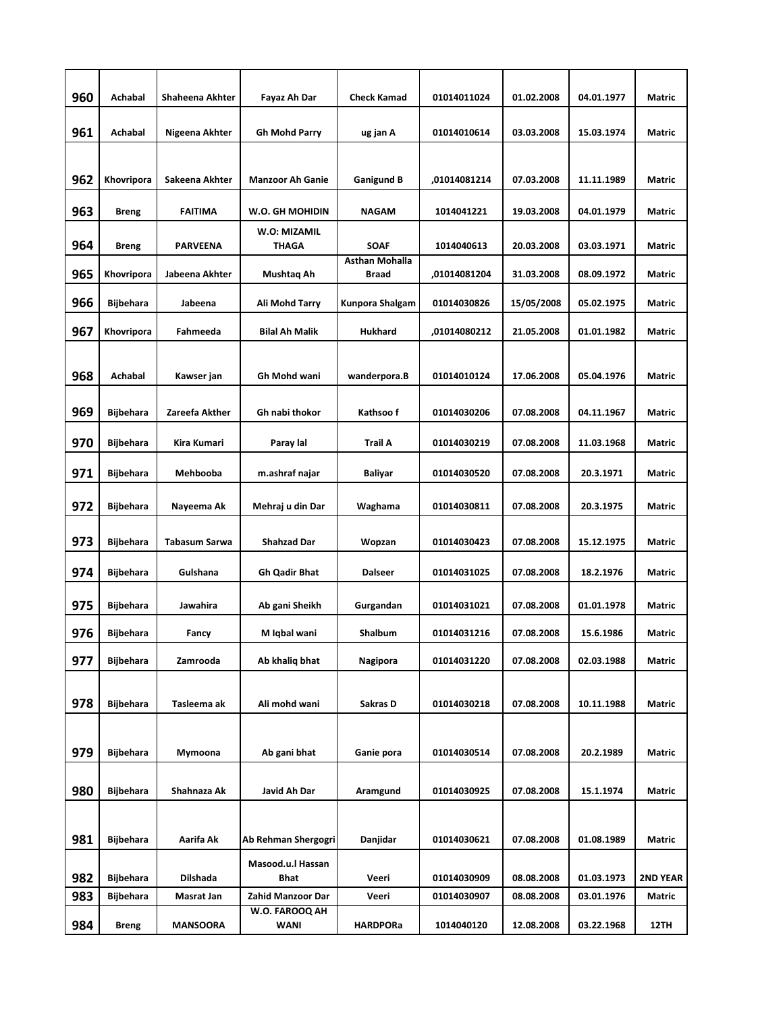| 960 | Achabal          | Shaheena Akhter | Fayaz Ah Dar                 | <b>Check Kamad</b>             | 01014011024  | 01.02.2008 | 04.01.1977 | Matric          |
|-----|------------------|-----------------|------------------------------|--------------------------------|--------------|------------|------------|-----------------|
|     |                  |                 |                              |                                |              |            |            |                 |
| 961 | Achabal          | Nigeena Akhter  | <b>Gh Mohd Parry</b>         | ug jan A                       | 01014010614  | 03.03.2008 | 15.03.1974 | Matric          |
|     |                  |                 |                              |                                |              |            |            |                 |
| 962 | Khovripora       | Sakeena Akhter  | <b>Manzoor Ah Ganie</b>      | <b>Ganigund B</b>              | ,01014081214 | 07.03.2008 | 11.11.1989 | Matric          |
| 963 | <b>Breng</b>     | <b>FAITIMA</b>  | W.O. GH MOHIDIN              | <b>NAGAM</b>                   | 1014041221   | 19.03.2008 | 04.01.1979 | Matric          |
| 964 | <b>Breng</b>     | <b>PARVEENA</b> | W.O: MIZAMIL<br><b>THAGA</b> | <b>SOAF</b>                    | 1014040613   | 20.03.2008 | 03.03.1971 | Matric          |
| 965 | Khovripora       | Jabeena Akhter  | Mushtaq Ah                   | <b>Asthan Mohalla</b><br>Braad | ,01014081204 | 31.03.2008 | 08.09.1972 | Matric          |
| 966 | <b>Bijbehara</b> | Jabeena         | Ali Mohd Tarry               | Kunpora Shalgam                | 01014030826  | 15/05/2008 | 05.02.1975 | Matric          |
| 967 | Khovripora       | Fahmeeda        | Bilal Ah Malik               | Hukhard                        | ,01014080212 | 21.05.2008 | 01.01.1982 | Matric          |
| 968 | Achabal          | Kawser jan      | Gh Mohd wani                 | wanderpora.B                   | 01014010124  | 17.06.2008 | 05.04.1976 | Matric          |
| 969 | Bijbehara        | Zareefa Akther  | Gh nabi thokor               | Kathsoo f                      | 01014030206  | 07.08.2008 | 04.11.1967 | Matric          |
| 970 | Bijbehara        | Kira Kumari     | Paray lal                    | Trail A                        | 01014030219  | 07.08.2008 | 11.03.1968 | Matric          |
| 971 | Bijbehara        | Mehbooba        | m.ashraf najar               | Baliyar                        | 01014030520  | 07.08.2008 | 20.3.1971  | Matric          |
| 972 | Bijbehara        | Nayeema Ak      | Mehraj u din Dar             | Waghama                        | 01014030811  | 07.08.2008 | 20.3.1975  | Matric          |
| 973 | <b>Bijbehara</b> | Tabasum Sarwa   | Shahzad Dar                  | Wopzan                         | 01014030423  | 07.08.2008 | 15.12.1975 | Matric          |
| 974 | Bijbehara        | Gulshana        | <b>Gh Qadir Bhat</b>         | <b>Dalseer</b>                 | 01014031025  | 07.08.2008 | 18.2.1976  | Matric          |
| 975 | <b>Bijbehara</b> | Jawahira        | Ab gani Sheikh               | Gurgandan                      | 01014031021  | 07.08.2008 | 01.01.1978 | Matric          |
| 976 | <b>Bijbehara</b> | Fancy           | M Iqbal wani                 | <b>Shalbum</b>                 | 01014031216  | 07.08.2008 | 15.6.1986  | Matric          |
| 977 | Bijbehara        | Zamrooda        | Ab khaliq bhat               | Nagipora                       | 01014031220  | 07.08.2008 | 02.03.1988 | Matric          |
|     |                  |                 |                              |                                |              |            |            |                 |
| 978 | <b>Bijbehara</b> | Tasleema ak     | Ali mohd wani                | Sakras D                       | 01014030218  | 07.08.2008 | 10.11.1988 | Matric          |
|     |                  |                 |                              |                                |              |            |            |                 |
| 979 | <b>Bijbehara</b> | Mymoona         | Ab gani bhat                 | Ganie pora                     | 01014030514  | 07.08.2008 | 20.2.1989  | Matric          |
| 980 | <b>Bijbehara</b> | Shahnaza Ak     | Javid Ah Dar                 | Aramgund                       | 01014030925  | 07.08.2008 | 15.1.1974  | Matric          |
|     |                  |                 |                              |                                |              |            |            |                 |
| 981 | <b>Bijbehara</b> | Aarifa Ak       | Ab Rehman Shergogri          | Danjidar                       | 01014030621  | 07.08.2008 | 01.08.1989 | Matric          |
|     |                  |                 | Masood.u.l Hassan            |                                |              |            |            |                 |
| 982 | <b>Bijbehara</b> | Dilshada        | Bhat                         | Veeri                          | 01014030909  | 08.08.2008 | 01.03.1973 | <b>2ND YEAR</b> |
| 983 | Bijbehara        | Masrat Jan      | Zahid Manzoor Dar            | Veeri                          | 01014030907  | 08.08.2008 | 03.01.1976 | Matric          |
| 984 | <b>Breng</b>     | <b>MANSOORA</b> | W.O. FAROOQ AH<br>WANI       | <b>HARDPORa</b>                | 1014040120   | 12.08.2008 | 03.22.1968 | 12TH            |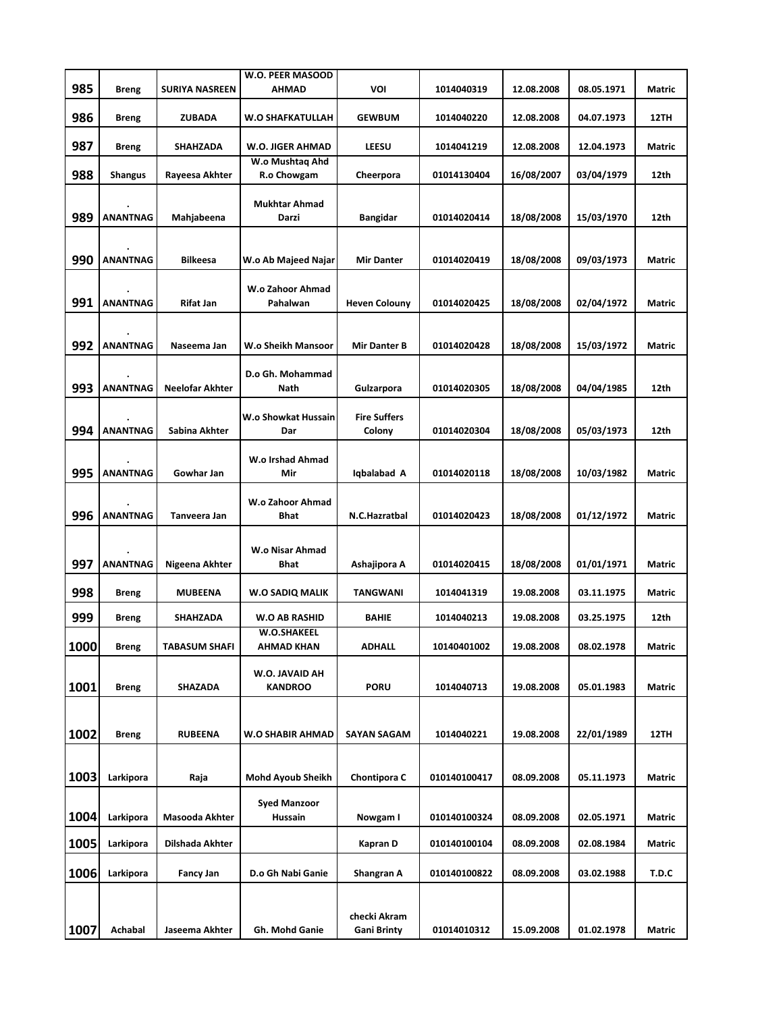|      |                 |                       | W.O. PEER MASOOD                      |                                    |              |            |            |               |
|------|-----------------|-----------------------|---------------------------------------|------------------------------------|--------------|------------|------------|---------------|
| 985  | Breng           | <b>SURIYA NASREEN</b> | <b>AHMAD</b>                          | <b>VOI</b>                         | 1014040319   | 12.08.2008 | 08.05.1971 | Matric        |
| 986  | Breng           | ZUBADA                | W.O SHAFKATULLAH                      | <b>GEWBUM</b>                      | 1014040220   | 12.08.2008 | 04.07.1973 | 12TH          |
| 987  | Breng           | SHAHZADA              | W.O. JIGER AHMAD                      | LEESU                              | 1014041219   | 12.08.2008 | 12.04.1973 | Matric        |
|      |                 |                       | W.o Mushtaq Ahd                       |                                    |              |            |            |               |
| 988  | Shangus         | Rayeesa Akhter        | R.o Chowgam                           | Cheerpora                          | 01014130404  | 16/08/2007 | 03/04/1979 | 12th          |
| 989  | <b>ANANTNAG</b> | Mahjabeena            | <b>Mukhtar Ahmad</b><br><b>Darzi</b>  | <b>Bangidar</b>                    | 01014020414  | 18/08/2008 | 15/03/1970 | 12th          |
|      |                 |                       |                                       |                                    |              |            |            |               |
| 990  | <b>ANANTNAG</b> | <b>Bilkeesa</b>       | W.o Ab Majeed Najar                   | <b>Mir Danter</b>                  | 01014020419  | 18/08/2008 | 09/03/1973 | <b>Matric</b> |
| 991  | <b>ANANTNAG</b> | <b>Rifat Jan</b>      | W.o Zahoor Ahmad<br>Pahalwan          | <b>Heven Colouny</b>               | 01014020425  | 18/08/2008 | 02/04/1972 | <b>Matric</b> |
|      |                 |                       |                                       |                                    |              |            |            |               |
| 992  | <b>ANANTNAG</b> | Naseema Jan           | W.o Sheikh Mansoor                    | Mir Danter B                       | 01014020428  | 18/08/2008 | 15/03/1972 | <b>Matric</b> |
| 993  | <b>ANANTNAG</b> | Neelofar Akhter       | D.o Gh. Mohammad<br>Nath              | Gulzarpora                         | 01014020305  | 18/08/2008 | 04/04/1985 | 12th          |
| 994  | <b>ANANTNAG</b> | Sabina Akhter         | W.o Showkat Hussain<br>Dar            | <b>Fire Suffers</b><br>Colony      | 01014020304  | 18/08/2008 | 05/03/1973 | 12th          |
| 995  | <b>ANANTNAG</b> | Gowhar Jan            | W.o Irshad Ahmad<br>Mir               | Iqbalabad A                        | 01014020118  | 18/08/2008 | 10/03/1982 | <b>Matric</b> |
| 996  | <b>ANANTNAG</b> | Tanveera Jan          | W.o Zahoor Ahmad<br><b>Bhat</b>       | N.C.Hazratbal                      | 01014020423  | 18/08/2008 | 01/12/1972 | Matric        |
| 997  | <b>ANANTNAG</b> | Nigeena Akhter        | <b>W.o Nisar Ahmad</b><br><b>Bhat</b> | Ashajipora A                       | 01014020415  | 18/08/2008 | 01/01/1971 | Matric        |
| 998  | <b>Breng</b>    | <b>MUBEENA</b>        | W.O SADIQ MALIK                       | TANGWANI                           | 1014041319   | 19.08.2008 | 03.11.1975 | Matric        |
| 999  | Breng           | SHAHZADA              | <b>W.O AB RASHID</b>                  | <b>BAHIE</b>                       | 1014040213   | 19.08.2008 | 03.25.1975 | 12th          |
| 1000 | <b>Breng</b>    | <b>TABASUM SHAFI</b>  | <b>W.O.SHAKEEL</b><br>AHMAD KHAN      | <b>ADHALL</b>                      | 10140401002  | 19.08.2008 | 08.02.1978 | Matric        |
| 1001 | <b>Breng</b>    | SHAZADA               | W.O. JAVAID AH<br><b>KANDROO</b>      | <b>PORU</b>                        | 1014040713   | 19.08.2008 | 05.01.1983 | Matric        |
|      |                 |                       |                                       |                                    |              |            |            |               |
| 1002 | <b>Breng</b>    | <b>RUBEENA</b>        | <b>W.O SHABIR AHMAD</b>               | <b>SAYAN SAGAM</b>                 | 1014040221   | 19.08.2008 | 22/01/1989 | 12TH          |
| 1003 | Larkipora       | Raja                  | Mohd Ayoub Sheikh                     | Chontipora C                       | 010140100417 | 08.09.2008 | 05.11.1973 | Matric        |
| 1004 | Larkipora       | Masooda Akhter        | <b>Syed Manzoor</b><br>Hussain        | Nowgam I                           | 010140100324 | 08.09.2008 | 02.05.1971 | Matric        |
| 1005 | Larkipora       | Dilshada Akhter       |                                       | Kapran D                           | 010140100104 | 08.09.2008 | 02.08.1984 | Matric        |
| 1006 | Larkipora       | Fancy Jan             | D.o Gh Nabi Ganie                     | Shangran A                         | 010140100822 | 08.09.2008 | 03.02.1988 | T.D.C         |
| 1007 | Achabal         | Jaseema Akhter        | Gh. Mohd Ganie                        | checki Akram<br><b>Gani Brinty</b> | 01014010312  | 15.09.2008 | 01.02.1978 | Matric        |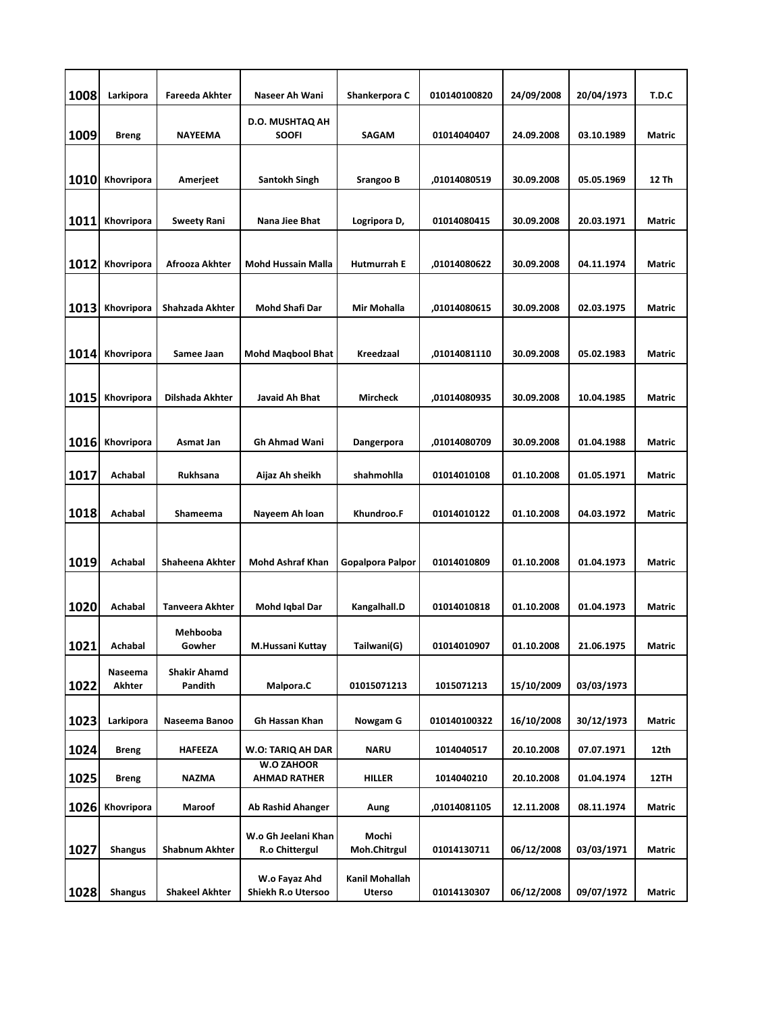| 1008        | Larkipora      | <b>Fareeda Akhter</b>  | Naseer Ah Wani                           | Shankerpora C            | 010140100820 | 24/09/2008 | 20/04/1973 | T.D.C         |
|-------------|----------------|------------------------|------------------------------------------|--------------------------|--------------|------------|------------|---------------|
|             |                |                        | D.O. MUSHTAQ AH                          |                          |              |            |            |               |
| 1009        | <b>Breng</b>   | <b>NAYEEMA</b>         | <b>SOOFI</b>                             | SAGAM                    | 01014040407  | 24.09.2008 | 03.10.1989 | Matric        |
|             |                |                        |                                          |                          |              |            |            |               |
| 1010        | Khovripora     | Amerjeet               | <b>Santokh Singh</b>                     | <b>Srangoo B</b>         | ,01014080519 | 30.09.2008 | 05.05.1969 | 12 Th         |
| 1011        | Khovripora     | <b>Sweety Rani</b>     | Nana Jiee Bhat                           | Logripora D,             | 01014080415  | 30.09.2008 | 20.03.1971 | Matric        |
|             |                |                        |                                          |                          |              |            |            |               |
| 1012        | Khovripora     | Afrooza Akhter         | Mohd Hussain Malla                       | <b>Hutmurrah E</b>       | ,01014080622 | 30.09.2008 | 04.11.1974 | Matric        |
|             |                |                        |                                          |                          |              |            |            |               |
| 1013        | Khovripora     | Shahzada Akhter        | <b>Mohd Shafi Dar</b>                    | Mir Mohalla              | ,01014080615 | 30.09.2008 | 02.03.1975 | <b>Matric</b> |
|             |                |                        |                                          |                          |              |            |            |               |
| <b>1014</b> | Khovripora     | Samee Jaan             | <b>Mohd Magbool Bhat</b>                 | Kreedzaal                | ,01014081110 | 30.09.2008 | 05.02.1983 | Matric        |
|             |                |                        |                                          |                          |              |            |            |               |
| 1015        | Khovripora     | Dilshada Akhter        | Javaid Ah Bhat                           | <b>Mircheck</b>          | ,01014080935 | 30.09.2008 | 10.04.1985 | Matric        |
|             |                |                        |                                          |                          |              |            |            |               |
| 1016        | Khovripora     | Asmat Jan              | Gh Ahmad Wani                            | Dangerpora               | ,01014080709 | 30.09.2008 | 01.04.1988 | Matric        |
| 1017        | Achabal        | Rukhsana               | Aijaz Ah sheikh                          | shahmohlla               | 01014010108  | 01.10.2008 | 01.05.1971 | Matric        |
| 1018        | Achabal        | Shameema               | Nayeem Ah loan                           | Khundroo.F               | 01014010122  | 01.10.2008 | 04.03.1972 | Matric        |
|             |                |                        |                                          |                          |              |            |            |               |
| 1019        | Achabal        | Shaheena Akhter        | Mohd Ashraf Khan                         | Gopalpora Palpor         | 01014010809  | 01.10.2008 | 01.04.1973 | Matric        |
|             |                |                        |                                          |                          |              |            |            |               |
| 1020        | Achabal        | <b>Tanveera Akhter</b> | Mohd Iqbal Dar                           | Kangalhall.D             | 01014010818  | 01.10.2008 | 01.04.1973 | Matric        |
| 1021        | Achabal        | Mehbooba<br>Gowher     | M.Hussani Kuttay                         | Tailwani(G)              | 01014010907  | 01.10.2008 | 21.06.1975 | Matric        |
|             | Naseema        | <b>Shakir Ahamd</b>    |                                          |                          |              |            |            |               |
| 1022        | Akhter         | Pandith                | Malpora.C                                | 01015071213              | 1015071213   | 15/10/2009 | 03/03/1973 |               |
| 1023        | Larkipora      | Naseema Banoo          | Gh Hassan Khan                           | Nowgam G                 | 010140100322 | 16/10/2008 | 30/12/1973 | Matric        |
| 1024        | <b>Breng</b>   | <b>HAFEEZA</b>         | W.O: TARIQ AH DAR                        | <b>NARU</b>              | 1014040517   | 20.10.2008 | 07.07.1971 | 12th          |
| 1025        | <b>Breng</b>   | <b>NAZMA</b>           | <b>W.O ZAHOOR</b><br><b>AHMAD RATHER</b> | HILLER                   | 1014040210   | 20.10.2008 | 01.04.1974 | 12TH          |
| 1026        | Khovripora     | Maroof                 | Ab Rashid Ahanger                        | Aung                     | ,01014081105 | 12.11.2008 | 08.11.1974 | Matric        |
|             |                |                        | W.o Gh Jeelani Khan                      | Mochi                    |              |            |            |               |
| 1027        | <b>Shangus</b> | <b>Shabnum Akhter</b>  | R.o Chittergul                           | Moh.Chitrgul             | 01014130711  | 06/12/2008 | 03/03/1971 | Matric        |
| 1028        | <b>Shangus</b> | <b>Shakeel Akhter</b>  | W.o Fayaz Ahd<br>Shiekh R.o Utersoo      | Kanil Mohallah<br>Uterso | 01014130307  | 06/12/2008 | 09/07/1972 | Matric        |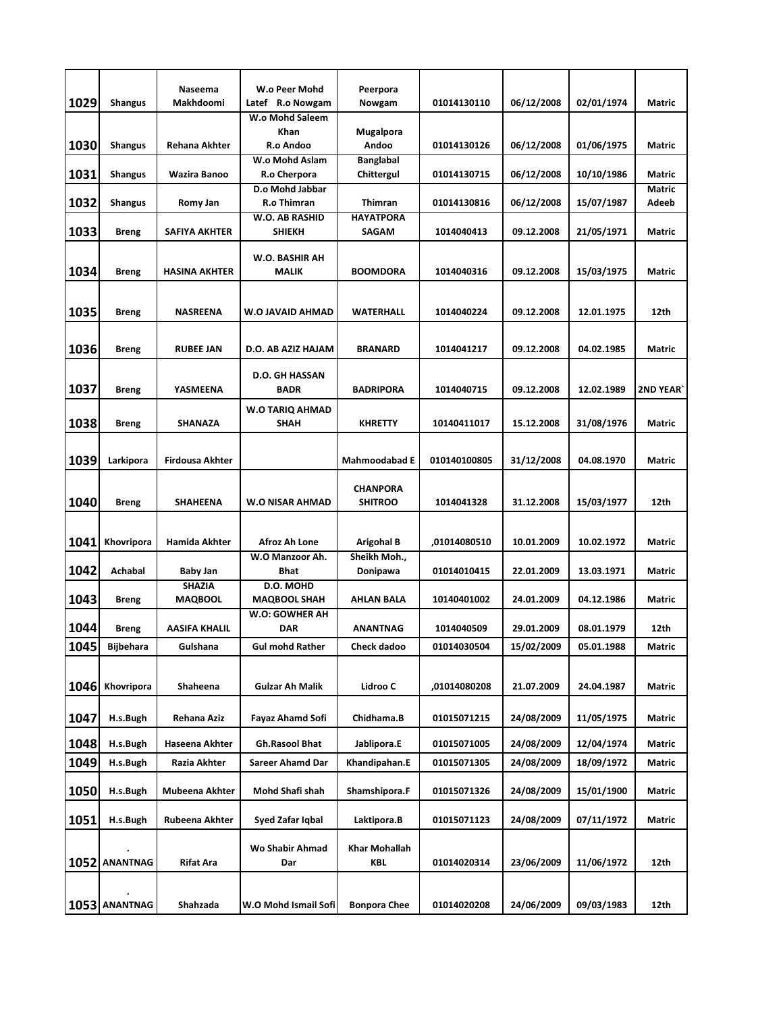|      |                  | Naseema                          | W.o Peer Mohd                        | Peerpora                           |              |            |            |                 |
|------|------------------|----------------------------------|--------------------------------------|------------------------------------|--------------|------------|------------|-----------------|
| 1029 | <b>Shangus</b>   | Makhdoomi                        | Latef R.o Nowgam<br>W.o Mohd Saleem  | Nowgam                             | 01014130110  | 06/12/2008 | 02/01/1974 | <b>Matric</b>   |
|      |                  |                                  | Khan                                 | Mugalpora                          |              |            |            |                 |
| 1030 | <b>Shangus</b>   | Rehana Akhter                    | R.o Andoo                            | Andoo                              | 01014130126  | 06/12/2008 | 01/06/1975 | <b>Matric</b>   |
|      |                  |                                  | W.o Mohd Aslam                       | <b>Banglabal</b>                   |              |            |            |                 |
| 1031 | Shangus          | Wazira Banoo                     | R.o Cherpora                         | Chittergul                         | 01014130715  | 06/12/2008 | 10/10/1986 | <b>Matric</b>   |
|      |                  |                                  | D.o Mohd Jabbar                      |                                    |              |            |            | <b>Matric</b>   |
| 1032 | <b>Shangus</b>   | Romy Jan                         | <b>R.o Thimran</b><br>W.O. AB RASHID | <b>Thimran</b><br><b>HAYATPORA</b> | 01014130816  | 06/12/2008 | 15/07/1987 | Adeeb           |
| 1033 | Breng            | <b>SAFIYA AKHTER</b>             | <b>SHIEKH</b>                        | <b>SAGAM</b>                       | 1014040413   | 09.12.2008 | 21/05/1971 | Matric          |
|      |                  |                                  |                                      |                                    |              |            |            |                 |
|      |                  |                                  | W.O. BASHIR AH                       |                                    |              |            |            |                 |
| 1034 | Breng            | <b>HASINA AKHTER</b>             | <b>MALIK</b>                         | BOOMDORA                           | 1014040316   | 09.12.2008 | 15/03/1975 | <b>Matric</b>   |
|      |                  |                                  |                                      |                                    |              |            |            |                 |
| 1035 | Breng            | <b>NASREENA</b>                  | W.O JAVAID AHMAD                     | WATERHALL                          | 1014040224   | 09.12.2008 | 12.01.1975 | 12th            |
|      |                  |                                  |                                      |                                    |              |            |            |                 |
| 1036 | Breng            | <b>RUBEE JAN</b>                 | D.O. AB AZIZ HAJAM                   | <b>BRANARD</b>                     | 1014041217   | 09.12.2008 | 04.02.1985 | Matric          |
|      |                  |                                  |                                      |                                    |              |            |            |                 |
|      |                  |                                  | <b>D.O. GH HASSAN</b>                |                                    |              |            |            |                 |
| 1037 | <b>Breng</b>     | YASMEENA                         | <b>BADR</b>                          | <b>BADRIPORA</b>                   | 1014040715   | 09.12.2008 | 12.02.1989 | <b>2ND YEAR</b> |
|      |                  |                                  | W.O TARIQ AHMAD                      |                                    |              |            |            |                 |
| 1038 | Breng            | <b>SHANAZA</b>                   | SHAH                                 | <b>KHRETTY</b>                     | 10140411017  | 15.12.2008 | 31/08/1976 | <b>Matric</b>   |
|      |                  |                                  |                                      |                                    |              |            |            |                 |
| 1039 | Larkipora        | Firdousa Akhter                  |                                      | <b>Mahmoodabad E</b>               | 010140100805 | 31/12/2008 | 04.08.1970 | Matric          |
|      |                  |                                  |                                      |                                    |              |            |            |                 |
| 1040 | <b>Breng</b>     | SHAHEENA                         | W.O NISAR AHMAD                      | <b>CHANPORA</b><br><b>SHITROO</b>  | 1014041328   | 31.12.2008 | 15/03/1977 | 12th            |
|      |                  |                                  |                                      |                                    |              |            |            |                 |
|      |                  |                                  |                                      |                                    |              |            |            |                 |
| 1041 | Khovripora       | Hamida Akhter                    | Afroz Ah Lone                        | Arigohal B                         | ,01014080510 | 10.01.2009 | 10.02.1972 | Matric          |
|      |                  |                                  | W.O Manzoor Ah.                      | Sheikh Moh.,                       |              |            |            |                 |
| 1042 | Achabal          | <b>Baby Jan</b><br><b>SHAZIA</b> | <b>Bhat</b><br>D.O. MOHD             | Donipawa                           | 01014010415  | 22.01.2009 | 13.03.1971 | Matric          |
| 1043 | <b>Breng</b>     | <b>MAQBOOL</b>                   | <b>MAQBOOL SHAH</b>                  | <b>AHLAN BALA</b>                  | 10140401002  | 24.01.2009 | 04.12.1986 | <b>Matric</b>   |
|      |                  |                                  | <b>W.O: GOWHER AH</b>                |                                    |              |            |            |                 |
| 1044 | Breng            | <b>AASIFA KHALIL</b>             | <b>DAR</b>                           | <b>ANANTNAG</b>                    | 1014040509   | 29.01.2009 | 08.01.1979 | 12th            |
| 1045 | <b>Bijbehara</b> | Gulshana                         | <b>Gul mohd Rather</b>               | <b>Check dadoo</b>                 | 01014030504  | 15/02/2009 | 05.01.1988 | Matric          |
|      |                  |                                  |                                      |                                    |              |            |            |                 |
| 1046 | Khovripora       | Shaheena                         | <b>Gulzar Ah Malik</b>               | Lidroo C                           | ,01014080208 | 21.07.2009 | 24.04.1987 | Matric          |
|      |                  |                                  |                                      |                                    |              |            |            |                 |
| 1047 | H.s.Bugh         | Rehana Aziz                      | Fayaz Ahamd Sofi                     | Chidhama.B                         | 01015071215  | 24/08/2009 | 11/05/1975 | Matric          |
|      |                  |                                  |                                      |                                    |              |            |            |                 |
| 1048 | H.s.Bugh         | Haseena Akhter                   | <b>Gh.Rasool Bhat</b>                | Jablipora.E                        | 01015071005  | 24/08/2009 | 12/04/1974 | Matric          |
| 1049 | H.s.Bugh         | Razia Akhter                     | Sareer Ahamd Dar                     | Khandipahan.E                      | 01015071305  | 24/08/2009 | 18/09/1972 | Matric          |
|      |                  |                                  |                                      | Shamshipora.F                      |              |            |            |                 |
| 1050 | H.s.Bugh         | Mubeena Akhter                   | Mohd Shafi shah                      |                                    | 01015071326  | 24/08/2009 | 15/01/1900 | Matric          |
| 1051 | H.s.Bugh         | Rubeena Akhter                   | Syed Zafar Iqbal                     | Laktipora.B                        | 01015071123  | 24/08/2009 | 07/11/1972 | Matric          |
|      |                  |                                  |                                      |                                    |              |            |            |                 |
|      |                  |                                  | Wo Shabir Ahmad                      | <b>Khar Mohallah</b>               |              |            |            |                 |
|      | 1052 ANANTNAG    | Rifat Ara                        | Dar                                  | KBL                                | 01014020314  | 23/06/2009 | 11/06/1972 | 12th            |
|      |                  |                                  |                                      |                                    |              |            |            |                 |
|      | 1053 ANANTNAG    | Shahzada                         | W.O Mohd Ismail Sofi                 | <b>Bonpora Chee</b>                | 01014020208  | 24/06/2009 | 09/03/1983 | 12th            |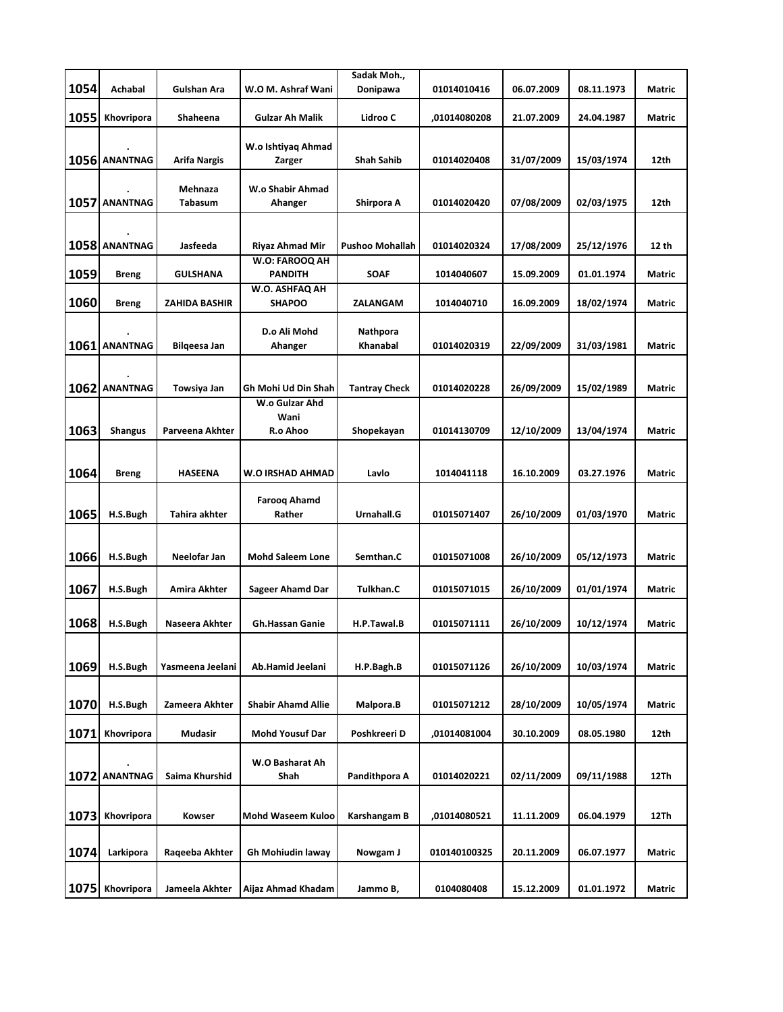|      |                |                      |                                 | Sadak Moh.,          |              |            |            |        |
|------|----------------|----------------------|---------------------------------|----------------------|--------------|------------|------------|--------|
| 1054 | Achabal        | Gulshan Ara          | W.O M. Ashraf Wani              | Donipawa             | 01014010416  | 06.07.2009 | 08.11.1973 | Matric |
| 1055 | Khovripora     | Shaheena             | <b>Gulzar Ah Malik</b>          | Lidroo C             | ,01014080208 | 21.07.2009 | 24.04.1987 | Matric |
|      |                |                      |                                 |                      |              |            |            |        |
|      | 1056 ANANTNAG  | Arifa Nargis         | W.o Ishtiyaq Ahmad<br>Zarger    | <b>Shah Sahib</b>    | 01014020408  | 31/07/2009 | 15/03/1974 | 12th   |
|      |                |                      |                                 |                      |              |            |            |        |
|      |                | Mehnaza              | W.o Shabir Ahmad                |                      |              |            |            |        |
|      | 1057 ANANTNAG  | <b>Tabasum</b>       | Ahanger                         | Shirpora A           | 01014020420  | 07/08/2009 | 02/03/1975 | 12th   |
|      |                |                      |                                 |                      |              |            |            |        |
|      | 1058 ANANTNAG  | Jasfeeda             | <b>Riyaz Ahmad Mir</b>          | Pushoo Mohallah      | 01014020324  | 17/08/2009 | 25/12/1976 | 12 th  |
|      |                |                      | W.O: FAROOQ AH                  |                      |              |            |            |        |
| 1059 | <b>Breng</b>   | GULSHANA             | <b>PANDITH</b>                  | <b>SOAF</b>          | 1014040607   | 15.09.2009 | 01.01.1974 | Matric |
| 1060 | <b>Breng</b>   | <b>ZAHIDA BASHIR</b> | W.O. ASHFAQ AH<br><b>SHAPOO</b> | ZALANGAM             | 1014040710   | 16.09.2009 | 18/02/1974 | Matric |
|      |                |                      | D.o Ali Mohd                    | Nathpora             |              |            |            |        |
|      | 1061 ANANTNAG  | Bilgeesa Jan         | Ahanger                         | <b>Khanabal</b>      | 01014020319  | 22/09/2009 | 31/03/1981 | Matric |
|      |                |                      |                                 |                      |              |            |            |        |
|      |                |                      |                                 |                      |              |            |            |        |
|      | 1062 ANANTNAG  | Towsiya Jan          | Gh Mohi Ud Din Shah             | <b>Tantray Check</b> | 01014020228  | 26/09/2009 | 15/02/1989 | Matric |
|      |                |                      | W.o Gulzar Ahd<br>Wani          |                      |              |            |            |        |
| 1063 | <b>Shangus</b> | Parveena Akhter      | R.o Ahoo                        | Shopekayan           | 01014130709  | 12/10/2009 | 13/04/1974 | Matric |
|      |                |                      |                                 |                      |              |            |            |        |
| 1064 |                |                      |                                 |                      |              |            |            |        |
|      | <b>Breng</b>   | <b>HASEENA</b>       | W.O IRSHAD AHMAD                | Lavlo                | 1014041118   | 16.10.2009 | 03.27.1976 | Matric |
|      |                |                      | <b>Faroog Ahamd</b>             |                      |              |            |            |        |
| 1065 | H.S.Bugh       | Tahira akhter        | Rather                          | Urnahall.G           | 01015071407  | 26/10/2009 | 01/03/1970 | Matric |
|      |                |                      |                                 |                      |              |            |            |        |
| 1066 | H.S.Bugh       | Neelofar Jan         | <b>Mohd Saleem Lone</b>         | Semthan.C            | 01015071008  | 26/10/2009 | 05/12/1973 | Matric |
|      |                |                      |                                 |                      |              |            |            |        |
| 1067 | H.S.Bugh       | Amira Akhter         | <b>Sageer Ahamd Dar</b>         | Tulkhan.C            | 01015071015  | 26/10/2009 | 01/01/1974 | Matric |
|      |                |                      |                                 |                      |              |            |            |        |
| 1068 | H.S.Bugh       | Naseera Akhter       | <b>Gh.Hassan Ganie</b>          | H.P.Tawal.B          | 01015071111  | 26/10/2009 | 10/12/1974 | Matric |
|      |                |                      |                                 |                      |              |            |            |        |
| 1069 | H.S.Bugh       | Yasmeena Jeelani     | Ab.Hamid Jeelani                | H.P.Bagh.B           | 01015071126  | 26/10/2009 | 10/03/1974 | Matric |
|      |                |                      |                                 |                      |              |            |            |        |
|      |                | Zameera Akhter       |                                 |                      |              |            |            |        |
| 1070 | H.S.Bugh       |                      | <b>Shabir Ahamd Allie</b>       | Malpora.B            | 01015071212  | 28/10/2009 | 10/05/1974 | Matric |
| 1071 | Khovripora     | Mudasir              | <b>Mohd Yousuf Dar</b>          | Poshkreeri D         | ,01014081004 | 30.10.2009 | 08.05.1980 | 12th   |
|      |                |                      |                                 |                      |              |            |            |        |
|      |                |                      | W.O Basharat Ah                 |                      |              |            |            |        |
|      | 1072 ANANTNAG  | Saima Khurshid       | Shah                            | Pandithpora A        | 01014020221  | 02/11/2009 | 09/11/1988 | 12Th   |
|      |                |                      |                                 |                      |              |            |            |        |
| 1073 | Khovripora     | Kowser               | Mohd Waseem Kuloo               | Karshangam B         | ,01014080521 | 11.11.2009 | 06.04.1979 | 12Th   |
|      |                |                      |                                 |                      |              |            |            |        |
| 1074 | Larkipora      | Raqeeba Akhter       | Gh Mohiudin laway               | Nowgam J             | 010140100325 | 20.11.2009 | 06.07.1977 | Matric |
|      |                |                      |                                 |                      |              |            |            |        |
| 1075 | Khovripora     | Jameela Akhter       | Aijaz Ahmad Khadam              | Jammo B,             | 0104080408   | 15.12.2009 | 01.01.1972 | Matric |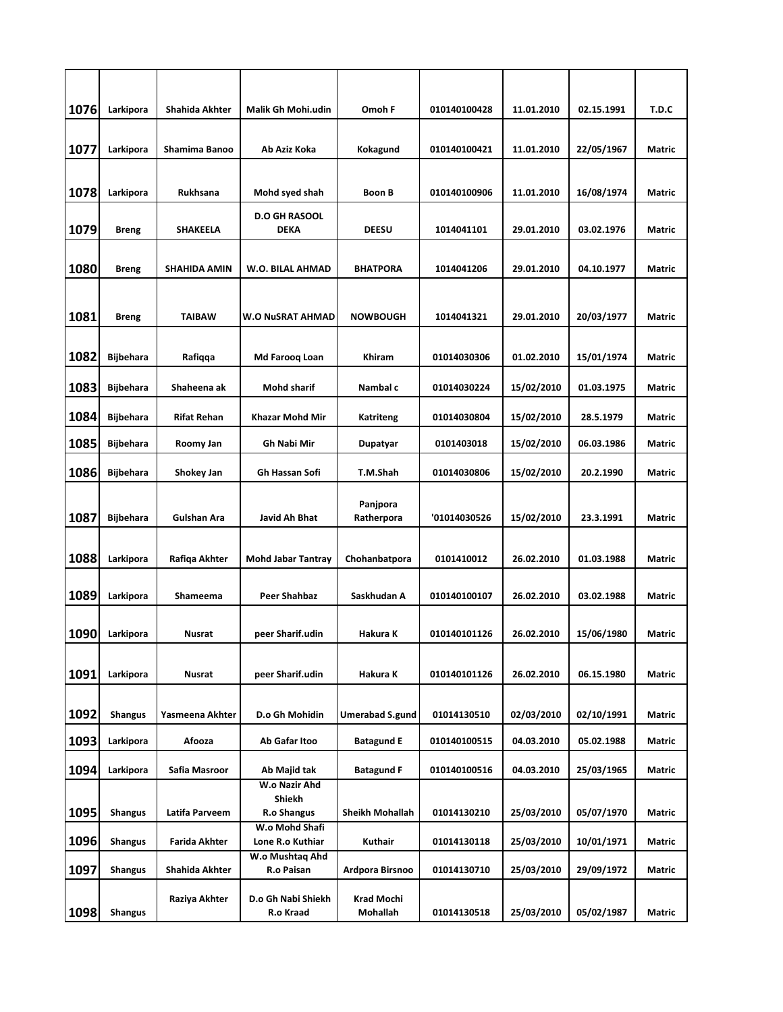| 1076 | Larkipora        | Shahida Akhter      | Malik Gh Mohi.udin                     | Omoh F                 | 010140100428 | 11.01.2010 | 02.15.1991 | T.D.C         |
|------|------------------|---------------------|----------------------------------------|------------------------|--------------|------------|------------|---------------|
|      |                  |                     |                                        |                        |              |            |            |               |
| 1077 | Larkipora        | Shamima Banoo       | Ab Aziz Koka                           | Kokagund               | 010140100421 | 11.01.2010 | 22/05/1967 | <b>Matric</b> |
| 1078 | Larkipora        | <b>Rukhsana</b>     | Mohd syed shah                         | <b>Boon B</b>          | 010140100906 | 11.01.2010 | 16/08/1974 | <b>Matric</b> |
| 1079 | Breng            | SHAKEELA            | <b>D.O GH RASOOL</b><br><b>DEKA</b>    | <b>DEESU</b>           | 1014041101   | 29.01.2010 | 03.02.1976 | <b>Matric</b> |
| 1080 | <b>Breng</b>     | <b>SHAHIDA AMIN</b> | W.O. BILAL AHMAD                       | <b>BHATPORA</b>        | 1014041206   | 29.01.2010 | 04.10.1977 | Matric        |
| 1081 | Breng            | TAIBAW              | <b>W.O NUSRAT AHMAD</b>                | <b>NOWBOUGH</b>        | 1014041321   | 29.01.2010 | 20/03/1977 | Matric        |
| 1082 | <b>Bijbehara</b> | Rafiqqa             | Md Farooq Loan                         | <b>Khiram</b>          | 01014030306  | 01.02.2010 | 15/01/1974 | Matric        |
| 1083 | <b>Bijbehara</b> | Shaheena ak         | <b>Mohd sharif</b>                     | Nambal c               | 01014030224  | 15/02/2010 | 01.03.1975 | Matric        |
| 1084 | <b>Bijbehara</b> | <b>Rifat Rehan</b>  | Khazar Mohd Mir                        | <b>Katriteng</b>       | 01014030804  | 15/02/2010 | 28.5.1979  | <b>Matric</b> |
| 1085 | <b>Bijbehara</b> | Roomy Jan           | Gh Nabi Mir                            | Dupatyar               | 0101403018   | 15/02/2010 | 06.03.1986 | <b>Matric</b> |
| 1086 | <b>Bijbehara</b> | Shokey Jan          | Gh Hassan Sofi                         | T.M.Shah               | 01014030806  | 15/02/2010 | 20.2.1990  | <b>Matric</b> |
| 1087 | <b>Bijbehara</b> | <b>Gulshan Ara</b>  | Javid Ah Bhat                          | Panjpora<br>Ratherpora | '01014030526 | 15/02/2010 | 23.3.1991  | <b>Matric</b> |
| 1088 | Larkipora        | Rafiqa Akhter       | <b>Mohd Jabar Tantray</b>              | Chohanbatpora          | 0101410012   | 26.02.2010 | 01.03.1988 | <b>Matric</b> |
| 1089 | Larkipora        | Shameema            | Peer Shahbaz                           | Saskhudan A            | 010140100107 | 26.02.2010 | 03.02.1988 | <b>Matric</b> |
| 1090 | Larkipora        | Nusrat              | peer Sharif.udin                       | Hakura K               | 010140101126 | 26.02.2010 | 15/06/1980 | <b>Matric</b> |
| 1091 | Larkipora        | Nusrat              | peer Sharif.udin                       | Hakura K               | 010140101126 | 26.02.2010 | 06.15.1980 | Matric        |
| 1092 | <b>Shangus</b>   | Yasmeena Akhter     | D.o Gh Mohidin                         | <b>Umerabad S.gund</b> | 01014130510  | 02/03/2010 | 02/10/1991 | Matric        |
| 1093 | Larkipora        | Afooza              | Ab Gafar Itoo                          | <b>Batagund E</b>      | 010140100515 | 04.03.2010 | 05.02.1988 | Matric        |
| 1094 | Larkipora        | Safia Masroor       | Ab Majid tak                           | <b>Batagund F</b>      | 010140100516 | 04.03.2010 | 25/03/1965 | Matric        |
| 1095 | <b>Shangus</b>   | Latifa Parveem      | W.o Nazir Ahd<br>Shiekh<br>R.o Shangus | <b>Sheikh Mohallah</b> | 01014130210  | 25/03/2010 | 05/07/1970 | Matric        |
| 1096 | <b>Shangus</b>   | Farida Akhter       | W.o Mohd Shafi<br>Lone R.o Kuthiar     | Kuthair                | 01014130118  | 25/03/2010 | 10/01/1971 | Matric        |
| 1097 | <b>Shangus</b>   | Shahida Akhter      | W.o Mushtaq Ahd<br>R.o Paisan          | Ardpora Birsnoo        | 01014130710  | 25/03/2010 | 29/09/1972 | Matric        |
| 1098 | <b>Shangus</b>   | Raziya Akhter       | D.o Gh Nabi Shiekh<br>R.o Kraad        | Krad Mochi<br>Mohallah | 01014130518  | 25/03/2010 | 05/02/1987 | Matric        |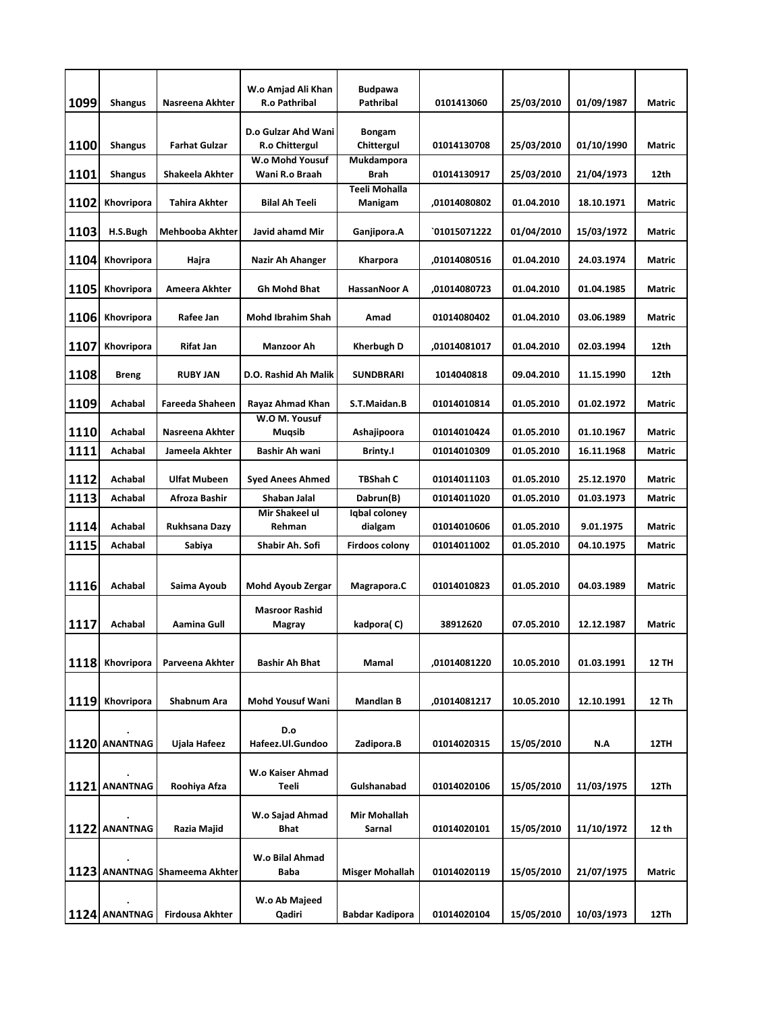| 1099 | <b>Shangus</b> | Nasreena Akhter               | W.o Amjad Ali Khan<br><b>R.o Pathribal</b>     | <b>Budpawa</b><br>Pathribal     | 0101413060   | 25/03/2010        | 01/09/1987 | <b>Matric</b> |
|------|----------------|-------------------------------|------------------------------------------------|---------------------------------|--------------|-------------------|------------|---------------|
| 1100 | <b>Shangus</b> | <b>Farhat Gulzar</b>          | D.o Gulzar Ahd Wani l<br><b>R.o Chittergul</b> | <b>Bongam</b><br>Chittergul     | 01014130708  | 25/03/2010        | 01/10/1990 | <b>Matric</b> |
| 1101 | Shangus        | Shakeela Akhter               | W.o Mohd Yousuf<br>Wani R.o Braah              | Mukdampora<br>Brah              | 01014130917  | 25/03/2010        | 21/04/1973 | 12th          |
| 1102 | Khovripora     | <b>Tahira Akhter</b>          | <b>Bilal Ah Teeli</b>                          | <b>Teeli Mohalla</b><br>Manigam | .01014080802 | 01.04.2010        | 18.10.1971 | Matric        |
| 1103 | H.S.Bugh       | <b>Mehbooba Akhter</b>        | Javid ahamd Mir                                | Ganjipora.A                     | `01015071222 | <b>01/04/2010</b> | 15/03/1972 | Matric        |
| 1104 | Khovripora     | Hajra                         | Nazir Ah Ahanger                               | Kharpora                        | ,01014080516 | 01.04.2010        | 24.03.1974 | Matric        |
| 1105 | Khovripora     | Ameera Akhter                 | <b>Gh Mohd Bhat</b>                            | <b>HassanNoor A</b>             | ,01014080723 | 01.04.2010        | 01.04.1985 | <b>Matric</b> |
| 1106 | Khovripora     | Rafee Jan                     | <b>Mohd Ibrahim Shah</b>                       | Amad                            | 01014080402  | 01.04.2010        | 03.06.1989 | <b>Matric</b> |
| 1107 | Khovripora     | <b>Rifat Jan</b>              | Manzoor Ah                                     | <b>Kherbugh D</b>               | ,01014081017 | 01.04.2010        | 02.03.1994 | 12th          |
| 1108 | <b>Breng</b>   | <b>RUBY JAN</b>               | D.O. Rashid Ah Malik                           | <b>SUNDBRARI</b>                | 1014040818   | 09.04.2010        | 11.15.1990 | 12th          |
| 1109 | Achabal        | <b>Fareeda Shaheen</b>        | Rayaz Ahmad Khan                               | S.T.Maidan.B                    | 01014010814  | 01.05.2010        | 01.02.1972 | <b>Matric</b> |
| 1110 | Achabal        | Nasreena Akhter               | W.O M. Yousuf<br>Mugsib                        | Ashajipoora                     | 01014010424  | 01.05.2010        | 01.10.1967 | <b>Matric</b> |
| 1111 | Achabal        | Jameela Akhter                | Bashir Ah wani                                 | <b>Brinty.I</b>                 | 01014010309  | 01.05.2010        | 16.11.1968 | Matric        |
| 1112 | Achabal        | <b>Ulfat Mubeen</b>           | <b>Syed Anees Ahmed</b>                        | TBShah C                        | 01014011103  | 01.05.2010        | 25.12.1970 | <b>Matric</b> |
| 1113 | Achabal        | Afroza Bashir                 | Shaban Jalal                                   | Dabrun(B)                       | 01014011020  | 01.05.2010        | 01.03.1973 | <b>Matric</b> |
| 1114 | Achabal        | Rukhsana Dazy                 | Mir Shakeel ul<br>Rehman                       | Iqbal coloney<br>dialgam        | 01014010606  | 01.05.2010        | 9.01.1975  | <b>Matric</b> |
| 1115 | Achabal        | Sabiya                        | Shabir Ah. Sofi                                | <b>Firdoos colony</b>           | 01014011002  | 01.05.2010        | 04.10.1975 | <b>Matric</b> |
| 1116 | Achabal        | Saima Ayoub                   | <b>Mohd Ayoub Zergar</b>                       | Magrapora.C                     | 01014010823  | 01.05.2010        | 04.03.1989 | <b>Matric</b> |
| 1117 | Achabal        | Aamina Gull                   | <b>Masroor Rashid</b><br>Magray                | kadpora(C)                      | 38912620     | 07.05.2010        | 12.12.1987 | <b>Matric</b> |
| 1118 | Khovripora     | Parveena Akhter               | <b>Bashir Ah Bhat</b>                          | Mamal                           | ,01014081220 | 10.05.2010        | 01.03.1991 | <b>12 TH</b>  |
|      |                |                               |                                                |                                 |              |                   |            |               |
| 1119 | Khovripora     | Shabnum Ara                   | Mohd Yousuf Wani                               | <b>Mandlan B</b>                | ,01014081217 | 10.05.2010        | 12.10.1991 | 12 Th         |
|      | 1120 ANANTNAG  | Ujala Hafeez                  | D.o<br>Hafeez.Ul.Gundoo                        | Zadipora.B                      | 01014020315  | 15/05/2010        | N.A        | 12TH          |
|      |                |                               | W.o Kaiser Ahmad                               |                                 |              |                   |            |               |
|      | 1121 ANANTNAG  | Roohiya Afza                  | Teeli                                          | Gulshanabad                     | 01014020106  | 15/05/2010        | 11/03/1975 | 12Th          |
|      |                |                               | W.o Sajad Ahmad                                | Mir Mohallah                    |              |                   |            |               |
|      | 1122 ANANTNAG  | Razia Majid                   | Bhat                                           | Sarnal                          | 01014020101  | 15/05/2010        | 11/10/1972 | 12 th         |
|      |                | 1123 ANANTNAG Shameema Akhter | W.o Bilal Ahmad<br>Baba                        | <b>Misger Mohallah</b>          | 01014020119  | 15/05/2010        | 21/07/1975 | Matric        |
|      |                |                               |                                                |                                 |              |                   |            |               |
|      | 1124 ANANTNAG  | Firdousa Akhter               | W.o Ab Majeed<br>Qadiri                        | Babdar Kadipora                 | 01014020104  | 15/05/2010        | 10/03/1973 | 12Th          |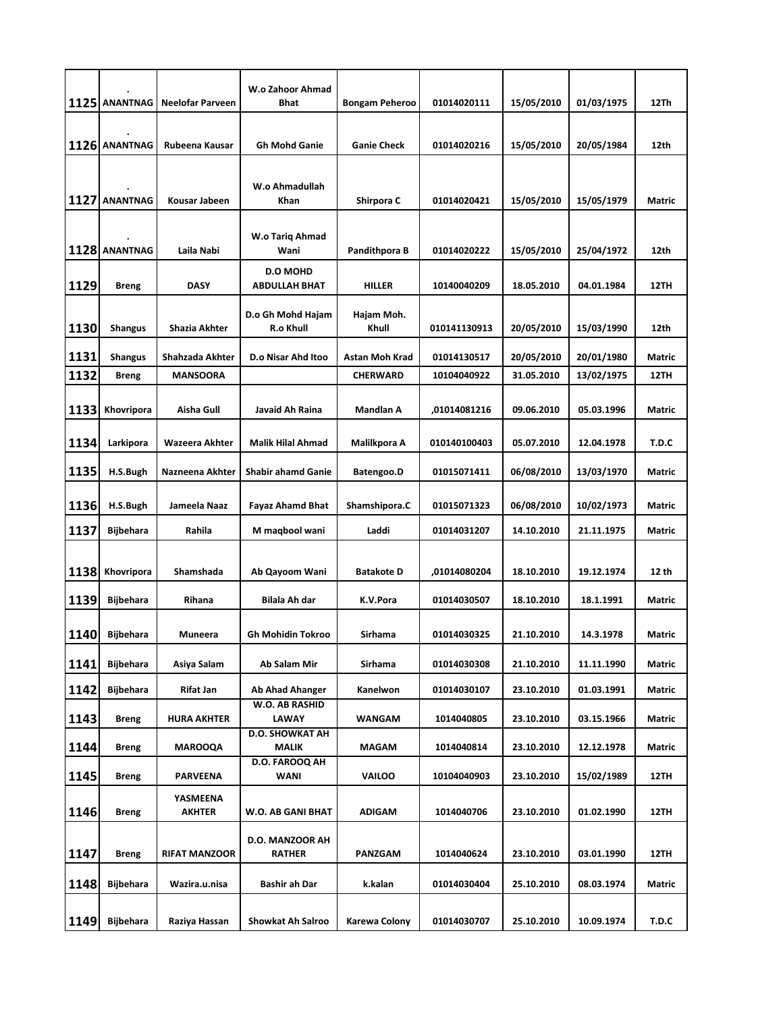|      | 1125 ANANTNAG    | Neelofar Parveen          | W.o Zahoor Ahmad<br><b>Bhat</b>         | <b>Bongam Peheroo</b> | 01014020111  | 15/05/2010 | 01/03/1975 | 12Th          |
|------|------------------|---------------------------|-----------------------------------------|-----------------------|--------------|------------|------------|---------------|
|      | 1126 ANANTNAG    | Rubeena Kausar            | Gh Mohd Ganie                           | <b>Ganie Check</b>    | 01014020216  | 15/05/2010 | 20/05/1984 | 12th          |
|      | 1127 ANANTNAG    | Kousar Jabeen             | W.o Ahmadullah<br><b>Khan</b>           | Shirpora C            | 01014020421  | 15/05/2010 | 15/05/1979 | <b>Matric</b> |
|      | 1128 ANANTNAG    | Laila Nabi                | W.o Tariq Ahmad<br>Wani                 | Pandithpora B         | 01014020222  | 15/05/2010 | 25/04/1972 | 12th          |
| 1129 | Breng            | <b>DASY</b>               | <b>D.O MOHD</b><br><b>ABDULLAH BHAT</b> | <b>HILLER</b>         | 10140040209  | 18.05.2010 | 04.01.1984 | 12TH          |
| 1130 | <b>Shangus</b>   | Shazia Akhter             | D.o Gh Mohd Hajam<br>R.o Khull          | Hajam Moh.<br>Khull   | 010141130913 | 20/05/2010 | 15/03/1990 | 12th          |
| 1131 | <b>Shangus</b>   | Shahzada Akhter           | D.o Nisar Ahd Itoo                      | Astan Moh Krad        | 01014130517  | 20/05/2010 | 20/01/1980 | <b>Matric</b> |
| 1132 | <b>Breng</b>     | <b>MANSOORA</b>           |                                         | <b>CHERWARD</b>       | 10104040922  | 31.05.2010 | 13/02/1975 | 12TH          |
| 1133 | Khovripora       | Aisha Gull                | Javaid Ah Raina                         | <b>Mandlan A</b>      | ,01014081216 | 09.06.2010 | 05.03.1996 | Matric        |
| 1134 | Larkipora        | Wazeera Akhter            | Malik Hilal Ahmad                       | Malilkpora A          | 010140100403 | 05.07.2010 | 12.04.1978 | T.D.C         |
| 1135 | H.S.Bugh         | Nazneena Akhter           | <b>Shabir ahamd Ganie</b>               | Batengoo.D            | 01015071411  | 06/08/2010 | 13/03/1970 | <b>Matric</b> |
| 1136 | H.S.Bugh         | Jameela Naaz              | <b>Fayaz Ahamd Bhat</b>                 | Shamshipora.C         | 01015071323  | 06/08/2010 | 10/02/1973 | Matric        |
| 1137 | <b>Bijbehara</b> | Rahila                    | M maqbool wani                          | Laddi                 | 01014031207  | 14.10.2010 | 21.11.1975 | Matric        |
| 1138 | Khovripora       | Shamshada                 | Ab Qayoom Wani                          | <b>Batakote D</b>     | ,01014080204 | 18.10.2010 | 19.12.1974 | 12 th         |
| 1139 | <b>Bijbehara</b> | Rihana                    | Bilala Ah dar                           | K.V.Pora              | 01014030507  | 18.10.2010 | 18.1.1991  | <b>Matric</b> |
| 1140 | <b>Bijbehara</b> | <b>Muneera</b>            | <b>Gh Mohidin Tokroo</b>                | <b>Sirhama</b>        | 01014030325  | 21.10.2010 | 14.3.1978  | <b>Matric</b> |
| 1141 | Bijbehara        | Asiya Salam               | Ab Salam Mir                            | Sirhama               | 01014030308  | 21.10.2010 | 11.11.1990 | Matric        |
| 1142 | <b>Bijbehara</b> | Rifat Jan                 | <b>Ab Ahad Ahanger</b>                  | Kanelwon              | 01014030107  | 23.10.2010 | 01.03.1991 | Matric        |
| 1143 | <b>Breng</b>     | HURA AKHTER               | W.O. AB RASHID<br><b>LAWAY</b>          | <b>WANGAM</b>         | 1014040805   | 23.10.2010 | 03.15.1966 | Matric        |
| 1144 | <b>Breng</b>     | <b>MAROOQA</b>            | <b>D.O. SHOWKAT AH</b><br>MALIK         | <b>MAGAM</b>          | 1014040814   | 23.10.2010 | 12.12.1978 | Matric        |
| 1145 | <b>Breng</b>     | PARVEENA                  | D.O. FAROOQ AH<br>WANI                  | <b>VAILOO</b>         | 10104040903  | 23.10.2010 | 15/02/1989 | 12TH          |
| 1146 | <b>Breng</b>     | YASMEENA<br><b>AKHTER</b> | W.O. AB GANI BHAT                       | ADIGAM                | 1014040706   | 23.10.2010 | 01.02.1990 | 12TH          |
| 1147 | <b>Breng</b>     | <b>RIFAT MANZOOR</b>      | D.O. MANZOOR AH<br><b>RATHER</b>        | PANZGAM               | 1014040624   | 23.10.2010 | 03.01.1990 | 12TH          |
| 1148 | <b>Bijbehara</b> | Wazira.u.nisa             | Bashir ah Dar                           | k.kalan               | 01014030404  | 25.10.2010 | 08.03.1974 | Matric        |
| 1149 | <b>Bijbehara</b> | Raziya Hassan             | <b>Showkat Ah Salroo</b>                | Karewa Colony         | 01014030707  | 25.10.2010 | 10.09.1974 | T.D.C         |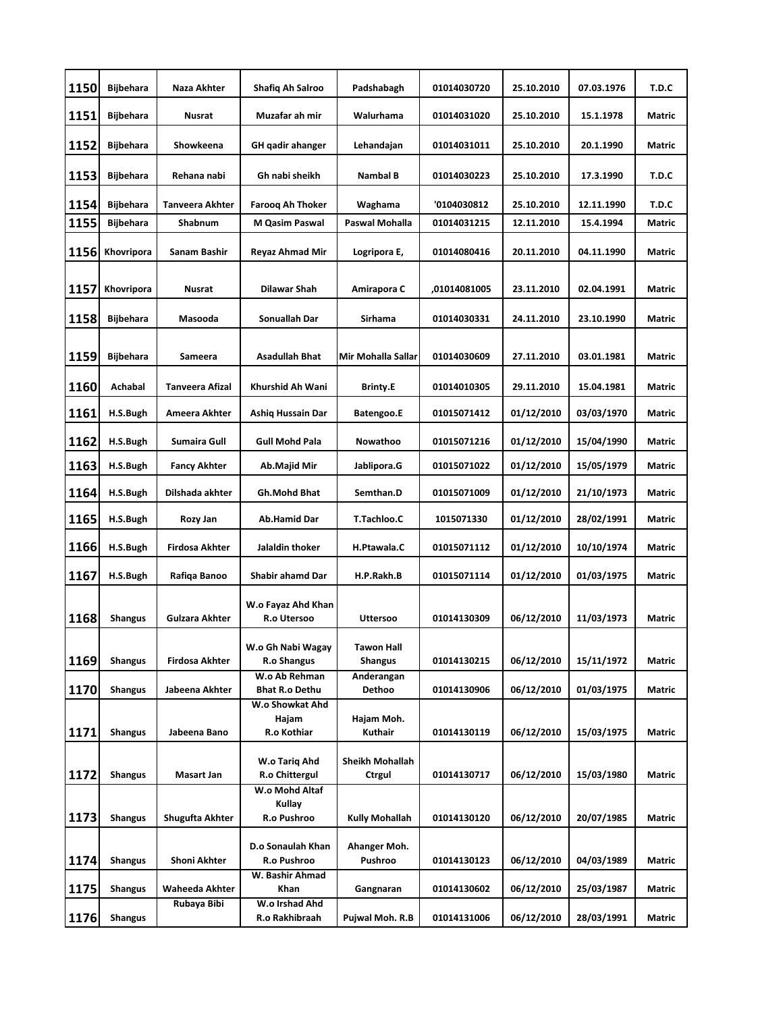| 1150 | Bijbehara        | Naza Akhter            | <b>Shafiq Ah Salroo</b>                 | Padshabagh                          | 01014030720  | 25.10.2010        | 07.03.1976 | T.D.C         |
|------|------------------|------------------------|-----------------------------------------|-------------------------------------|--------------|-------------------|------------|---------------|
| 1151 | <b>Bijbehara</b> | Nusrat                 | Muzafar ah mir                          | Walurhama                           | 01014031020  | 25.10.2010        | 15.1.1978  | <b>Matric</b> |
| 1152 | Bijbehara        | Showkeena              | GH qadir ahanger                        | Lehandajan                          | 01014031011  | 25.10.2010        | 20.1.1990  | Matric        |
| 1153 | Bijbehara        | Rehana nabi            | Gh nabi sheikh                          | Nambal B                            | 01014030223  | 25.10.2010        | 17.3.1990  | T.D.C         |
| 1154 | <b>Bijbehara</b> | Tanveera Akhter        | Faroog Ah Thoker                        | Waghama                             | '0104030812  | 25.10.2010        | 12.11.1990 | T.D.C         |
| 1155 | Bijbehara        | <b>Shabnum</b>         | <b>M Qasim Paswal</b>                   | Paswal Mohalla                      | 01014031215  | 12.11.2010        | 15.4.1994  | Matric        |
| 1156 | Khovripora       | Sanam Bashir           | Reyaz Ahmad Mir                         | Logripora E,                        | 01014080416  | 20.11.2010        | 04.11.1990 | <b>Matric</b> |
| 1157 | Khovripora       | Nusrat                 | <b>Dilawar Shah</b>                     | Amirapora C                         | ,01014081005 | 23.11.2010        | 02.04.1991 | <b>Matric</b> |
| 1158 | Bijbehara        | Masooda                | Sonuallah Dar                           | Sirhama                             | 01014030331  | 24.11.2010        | 23.10.1990 | Matric        |
| 1159 | <b>Bijbehara</b> | Sameera                | <b>Asadullah Bhat</b>                   | Mir Mohalla Sallar                  | 01014030609  | 27.11.2010        | 03.01.1981 | Matric        |
| 1160 | Achabal          | <b>Tanveera Afizal</b> | Khurshid Ah Wani                        | <b>Brinty.E</b>                     | 01014010305  | 29.11.2010        | 15.04.1981 | Matric        |
| 1161 | H.S.Bugh         | Ameera Akhter          | Ashiq Hussain Dar                       | Batengoo.E                          | 01015071412  | 01/12/2010        | 03/03/1970 | Matric        |
| 1162 | H.S.Bugh         | Sumaira Gull           | <b>Gull Mohd Pala</b>                   | Nowathoo                            | 01015071216  | 01/12/2010        | 15/04/1990 | <b>Matric</b> |
| 1163 | H.S.Bugh         | <b>Fancy Akhter</b>    | Ab.Majid Mir                            | Jablipora.G                         | 01015071022  | 01/12/2010        | 15/05/1979 | Matric        |
| 1164 | H.S.Bugh         | Dilshada akhter        | <b>Gh.Mohd Bhat</b>                     | Semthan.D                           | 01015071009  | <b>01/12/2010</b> | 21/10/1973 | Matric        |
| 1165 | H.S.Bugh         | Rozy Jan               | Ab.Hamid Dar                            | T.Tachloo.C                         | 1015071330   | 01/12/2010        | 28/02/1991 | Matric        |
| 1166 | H.S.Bugh         | Firdosa Akhter         | Jalaldin thoker                         | H.Ptawala.C                         | 01015071112  | 01/12/2010        | 10/10/1974 | Matric        |
| 1167 | H.S.Bugh         | Rafiqa Banoo           | Shabir ahamd Dar                        | H.P.Rakh.B                          | 01015071114  | 01/12/2010        | 01/03/1975 | Matric        |
| 1168 | <b>Shangus</b>   | <b>Gulzara Akhter</b>  | W.o Fayaz Ahd Khan<br>R.o Utersoo       | <b>Uttersoo</b>                     | 01014130309  | 06/12/2010        | 11/03/1973 | Matric        |
| 1169 | <b>Shangus</b>   | <b>Firdosa Akhter</b>  | W.o Gh Nabi Wagay<br>R.o Shangus        | <b>Tawon Hall</b><br><b>Shangus</b> | 01014130215  | 06/12/2010        | 15/11/1972 | Matric        |
| 1170 | Shangus          | Jabeena Akhter         | W.o Ab Rehman<br><b>Bhat R.o Dethu</b>  | Anderangan<br>Dethoo                | 01014130906  | 06/12/2010        | 01/03/1975 | Matric        |
| 1171 | <b>Shangus</b>   | Jabeena Bano           | W.o Showkat Ahd<br>Hajam<br>R.o Kothiar | Hajam Moh.<br>Kuthair               | 01014130119  | 06/12/2010        | 15/03/1975 | Matric        |
|      |                  |                        | W.o Tariq Ahd                           | <b>Sheikh Mohallah</b>              |              |                   |            |               |
| 1172 | <b>Shangus</b>   | Masart Jan             | R.o Chittergul                          | <b>Ctrgul</b>                       | 01014130717  | 06/12/2010        | 15/03/1980 | Matric        |
| 1173 | <b>Shangus</b>   | Shugufta Akhter        | W.o Mohd Altaf<br>Kullay<br>R.o Pushroo | <b>Kully Mohallah</b>               | 01014130120  | 06/12/2010        | 20/07/1985 | Matric        |
| 1174 | <b>Shangus</b>   | Shoni Akhter           | D.o Sonaulah Khan<br>R.o Pushroo        | Ahanger Moh.<br>Pushroo             | 01014130123  | 06/12/2010        | 04/03/1989 | Matric        |
| 1175 | Shangus          | Waheeda Akhter         | W. Bashir Ahmad<br>Khan                 | Gangnaran                           | 01014130602  | 06/12/2010        | 25/03/1987 | Matric        |
| 1176 | <b>Shangus</b>   | Rubaya Bibi            | W.o Irshad Ahd<br>R.o Rakhibraah        | Pujwal Moh. R.B                     | 01014131006  | 06/12/2010        | 28/03/1991 | Matric        |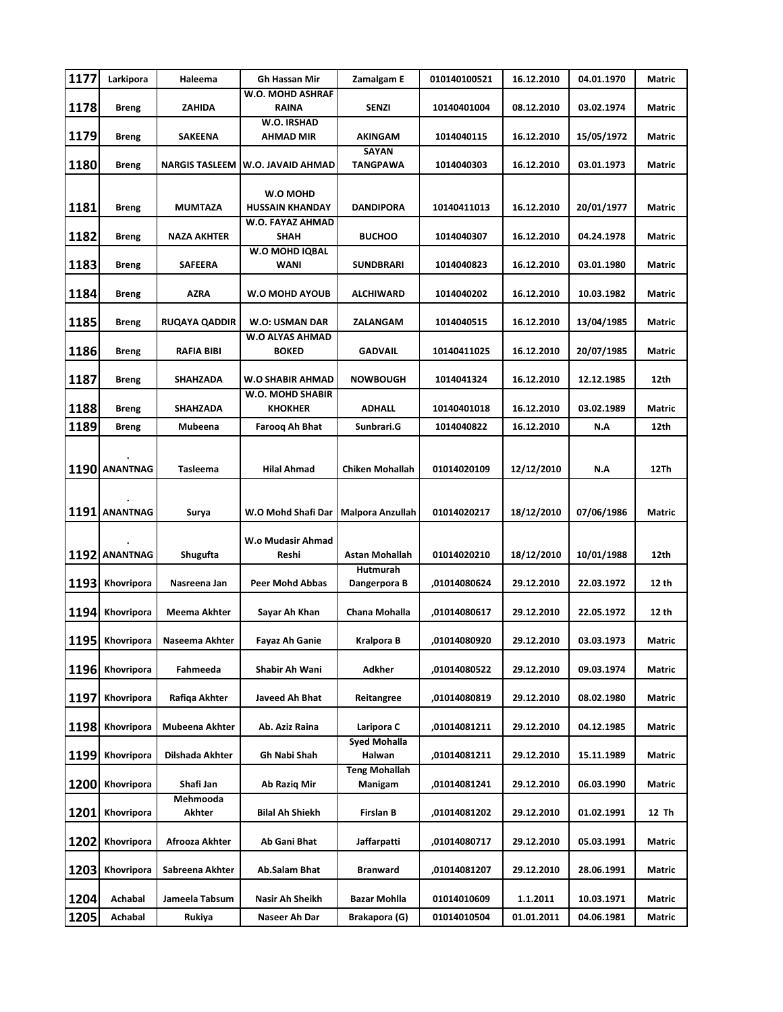| 1177 | Larkipora       | Haleema               | <b>Gh Hassan Mir</b>               | Zamalgam E              | 010140100521       | 16.12.2010 | 04.01.1970 | Matric |
|------|-----------------|-----------------------|------------------------------------|-------------------------|--------------------|------------|------------|--------|
| 1178 | <b>Breng</b>    | ZAHIDA                | W.O. MOHD ASHRAF<br><b>RAINA</b>   | <b>SENZI</b>            | 10140401004        | 08.12.2010 | 03.02.1974 | Matric |
|      |                 |                       | W.O. IRSHAD                        |                         |                    |            |            |        |
| 1179 | <b>Breng</b>    | <b>SAKEENA</b>        | AHMAD MIR                          | AKINGAM<br>SAYAN        | 1014040115         | 16.12.2010 | 15/05/1972 | Matric |
| 1180 | <b>Breng</b>    | <b>NARGIS TASLEEM</b> | W.O. JAVAID AHMAD                  | TANGPAWA                | 1014040303         | 16.12.2010 | 03.01.1973 | Matric |
|      |                 |                       | W.O MOHD                           |                         |                    |            |            |        |
| 1181 | <b>Breng</b>    | MUMTAZA               | <b>HUSSAIN KHANDAY</b>             | <b>DANDIPORA</b>        | 10140411013        | 16.12.2010 | 20/01/1977 | Matric |
| 1182 | <b>Breng</b>    | <b>NAZA AKHTER</b>    | W.O. FAYAZ AHMAD<br>SHAH           | <b>BUCHOO</b>           | 1014040307         | 16.12.2010 | 04.24.1978 | Matric |
| 1183 | Breng           | <b>SAFEERA</b>        | W.O MOHD IQBAL<br>WANI             | <b>SUNDBRARI</b>        | 1014040823         | 16.12.2010 | 03.01.1980 | Matric |
|      |                 |                       |                                    |                         |                    |            |            |        |
| 1184 | Breng           | <b>AZRA</b>           | <b>W.O MOHD AYOUB</b>              | ALCHIWARD               | 1014040202         | 16.12.2010 | 10.03.1982 | Matric |
| 1185 | <b>Breng</b>    | <b>RUQAYA QADDIR</b>  | W.O: USMAN DAR                     | ZALANGAM                | 1014040515         | 16.12.2010 | 13/04/1985 | Matric |
| 1186 | <b>Breng</b>    | RAFIA BIBI            | W.O ALYAS AHMAD<br><b>BOKED</b>    | <b>GADVAIL</b>          | 10140411025        | 16.12.2010 | 20/07/1985 | Matric |
| 1187 | <b>Breng</b>    | SHAHZADA              | W.O SHABIR AHMAD                   | <b>NOWBOUGH</b>         | 1014041324         | 16.12.2010 | 12.12.1985 | 12th   |
| 1188 | <b>Breng</b>    | SHAHZADA              | W.O. MOHD SHABIR<br><b>KHOKHER</b> | <b>ADHALL</b>           | 10140401018        | 16.12.2010 | 03.02.1989 | Matric |
| 1189 | <b>Breng</b>    | Mubeena               | <b>Faroog Ah Bhat</b>              | Sunbrari.G              | 1014040822         | 16.12.2010 | N.A        | 12th   |
|      |                 |                       |                                    |                         |                    |            |            |        |
|      | 1190 ANANTNAG   | Tasleema              | <b>Hilal Ahmad</b>                 | <b>Chiken Mohallah</b>  | 01014020109        | 12/12/2010 | N.A        | 12Th   |
|      |                 |                       |                                    |                         |                    |            |            |        |
|      | 1191 ANANTNAG   | Surya                 | W.O Mohd Shafi Dar                 | <b>Malpora Anzullah</b> | 01014020217        | 18/12/2010 | 07/06/1986 | Matric |
|      |                 |                       |                                    |                         |                    |            |            |        |
|      | 1192 ANANTNAG   | Shugufta              | W.o Mudasir Ahmad<br>Reshi         | <b>Astan Mohallah</b>   | 01014020210        | 18/12/2010 | 10/01/1988 | 12th   |
|      |                 |                       |                                    | Hutmurah                |                    |            |            |        |
| 1193 | Khovripora      | Nasreena Jan          | <b>Peer Mohd Abbas</b>             | Dangerpora B            | ,01014080624       | 29.12.2010 | 22.03.1972 | 12 th  |
| 1194 | Khovripora      | Meema Akhter          | Sayar Ah Khan                      | Chana Mohalla           | ,01014080617       | 29.12.2010 | 22.05.1972 | 12 th  |
|      | 1195 Khovripora | Naseema Akhter        | <b>Fayaz Ah Ganie</b>              | <b>Kralpora B</b>       | ,01014080920       | 29.12.2010 | 03.03.1973 | Matric |
| 1196 | Khovripora      | Fahmeeda              | Shabir Ah Wani                     | Adkher                  | ,01014080522       | 29.12.2010 | 09.03.1974 | Matric |
| 1197 | Khovripora      | Rafiqa Akhter         | Javeed Ah Bhat                     | Reitangree              | ,01014080819       | 29.12.2010 | 08.02.1980 | Matric |
| 1198 | Khovripora      | Mubeena Akhter        | Ab. Aziz Raina                     | Laripora C              | ,01014081211       | 29.12.2010 | 04.12.1985 | Matric |
| 1199 | Khovripora      | Dilshada Akhter       | Gh Nabi Shah                       | Syed Mohalla<br>Halwan  | ,01014081211       | 29.12.2010 | 15.11.1989 | Matric |
|      |                 |                       |                                    | <b>Teng Mohallah</b>    |                    |            |            |        |
| 1200 | Khovripora      | Shafi Jan<br>Mehmooda | Ab Razig Mir                       | Manigam                 | ,01014081241       | 29.12.2010 | 06.03.1990 | Matric |
| 1201 | Khovripora      | Akhter                | Bilal Ah Shiekh                    | <b>Firslan B</b>        | ,01014081202       | 29.12.2010 | 01.02.1991 | 12 Th  |
| 1202 | Khovripora      | Afrooza Akhter        | Ab Gani Bhat                       | Jaffarpatti             | ,01014080717       | 29.12.2010 | 05.03.1991 | Matric |
| 1203 | Khovripora      | Sabreena Akhter       | Ab.Salam Bhat                      | Branward                | ,01014081207       | 29.12.2010 | 28.06.1991 | Matric |
| 1204 | Achabal         | Jameela Tabsum        | Nasir Ah Sheikh                    | <b>Bazar Mohlla</b>     | <b>01014010609</b> | 1.1.2011   | 10.03.1971 | Matric |
| 1205 | Achabal         | Rukiya                | Naseer Ah Dar                      | Brakapora (G)           | 01014010504        | 01.01.2011 | 04.06.1981 | Matric |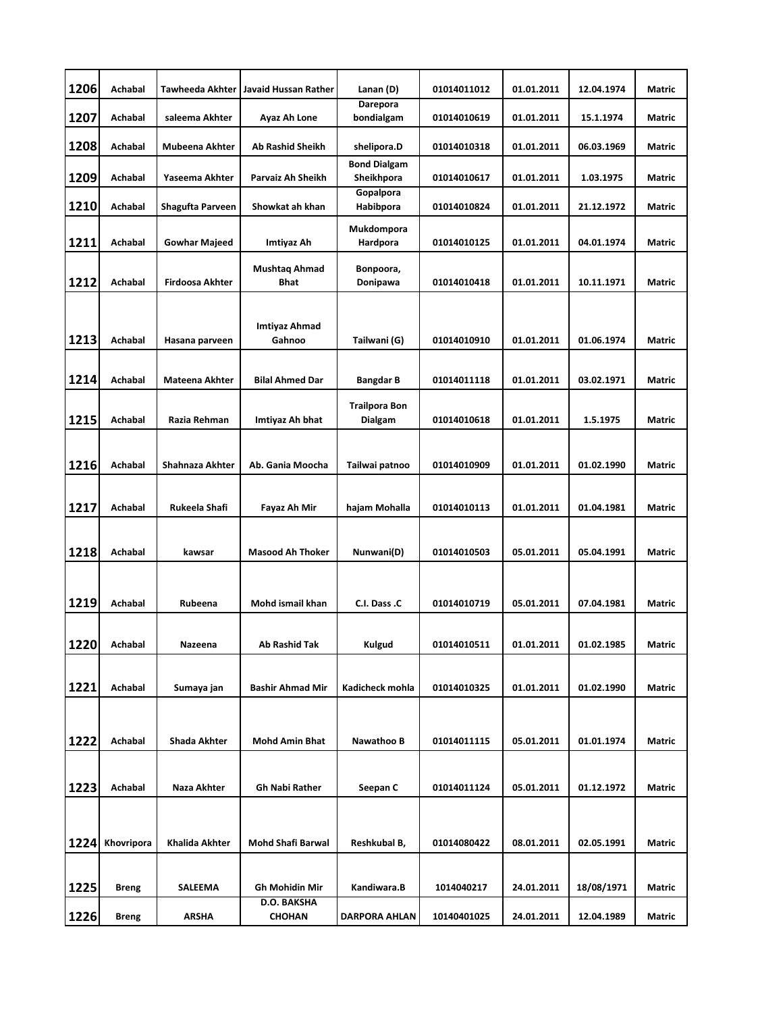| 1206 | Achabal      | <b>Tawheeda Akhter</b> | Javaid Hussan Rather                | Lanan (D)                         | 01014011012 | 01.01.2011 | 12.04.1974 | Matric        |
|------|--------------|------------------------|-------------------------------------|-----------------------------------|-------------|------------|------------|---------------|
| 1207 | Achabal      | saleema Akhter         | Ayaz Ah Lone                        | Darepora<br>bondialgam            | 01014010619 | 01.01.2011 | 15.1.1974  | Matric        |
| 1208 | Achabal      | Mubeena Akhter         | Ab Rashid Sheikh                    | shelipora.D                       | 01014010318 | 01.01.2011 | 06.03.1969 | Matric        |
| 1209 | Achabal      | Yaseema Akhter         | Parvaiz Ah Sheikh                   | <b>Bond Dialgam</b><br>Sheikhpora | 01014010617 | 01.01.2011 | 1.03.1975  | Matric        |
| 1210 | Achabal      | Shagufta Parveen       | Showkat ah khan                     | Gopalpora<br>Habibpora            | 01014010824 | 01.01.2011 | 21.12.1972 | Matric        |
| 1211 | Achabal      | <b>Gowhar Majeed</b>   | Imtiyaz Ah                          | Mukdompora<br>Hardpora            | 01014010125 | 01.01.2011 | 04.01.1974 | Matric        |
| 1212 | Achabal      | Firdoosa Akhter        | <b>Mushtag Ahmad</b><br><b>Bhat</b> | Bonpoora,<br>Donipawa             | 01014010418 | 01.01.2011 | 10.11.1971 | Matric        |
| 1213 | Achabal      | Hasana parveen         | Imtiyaz Ahmad<br>Gahnoo             | Tailwani (G)                      | 01014010910 | 01.01.2011 | 01.06.1974 | <b>Matric</b> |
|      |              |                        |                                     |                                   |             |            |            |               |
| 1214 | Achabal      | Mateena Akhter         | <b>Bilal Ahmed Dar</b>              | <b>Bangdar B</b>                  | 01014011118 | 01.01.2011 | 03.02.1971 | Matric        |
| 1215 | Achabal      | Razia Rehman           | Imtiyaz Ah bhat                     | <b>Trailpora Bon</b><br>Dialgam   | 01014010618 | 01.01.2011 | 1.5.1975   | <b>Matric</b> |
|      |              |                        |                                     |                                   |             |            |            |               |
| 1216 | Achabal      | Shahnaza Akhter        | Ab. Gania Moocha                    | Tailwai patnoo                    | 01014010909 | 01.01.2011 | 01.02.1990 | Matric        |
| 1217 | Achabal      | Rukeela Shafi          | Fayaz Ah Mir                        | hajam Mohalla                     | 01014010113 | 01.01.2011 | 01.04.1981 | Matric        |
| 1218 | Achabal      | kawsar                 | <b>Masood Ah Thoker</b>             | Nunwani(D)                        | 01014010503 | 05.01.2011 | 05.04.1991 | <b>Matric</b> |
| 1219 | Achabal      | Rubeena                | Mohd ismail khan                    | C.I. Dass .C                      | 01014010719 | 05.01.2011 | 07.04.1981 | Matric        |
| 1220 | Achabal      | Nazeena                | Ab Rashid Tak                       | Kulgud                            | 01014010511 | 01.01.2011 | 01.02.1985 | Matric        |
| 1221 | Achabal      | Sumaya jan             | <b>Bashir Ahmad Mir</b>             | Kadicheck mohla                   | 01014010325 | 01.01.2011 | 01.02.1990 | Matric        |
|      |              |                        |                                     |                                   |             |            |            |               |
| 1222 | Achabal      | <b>Shada Akhter</b>    | <b>Mohd Amin Bhat</b>               | Nawathoo B                        | 01014011115 | 05.01.2011 | 01.01.1974 | Matric        |
| 1223 | Achabal      | Naza Akhter            | <b>Gh Nabi Rather</b>               | Seepan C                          | 01014011124 | 05.01.2011 | 01.12.1972 | Matric        |
|      |              |                        |                                     |                                   |             |            |            |               |
| 1224 | Khovripora   | <b>Khalida Akhter</b>  | <b>Mohd Shafi Barwal</b>            | Reshkubal B,                      | 01014080422 | 08.01.2011 | 02.05.1991 | <b>Matric</b> |
| 1225 | <b>Breng</b> | <b>SALEEMA</b>         | <b>Gh Mohidin Mir</b>               | Kandiwara.B                       | 1014040217  | 24.01.2011 | 18/08/1971 | Matric        |
| 1226 | <b>Breng</b> | <b>ARSHA</b>           | D.O. BAKSHA<br><b>CHOHAN</b>        | <b>DARPORA AHLAN</b>              | 10140401025 | 24.01.2011 | 12.04.1989 | Matric        |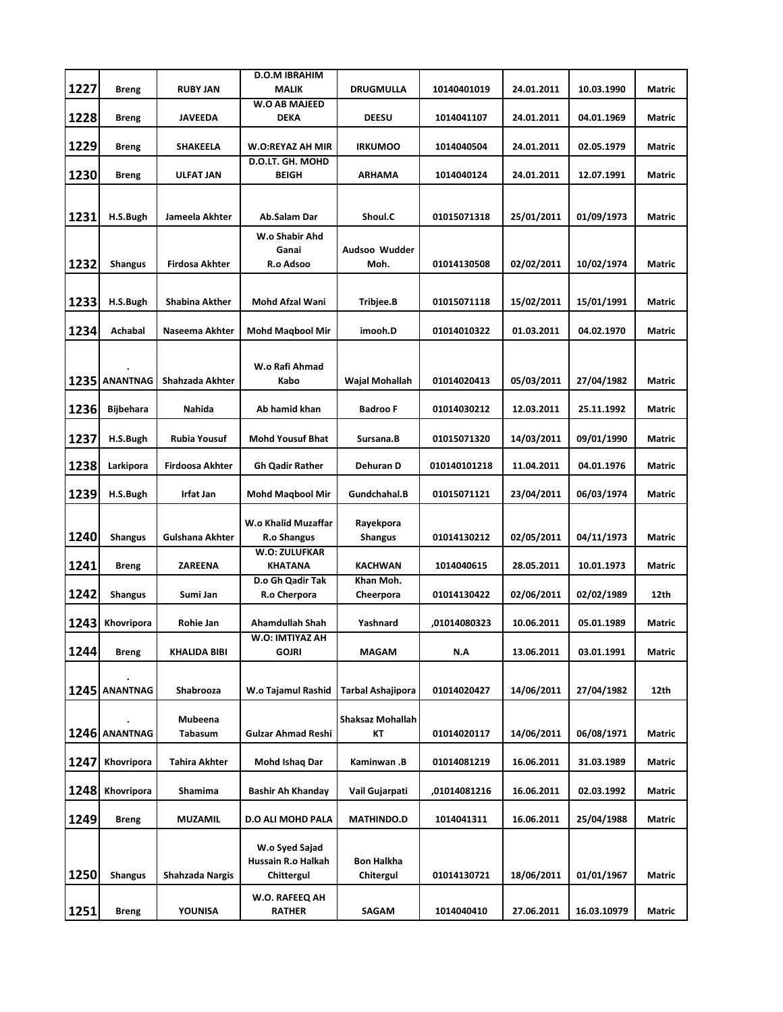|      |                  |                       | <b>D.O.M IBRAHIM</b>                |                        |              |            |             |               |
|------|------------------|-----------------------|-------------------------------------|------------------------|--------------|------------|-------------|---------------|
| 1227 | <b>Breng</b>     | <b>RUBY JAN</b>       | <b>MALIK</b>                        | <b>DRUGMULLA</b>       | 10140401019  | 24.01.2011 | 10.03.1990  | Matric        |
| 1228 | <b>Breng</b>     | <b>JAVEEDA</b>        | <b>W.O AB MAJEED</b><br><b>DEKA</b> | <b>DEESU</b>           | 1014041107   | 24.01.2011 | 04.01.1969  | Matric        |
| 1229 | <b>Breng</b>     | <b>SHAKEELA</b>       | W.O:REYAZ AH MIR                    | <b>IRKUMOO</b>         | 1014040504   | 24.01.2011 | 02.05.1979  | Matric        |
|      |                  |                       | D.O.LT. GH. MOHD                    |                        |              |            |             |               |
| 1230 | Breng            | <b>ULFAT JAN</b>      | BEIGH                               | ARHAMA                 | 1014040124   | 24.01.2011 | 12.07.1991  | Matric        |
|      |                  |                       |                                     |                        |              |            |             |               |
| 1231 | H.S.Bugh         | Jameela Akhter        | Ab.Salam Dar                        | Shoul.C                | 01015071318  | 25/01/2011 | 01/09/1973  | Matric        |
|      |                  |                       |                                     |                        |              |            |             |               |
|      |                  |                       | W.o Shabir Ahd<br>Ganai             | Audsoo Wudder          |              |            |             |               |
| 1232 | <b>Shangus</b>   | Firdosa Akhter        | R.o Adsoo                           | Moh.                   | 01014130508  | 02/02/2011 | 10/02/1974  | <b>Matric</b> |
|      |                  |                       |                                     |                        |              |            |             |               |
| 1233 | H.S.Bugh         | <b>Shabina Akther</b> | Mohd Afzal Wani                     | Tribjee.B              | 01015071118  | 15/02/2011 | 15/01/1991  | Matric        |
|      |                  |                       |                                     |                        |              |            |             |               |
| 1234 | Achabal          | Naseema Akhter        | <b>Mohd Magbool Mir</b>             | imooh.D                | 01014010322  | 01.03.2011 | 04.02.1970  | Matric        |
|      |                  |                       |                                     |                        |              |            |             |               |
|      |                  |                       | W.o Rafi Ahmad                      |                        |              |            |             |               |
|      | 1235 ANANTNAG    | Shahzada Akhter       | Kabo                                | Wajal Mohallah         | 01014020413  | 05/03/2011 | 27/04/1982  | <b>Matric</b> |
|      |                  |                       |                                     |                        |              |            |             |               |
| 1236 | <b>Bijbehara</b> | Nahida                | Ab hamid khan                       | <b>Badroo F</b>        | 01014030212  | 12.03.2011 | 25.11.1992  | Matric        |
| 1237 | H.S.Bugh         | Rubia Yousuf          | <b>Mohd Yousuf Bhat</b>             | Sursana.B              | 01015071320  | 14/03/2011 | 09/01/1990  | Matric        |
|      |                  |                       |                                     |                        |              |            |             |               |
| 1238 | Larkipora        | Firdoosa Akhter       | <b>Gh Qadir Rather</b>              | Dehuran D              | 010140101218 | 11.04.2011 | 04.01.1976  | Matric        |
|      |                  |                       |                                     |                        |              |            |             |               |
| 1239 | H.S.Bugh         | Irfat Jan             | <b>Mohd Magbool Mir</b>             | Gundchahal.B           | 01015071121  | 23/04/2011 | 06/03/1974  | Matric        |
|      |                  |                       | W.o Khalid Muzaffar                 | Rayekpora              |              |            |             |               |
| 1240 | <b>Shangus</b>   | Gulshana Akhter       | R.o Shangus                         | <b>Shangus</b>         | 01014130212  | 02/05/2011 | 04/11/1973  | Matric        |
|      |                  |                       | W.O: ZULUFKAR                       |                        |              |            |             |               |
| 1241 | <b>Breng</b>     | ZAREENA               | KHATANA                             | KACHWAN                | 1014040615   | 28.05.2011 | 10.01.1973  | Matric        |
| 1242 | <b>Shangus</b>   | Sumi Jan              | D.o Gh Qadir Tak<br>R.o Cherpora    | Khan Moh.<br>Cheerpora | 01014130422  | 02/06/2011 | 02/02/1989  | 12th          |
|      |                  |                       |                                     |                        |              |            |             |               |
| 1243 | Khovripora       | Rohie Jan             | <b>Ahamdullah Shah</b>              | Yashnard               | ,01014080323 | 10.06.2011 | 05.01.1989  | Matric        |
|      |                  |                       | W.O: IMTIYAZ AH                     |                        |              |            |             |               |
| 1244 | <b>Breng</b>     | <b>KHALIDA BIBI</b>   | <b>GOJRI</b>                        | MAGAM                  | N.A          | 13.06.2011 | 03.01.1991  | Matric        |
|      |                  |                       |                                     |                        |              |            |             |               |
|      | 1245 ANANTNAG    | <b>Shabrooza</b>      | W.o Tajamul Rashid                  | Tarbal Ashajipora      | 01014020427  | 14/06/2011 | 27/04/1982  | 12th          |
|      |                  |                       |                                     |                        |              |            |             |               |
|      | 1246 ANANTNAG    | Mubeena<br>Tabasum    | <b>Gulzar Ahmad Reshi</b>           | Shaksaz Mohallah<br>КT | 01014020117  | 14/06/2011 | 06/08/1971  | Matric        |
|      |                  |                       |                                     |                        |              |            |             |               |
| 1247 | Khovripora       | <b>Tahira Akhter</b>  | Mohd Ishaq Dar                      | Kaminwan .B            | 01014081219  | 16.06.2011 | 31.03.1989  | Matric        |
|      |                  |                       |                                     |                        |              |            |             |               |
| 1248 | Khovripora       | Shamima               | Bashir Ah Khanday                   | Vail Gujarpati         | ,01014081216 | 16.06.2011 | 02.03.1992  | Matric        |
| 1249 | <b>Breng</b>     | <b>MUZAMIL</b>        | <b>D.O ALI MOHD PALA</b>            | <b>MATHINDO.D</b>      | 1014041311   | 16.06.2011 | 25/04/1988  | Matric        |
|      |                  |                       | W.o Syed Sajad                      |                        |              |            |             |               |
|      |                  |                       | Hussain R.o Halkah                  | <b>Bon Halkha</b>      |              |            |             |               |
| 1250 | <b>Shangus</b>   | Shahzada Nargis       | Chittergul                          | Chitergul              | 01014130721  | 18/06/2011 | 01/01/1967  | Matric        |
|      |                  |                       | W.O. RAFEEQ AH                      |                        |              |            |             |               |
| 1251 | <b>Breng</b>     | YOUNISA               | <b>RATHER</b>                       | SAGAM                  | 1014040410   | 27.06.2011 | 16.03.10979 | Matric        |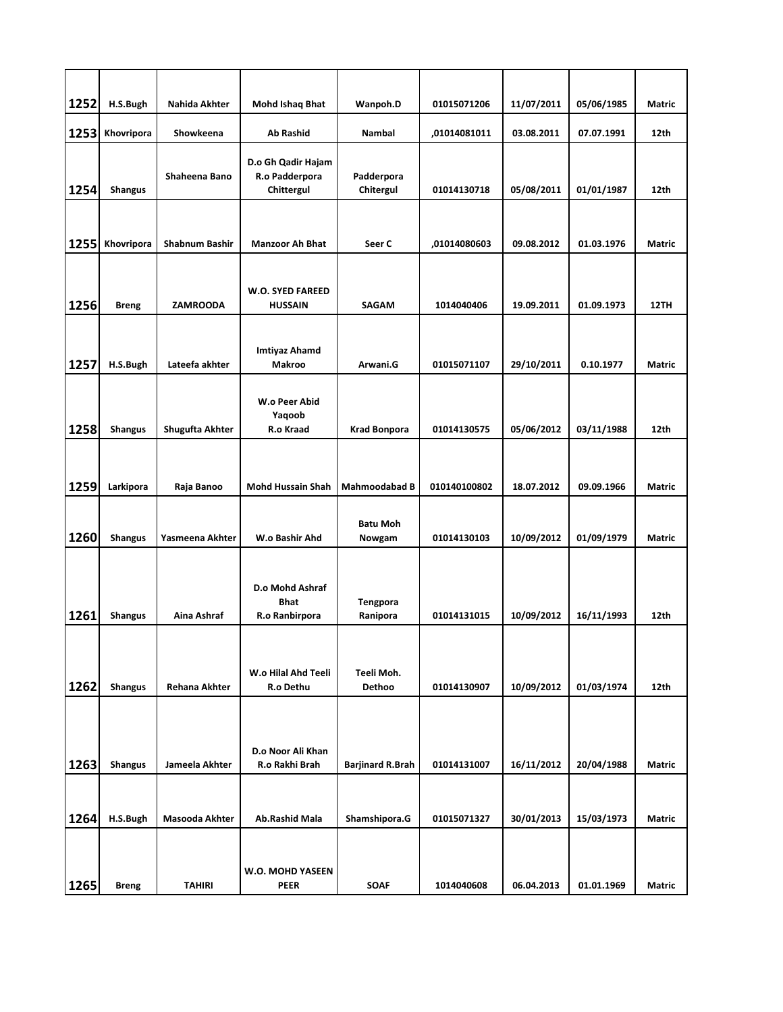| 1252 | H.S.Bugh       | Nahida Akhter        | Mohd Ishaq Bhat                                    | Wanpoh.D                  | 01015071206  | 11/07/2011 | 05/06/1985 | <b>Matric</b> |
|------|----------------|----------------------|----------------------------------------------------|---------------------------|--------------|------------|------------|---------------|
| 1253 | Khovripora     | Showkeena            | <b>Ab Rashid</b>                                   | <b>Nambal</b>             | ,01014081011 | 03.08.2011 | 07.07.1991 | 12th          |
| 1254 | <b>Shangus</b> | Shaheena Bano        | D.o Gh Qadir Hajam<br>R.o Padderpora<br>Chittergul | Padderpora<br>Chitergul   | 01014130718  | 05/08/2011 | 01/01/1987 | 12th          |
| 1255 | Khovripora     | Shabnum Bashir       | <b>Manzoor Ah Bhat</b>                             | Seer C                    | ,01014080603 | 09.08.2012 | 01.03.1976 | <b>Matric</b> |
| 1256 | <b>Breng</b>   | <b>ZAMROODA</b>      | W.O. SYED FAREED<br><b>HUSSAIN</b>                 | <b>SAGAM</b>              | 1014040406   | 19.09.2011 | 01.09.1973 | 12TH          |
| 1257 | H.S.Bugh       | Lateefa akhter       | <b>Imtiyaz Ahamd</b><br><b>Makroo</b>              | Arwani.G                  | 01015071107  | 29/10/2011 | 0.10.1977  | <b>Matric</b> |
| 1258 | <b>Shangus</b> | Shugufta Akhter      | W.o Peer Abid<br>Yaqoob<br>R.o Kraad               | <b>Krad Bonpora</b>       | 01014130575  | 05/06/2012 | 03/11/1988 | 12th          |
| 1259 | Larkipora      | Raja Banoo           | <b>Mohd Hussain Shah</b>                           | <b>Mahmoodabad B</b>      | 010140100802 | 18.07.2012 | 09.09.1966 | Matric        |
| 1260 | <b>Shangus</b> | Yasmeena Akhter      | W.o Bashir Ahd                                     | <b>Batu Moh</b><br>Nowgam | 01014130103  | 10/09/2012 | 01/09/1979 | Matric        |
| 1261 | <b>Shangus</b> | Aina Ashraf          | D.o Mohd Ashraf<br>Bhat<br>R.o Ranbirpora          | Tengpora<br>Ranipora      | 01014131015  | 10/09/2012 | 16/11/1993 | 12th          |
| 1262 | <b>Shangus</b> | <b>Rehana Akhter</b> | W.o Hilal Ahd Teeli<br>R.o Dethu                   | Teeli Moh.<br>Dethoo      | 01014130907  | 10/09/2012 | 01/03/1974 | 12th          |
|      |                |                      | D.o Noor Ali Khan                                  |                           |              |            |            |               |
| 1263 | <b>Shangus</b> | Jameela Akhter       | R.o Rakhi Brah                                     | <b>Barjinard R.Brah</b>   | 01014131007  | 16/11/2012 | 20/04/1988 | Matric        |
| 1264 | H.S.Bugh       | Masooda Akhter       | <b>Ab.Rashid Mala</b>                              | Shamshipora.G             | 01015071327  | 30/01/2013 | 15/03/1973 | Matric        |
| 1265 | <b>Breng</b>   | <b>TAHIRI</b>        | W.O. MOHD YASEEN<br><b>PEER</b>                    | <b>SOAF</b>               | 1014040608   | 06.04.2013 | 01.01.1969 | Matric        |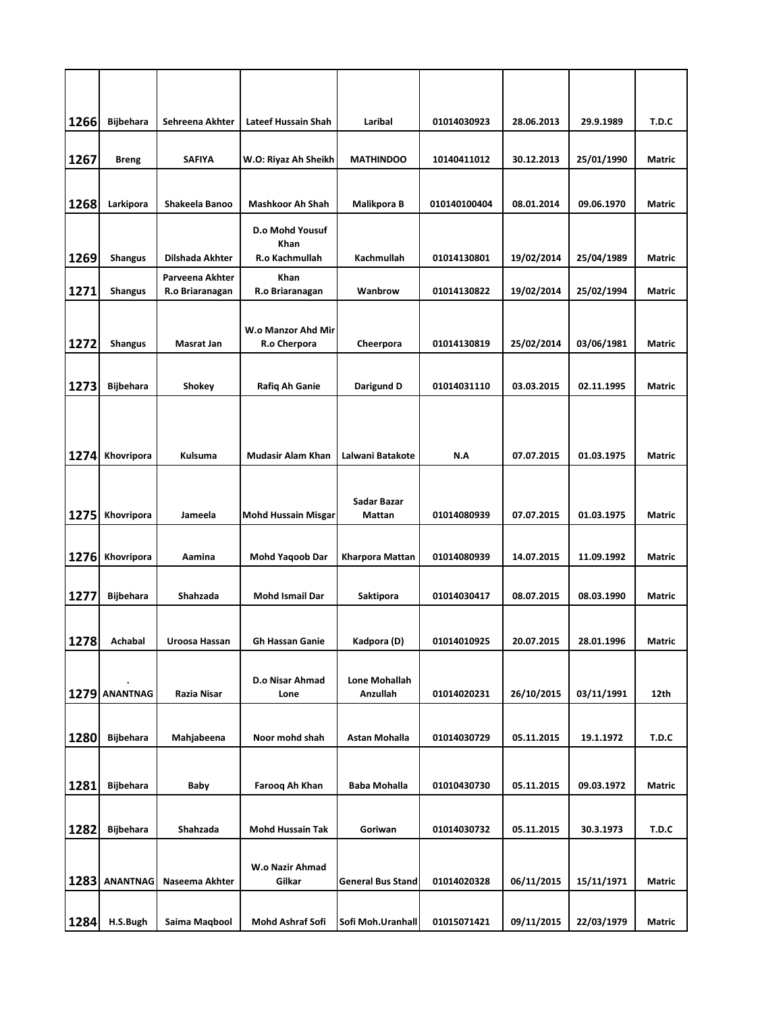| 1266 | <b>Bijbehara</b> | Sehreena Akhter       | Lateef Hussain Shah        | Laribal                  | 01014030923  | 28.06.2013 | 29.9.1989  | T.D.C         |
|------|------------------|-----------------------|----------------------------|--------------------------|--------------|------------|------------|---------------|
|      |                  |                       |                            |                          |              |            |            |               |
| 1267 | <b>Breng</b>     | <b>SAFIYA</b>         | W.O: Riyaz Ah Sheikh       | <b>MATHINDOO</b>         | 10140411012  | 30.12.2013 | 25/01/1990 | Matric        |
| 1268 | Larkipora        | <b>Shakeela Banoo</b> | <b>Mashkoor Ah Shah</b>    | Malikpora B              | 010140100404 | 08.01.2014 | 09.06.1970 | Matric        |
|      |                  |                       | D.o Mohd Yousuf            |                          |              |            |            |               |
| 1269 | <b>Shangus</b>   | Dilshada Akhter       | Khan<br>R.o Kachmullah     | Kachmullah               | 01014130801  | 19/02/2014 | 25/04/1989 | Matric        |
|      |                  | Parveena Akhter       | Khan                       |                          |              |            |            |               |
| 1271 | <b>Shangus</b>   | R.o Briaranagan       | R.o Briaranagan            | Wanbrow                  | 01014130822  | 19/02/2014 | 25/02/1994 | Matric        |
|      |                  |                       | W.o Manzor Ahd Mir         |                          |              |            |            |               |
| 1272 | <b>Shangus</b>   | Masrat Jan            | R.o Cherpora               | Cheerpora                | 01014130819  | 25/02/2014 | 03/06/1981 | Matric        |
| 1273 | <b>Bijbehara</b> | Shokey                | Rafiq Ah Ganie             | Darigund D               | 01014031110  | 03.03.2015 | 02.11.1995 | Matric        |
|      |                  |                       |                            |                          |              |            |            |               |
|      |                  |                       |                            |                          |              |            |            |               |
| 1274 | Khovripora       | Kulsuma               | <b>Mudasir Alam Khan</b>   | Lalwani Batakote         | N.A          | 07.07.2015 | 01.03.1975 | Matric        |
|      |                  |                       |                            |                          |              |            |            |               |
| 1275 | Khovripora       | Jameela               | <b>Mohd Hussain Misgar</b> | Sadar Bazar<br>Mattan    | 01014080939  | 07.07.2015 | 01.03.1975 | Matric        |
|      |                  |                       |                            |                          |              |            |            |               |
| 1276 | Khovripora       | Aamina                | <b>Mohd Yaqoob Dar</b>     | Kharpora Mattan          | 01014080939  | 14.07.2015 | 11.09.1992 | <b>Matric</b> |
| 1277 | <b>Bijbehara</b> | Shahzada              | Mohd Ismail Dar            | Saktipora                | 01014030417  | 08.07.2015 | 08.03.1990 | Matric        |
|      |                  |                       |                            |                          |              |            |            |               |
| 1278 | Achabal          | Uroosa Hassan         | Gh Hassan Ganie            | Kadpora (D)              | 01014010925  | 20.07.2015 | 28.01.1996 | Matric        |
|      |                  |                       | D.o Nisar Ahmad            | Lone Mohallah            |              |            |            |               |
|      | 1279 ANANTNAG    | Razia Nisar           | Lone                       | Anzullah                 | 01014020231  | 26/10/2015 | 03/11/1991 | 12th          |
|      |                  |                       |                            |                          |              |            |            |               |
| 1280 | <b>Bijbehara</b> | Mahjabeena            | Noor mohd shah             | Astan Mohalla            | 01014030729  | 05.11.2015 | 19.1.1972  | T.D.C         |
|      |                  |                       |                            |                          |              |            |            |               |
| 1281 | <b>Bijbehara</b> | Baby                  | Farooq Ah Khan             | Baba Mohalla             | 01010430730  | 05.11.2015 | 09.03.1972 | Matric        |
| 1282 | <b>Bijbehara</b> | Shahzada              | Mohd Hussain Tak           | Goriwan                  | 01014030732  | 05.11.2015 | 30.3.1973  | T.D.C         |
|      |                  |                       |                            |                          |              |            |            |               |
| 1283 | <b>ANANTNAG</b>  | Naseema Akhter        | W.o Nazir Ahmad<br>Gilkar  | <b>General Bus Stand</b> | 01014020328  | 06/11/2015 | 15/11/1971 | Matric        |
|      |                  |                       |                            |                          |              |            |            |               |
| 1284 | H.S.Bugh         | Saima Maqbool         | <b>Mohd Ashraf Sofi</b>    | Sofi Moh.Uranhall        | 01015071421  | 09/11/2015 | 22/03/1979 | Matric        |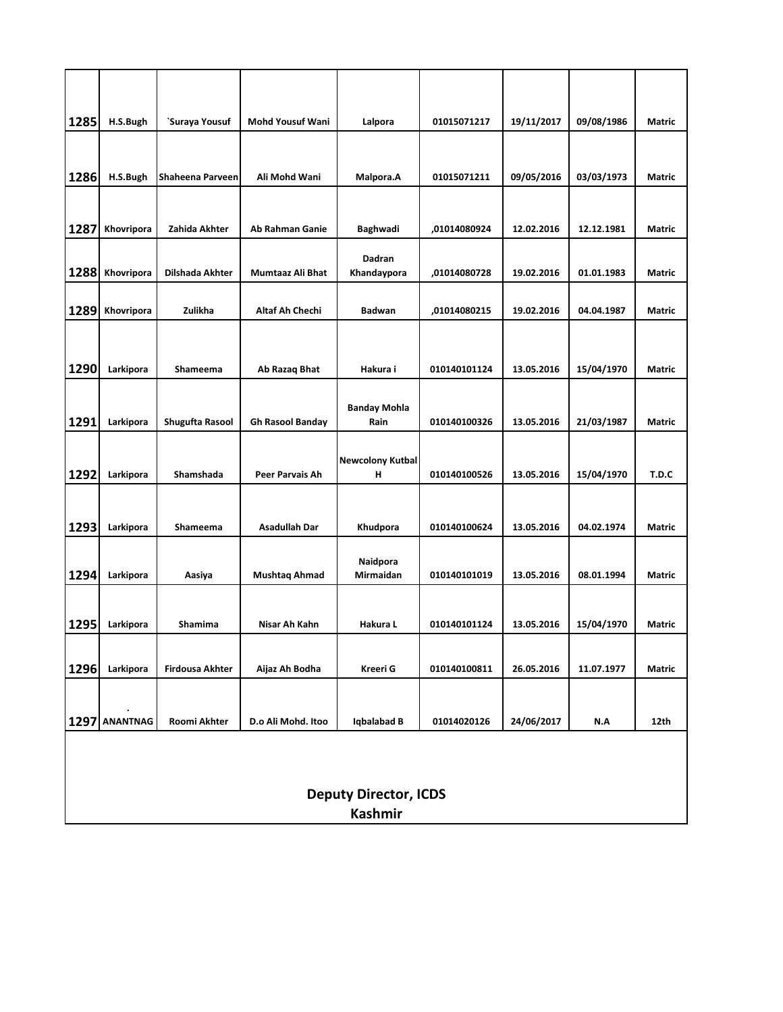| 1285 | H.S.Bugh                     | `Suraya Yousuf         | <b>Mohd Yousuf Wani</b> | Lalpora                      | 01015071217  | 19/11/2017 | 09/08/1986 | Matric        |  |  |
|------|------------------------------|------------------------|-------------------------|------------------------------|--------------|------------|------------|---------------|--|--|
| 1286 | H.S.Bugh                     | Shaheena Parveen       | Ali Mohd Wani           | Malpora.A                    | 01015071211  | 09/05/2016 | 03/03/1973 | Matric        |  |  |
| 1287 | Khovripora                   | Zahida Akhter          | <b>Ab Rahman Ganie</b>  | Baghwadi                     | ,01014080924 | 12.02.2016 | 12.12.1981 | Matric        |  |  |
| 1288 | Khovripora                   | Dilshada Akhter        | Mumtaaz Ali Bhat        | Dadran<br>Khandaypora        | ,01014080728 | 19.02.2016 | 01.01.1983 | Matric        |  |  |
| 1289 | Khovripora                   | Zulikha                | Altaf Ah Chechi         | <b>Badwan</b>                | ,01014080215 | 19.02.2016 | 04.04.1987 | <b>Matric</b> |  |  |
| 1290 | Larkipora                    | Shameema               | Ab Razaq Bhat           | Hakura i                     | 010140101124 | 13.05.2016 | 15/04/1970 | <b>Matric</b> |  |  |
| 1291 | Larkipora                    | Shugufta Rasool        | <b>Gh Rasool Banday</b> | <b>Banday Mohla</b><br>Rain  | 010140100326 | 13.05.2016 | 21/03/1987 | Matric        |  |  |
| 1292 | Larkipora                    | Shamshada              | <b>Peer Parvais Ah</b>  | <b>Newcolony Kutbal</b><br>н | 010140100526 | 13.05.2016 | 15/04/1970 | T.D.C         |  |  |
| 1293 | Larkipora                    | Shameema               | <b>Asadullah Dar</b>    | Khudpora                     | 010140100624 | 13.05.2016 | 04.02.1974 | Matric        |  |  |
| 1294 | Larkipora                    | Aasiya                 | <b>Mushtaq Ahmad</b>    | Naidpora<br>Mirmaidan        | 010140101019 | 13.05.2016 | 08.01.1994 | Matric        |  |  |
| 1295 | Larkipora                    | Shamima                | Nisar Ah Kahn           | Hakura L                     | 010140101124 | 13.05.2016 | 15/04/1970 | <b>Matric</b> |  |  |
| 1296 | Larkipora                    | <b>Firdousa Akhter</b> | Aijaz Ah Bodha          | Kreeri G                     | 010140100811 | 26.05.2016 | 11.07.1977 | Matric        |  |  |
|      | 1297 ANANTNAG                | Roomi Akhter           | D.o Ali Mohd. Itoo      | Iqbalabad B                  | 01014020126  | 24/06/2017 | N.A        | 12th          |  |  |
|      |                              |                        |                         |                              |              |            |            |               |  |  |
|      | <b>Deputy Director, ICDS</b> |                        |                         |                              |              |            |            |               |  |  |
|      |                              |                        |                         | <b>Kashmir</b>               |              |            |            |               |  |  |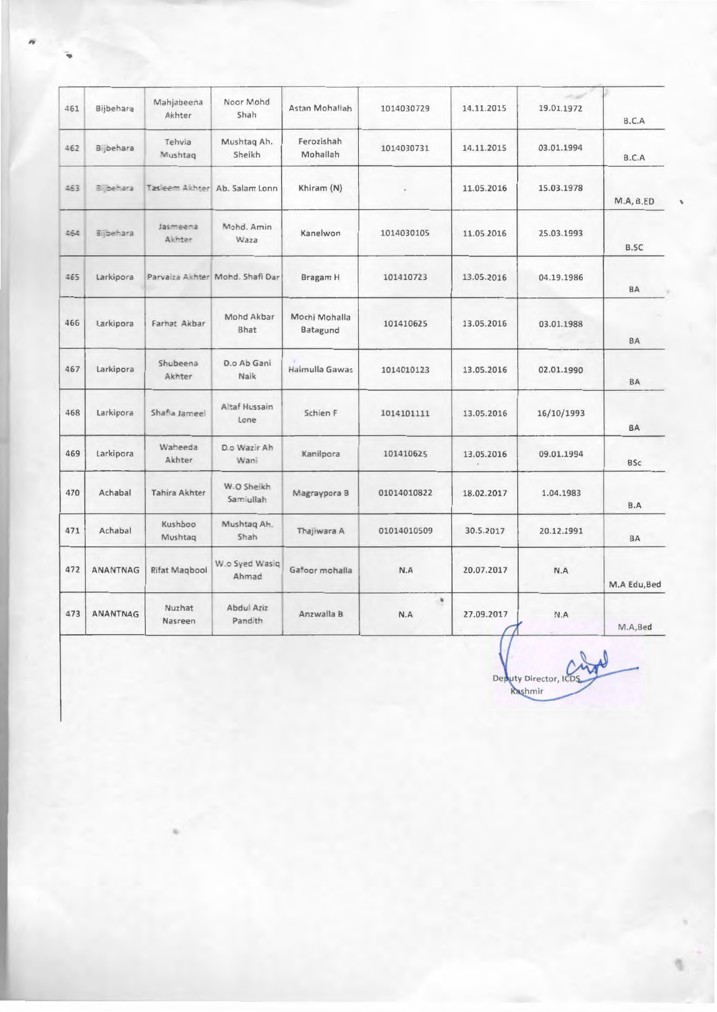| 461 | Bijbehara | Mahjabeena<br>Akhter | Noor Mohd<br>Shah               | Astan Mohallah            | 1014030729  | 14.11.2015 | 19.01.1972 | B.C.A        |
|-----|-----------|----------------------|---------------------------------|---------------------------|-------------|------------|------------|--------------|
| 462 | Bijbehara | Tehvia<br>Mushtag    | Mushtaq Ah.<br>Sheikh           | Ferozishah<br>Mohallah    | 1014030731  | 14.11.2015 | 03.01.1994 | B.C.A        |
| 453 | Bilbehara |                      | Tas eem Akhter Ab. Salam Lonn   | Khiram (N)                |             | 11.05.2016 | 15.03.1978 | M.A, B.ED    |
| 464 | Bijbehara | Jasmeena<br>Akhter   | Mohd, Amin<br>Waza              | Kanelwon                  | 1014030105  | 11.05.2016 | 25.03.1993 | B.SC         |
| 465 | Larkipora |                      | Parvaiza Akhter Mohd. Shafi Dar | Bragam H                  | 101410723   | 13.05.2016 | 04.19.1986 | BA           |
| 466 | Larkipora | Farhat Akbar         | Mohd Akbar<br><b>Bhat</b>       | Mochi Mohalla<br>Batagund | 101410625   | 13.05.2016 | 03.01.1988 | <b>BA</b>    |
| 467 | Larkipora | Shubeena<br>Akhter   | D.o Ab Gani<br>Naik             | Halmulla Gawas            | 1014010123  | 13.05.2016 | 02.01.1990 | BA           |
| 468 | Larkipora | Shafia Jameel        | Altaf Hussain<br>Lone           | Schien F                  | 1014101111  | 13.05.2016 | 16/10/1993 | <b>BA</b>    |
| 469 | Larkipora | Waheeda<br>Akhter    | D.o Wazir Ah<br>Wani            | Kanilpora                 | 101410625   | 13.05.2016 | 09.01.1994 | <b>BSc</b>   |
| 470 | Achabal   | Tahira Akhter        | W.O Sheikh<br>Samiullah         | Magraypora B              | 01014010822 | 18.02.2017 | 1.04.1983  | B.A          |
| 471 | Achabal   | Kushboo<br>Mushtag   | Mushtag Ah.<br>Shah             | Thajiwara A               | 01014010509 | 30.5.2017  | 20.12.1991 | BA           |
| 472 | ANANTNAG  | Rifat Magbool        | W.o Syed Wasiq<br>Ahmad         | Gafoor mohalla            | N.A         | 20.07.2017 | N.A        | M.A Edu, Bed |
| 473 | ANANTNAG  | Nuzhat<br>Nasreen    | Abdul Aziz<br>Pandith           | Anzwalla B                | ۰<br>N.A    | 27.09.2017 | N.A        | M.A,Bed      |

Deputy Director, ICI